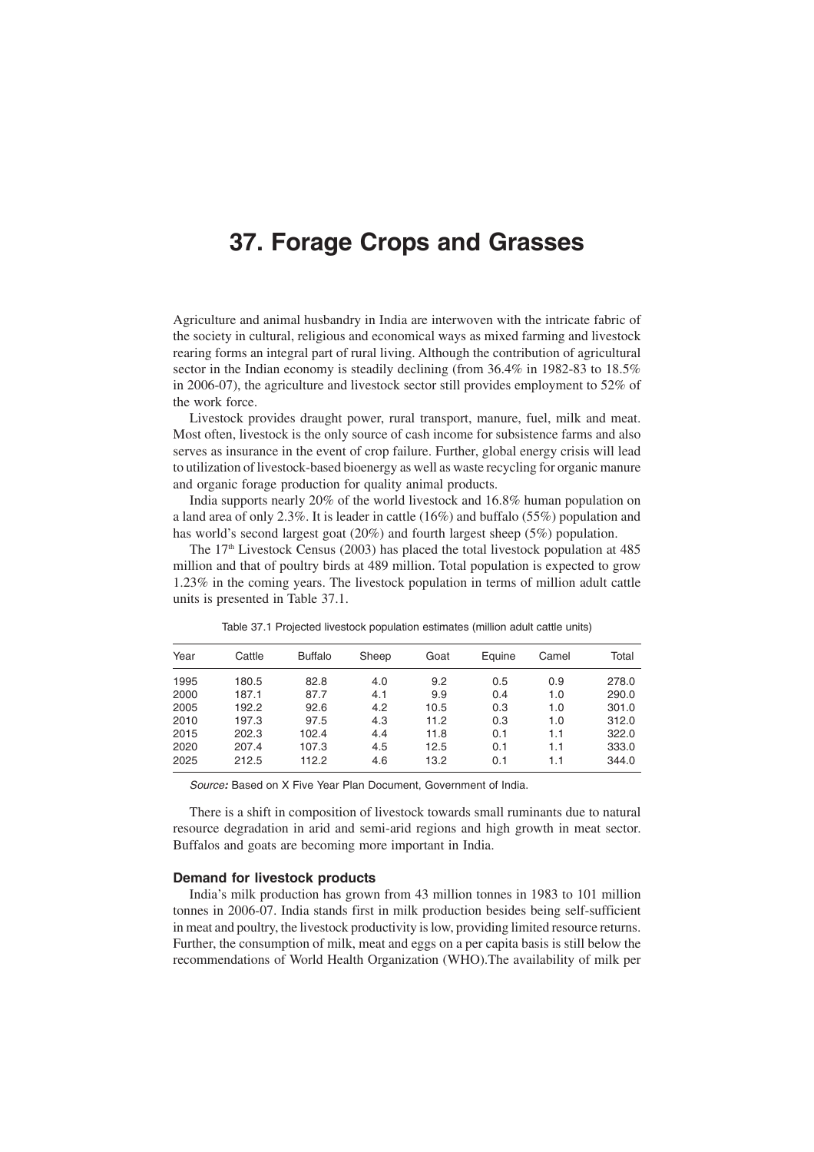# **37. Forage Crops and Grasses**

Agriculture and animal husbandry in India are interwoven with the intricate fabric of the society in cultural, religious and economical ways as mixed farming and livestock rearing forms an integral part of rural living. Although the contribution of agricultural sector in the Indian economy is steadily declining (from 36.4% in 1982-83 to 18.5%) in 2006-07), the agriculture and livestock sector still provides employment to 52% of the work force.

Livestock provides draught power, rural transport, manure, fuel, milk and meat. Most often, livestock is the only source of cash income for subsistence farms and also serves as insurance in the event of crop failure. Further, global energy crisis will lead to utilization of livestock-based bioenergy as well as waste recycling for organic manure and organic forage production for quality animal products.

India supports nearly 20% of the world livestock and 16.8% human population on a land area of only 2.3%. It is leader in cattle (16%) and buffalo (55%) population and has world's second largest goat (20%) and fourth largest sheep (5%) population.

The  $17<sup>th</sup>$  Livestock Census (2003) has placed the total livestock population at 485 million and that of poultry birds at 489 million. Total population is expected to grow 1.23% in the coming years. The livestock population in terms of million adult cattle units is presented in Table 37.1.

| Year | Cattle | <b>Buffalo</b> | Sheep | Goat | Equine | Camel | Total |
|------|--------|----------------|-------|------|--------|-------|-------|
| 1995 | 180.5  | 82.8           | 4.0   | 9.2  | 0.5    | 0.9   | 278.0 |
| 2000 | 187.1  | 87.7           | 4.1   | 9.9  | 0.4    | 1.0   | 290.0 |
| 2005 | 192.2  | 92.6           | 4.2   | 10.5 | 0.3    | 1.0   | 301.0 |
| 2010 | 197.3  | 97.5           | 4.3   | 11.2 | 0.3    | 1.0   | 312.0 |
| 2015 | 202.3  | 102.4          | 4.4   | 11.8 | 0.1    | 1.1   | 322.0 |
| 2020 | 207.4  | 107.3          | 4.5   | 12.5 | 0.1    | 1.1   | 333.0 |
| 2025 | 212.5  | 112.2          | 4.6   | 13.2 | 0.1    | 1.1   | 344.0 |
|      |        |                |       |      |        |       |       |

Table 37.1 Projected livestock population estimates (million adult cattle units)

Source**:** Based on X Five Year Plan Document, Government of India.

There is a shift in composition of livestock towards small ruminants due to natural resource degradation in arid and semi-arid regions and high growth in meat sector. Buffalos and goats are becoming more important in India.

#### **Demand for livestock products**

India's milk production has grown from 43 million tonnes in 1983 to 101 million tonnes in 2006-07. India stands first in milk production besides being self-sufficient in meat and poultry, the livestock productivity is low, providing limited resource returns. Further, the consumption of milk, meat and eggs on a per capita basis is still below the recommendations of World Health Organization (WHO).The availability of milk per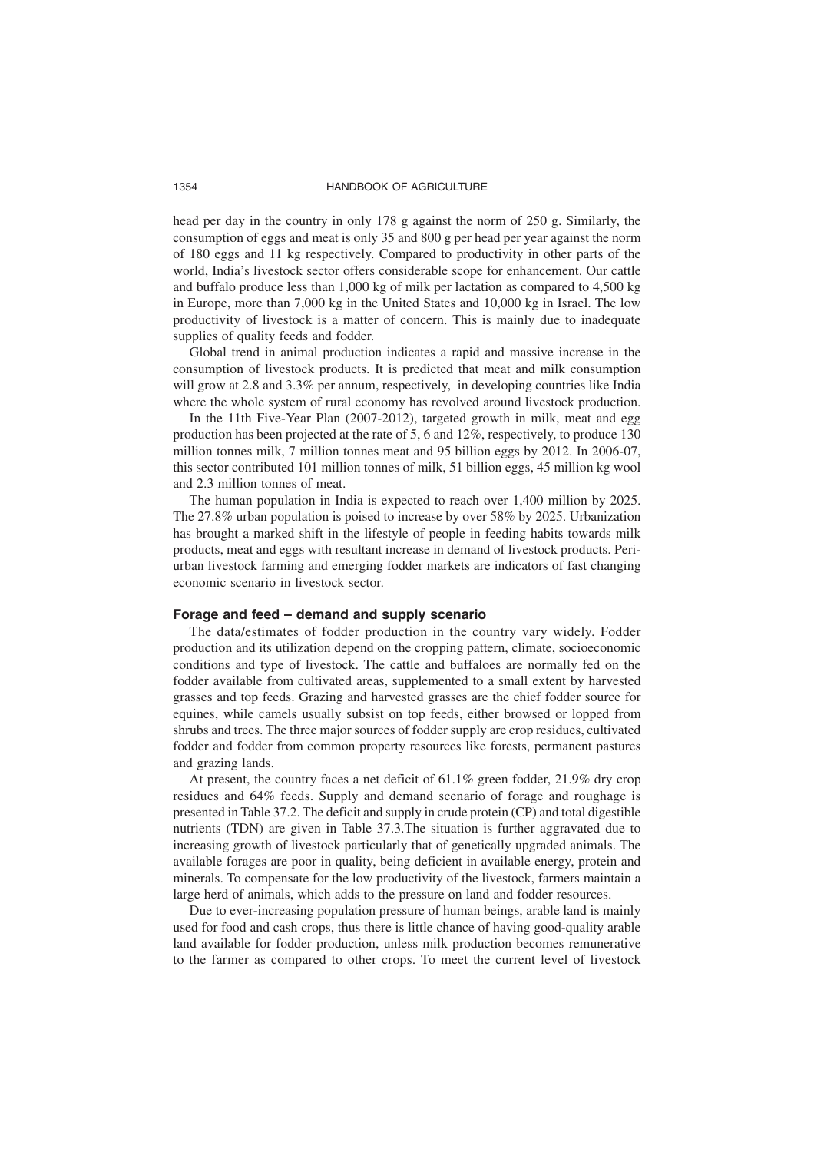head per day in the country in only 178 g against the norm of 250 g. Similarly, the consumption of eggs and meat is only 35 and 800 g per head per year against the norm of 180 eggs and 11 kg respectively. Compared to productivity in other parts of the world, India's livestock sector offers considerable scope for enhancement. Our cattle and buffalo produce less than 1,000 kg of milk per lactation as compared to 4,500 kg in Europe, more than 7,000 kg in the United States and 10,000 kg in Israel. The low productivity of livestock is a matter of concern. This is mainly due to inadequate supplies of quality feeds and fodder.

Global trend in animal production indicates a rapid and massive increase in the consumption of livestock products. It is predicted that meat and milk consumption will grow at 2.8 and 3.3% per annum, respectively, in developing countries like India where the whole system of rural economy has revolved around livestock production.

In the 11th Five-Year Plan (2007-2012), targeted growth in milk, meat and egg production has been projected at the rate of 5, 6 and 12%, respectively, to produce 130 million tonnes milk, 7 million tonnes meat and 95 billion eggs by 2012. In 2006-07, this sector contributed 101 million tonnes of milk, 51 billion eggs, 45 million kg wool and 2.3 million tonnes of meat.

The human population in India is expected to reach over 1,400 million by 2025. The 27.8% urban population is poised to increase by over 58% by 2025. Urbanization has brought a marked shift in the lifestyle of people in feeding habits towards milk products, meat and eggs with resultant increase in demand of livestock products. Periurban livestock farming and emerging fodder markets are indicators of fast changing economic scenario in livestock sector.

#### **Forage and feed – demand and supply scenario**

The data/estimates of fodder production in the country vary widely. Fodder production and its utilization depend on the cropping pattern, climate, socioeconomic conditions and type of livestock. The cattle and buffaloes are normally fed on the fodder available from cultivated areas, supplemented to a small extent by harvested grasses and top feeds. Grazing and harvested grasses are the chief fodder source for equines, while camels usually subsist on top feeds, either browsed or lopped from shrubs and trees. The three major sources of fodder supply are crop residues, cultivated fodder and fodder from common property resources like forests, permanent pastures and grazing lands.

At present, the country faces a net deficit of 61.1% green fodder, 21.9% dry crop residues and 64% feeds. Supply and demand scenario of forage and roughage is presented in Table 37.2. The deficit and supply in crude protein (CP) and total digestible nutrients (TDN) are given in Table 37.3.The situation is further aggravated due to increasing growth of livestock particularly that of genetically upgraded animals. The available forages are poor in quality, being deficient in available energy, protein and minerals. To compensate for the low productivity of the livestock, farmers maintain a large herd of animals, which adds to the pressure on land and fodder resources.

Due to ever-increasing population pressure of human beings, arable land is mainly used for food and cash crops, thus there is little chance of having good-quality arable land available for fodder production, unless milk production becomes remunerative to the farmer as compared to other crops. To meet the current level of livestock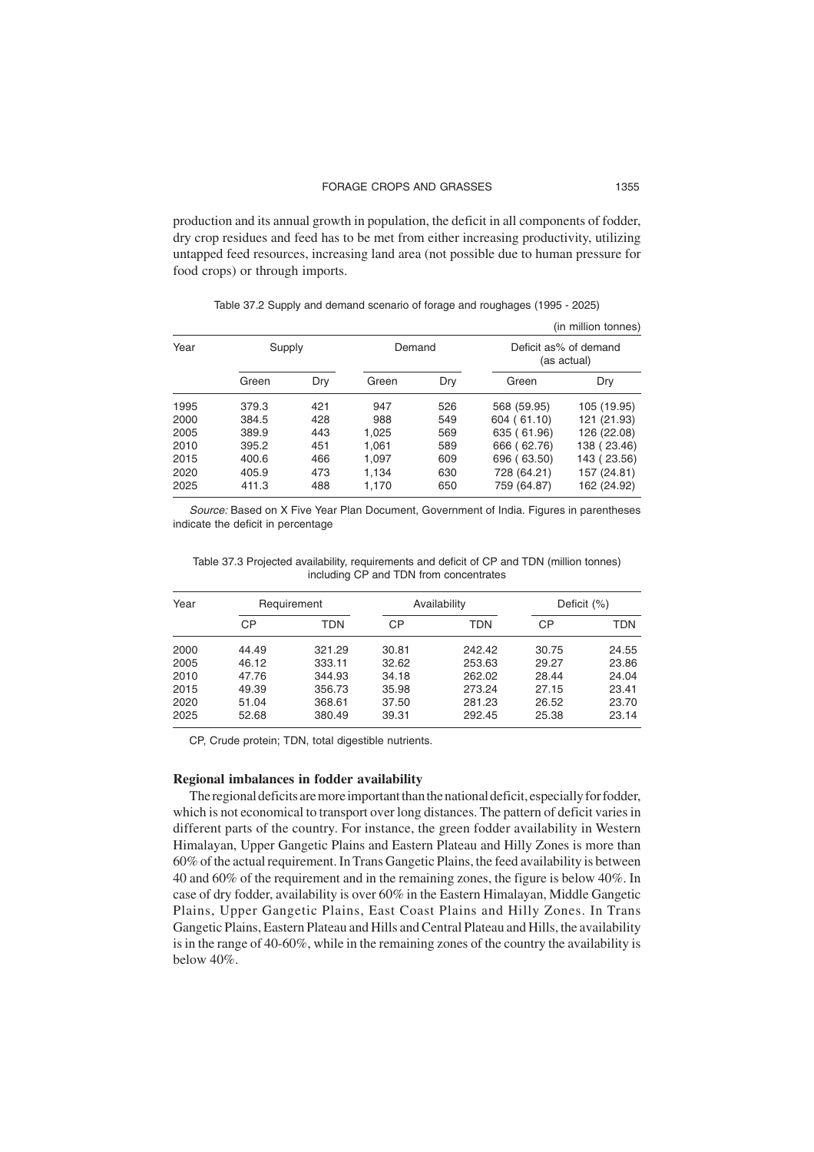production and its annual growth in population, the deficit in all components of fodder, dry crop residues and feed has to be met from either increasing productivity, utilizing untapped feed resources, increasing land area (not possible due to human pressure for food crops) or through imports.

|      |        |     |        |     |             | (in million tonnes)                  |  |
|------|--------|-----|--------|-----|-------------|--------------------------------------|--|
| Year | Supply |     | Demand |     |             | Deficit as% of demand<br>(as actual) |  |
|      | Green  | Dry | Green  | Dry | Green       | Dry                                  |  |
| 1995 | 379.3  | 421 | 947    | 526 | 568 (59.95) | 105 (19.95)                          |  |
| 2000 | 384.5  | 428 | 988    | 549 | 604 (61.10) | 121 (21.93)                          |  |
| 2005 | 389.9  | 443 | 1,025  | 569 | 635 (61.96) | 126 (22.08)                          |  |
| 2010 | 395.2  | 451 | 1,061  | 589 | 666 (62.76) | 138 (23.46)                          |  |
| 2015 | 400.6  | 466 | 1,097  | 609 | 696 (63.50) | 143 (23.56)                          |  |
| 2020 | 405.9  | 473 | 1,134  | 630 | 728 (64.21) | 157 (24.81)                          |  |
| 2025 | 411.3  | 488 | 1.170  | 650 | 759 (64.87) | 162 (24.92)                          |  |

Table 37.2 Supply and demand scenario of forage and roughages (1995 - 2025)

Source: Based on X Five Year Plan Document, Government of India. Figures in parentheses indicate the deficit in percentage

| Table 37.3 Projected availability, requirements and deficit of CP and TDN (million tonnes) |                                        |  |  |  |
|--------------------------------------------------------------------------------------------|----------------------------------------|--|--|--|
|                                                                                            | including CP and TDN from concentrates |  |  |  |

| Year |       | Requirement |       | Availability | Deficit $(\%)$ |       |
|------|-------|-------------|-------|--------------|----------------|-------|
|      | CР    | TDN         | СP    | TDN          | СP             | TDN   |
| 2000 | 44.49 | 321.29      | 30.81 | 242.42       | 30.75          | 24.55 |
| 2005 | 46.12 | 333.11      | 32.62 | 253.63       | 29.27          | 23.86 |
| 2010 | 47.76 | 344.93      | 34.18 | 262.02       | 28.44          | 24.04 |
| 2015 | 49.39 | 356.73      | 35.98 | 273.24       | 27.15          | 23.41 |
| 2020 | 51.04 | 368.61      | 37.50 | 281.23       | 26.52          | 23.70 |
| 2025 | 52.68 | 380.49      | 39.31 | 292.45       | 25.38          | 23.14 |

CP, Crude protein; TDN, total digestible nutrients.

#### **Regional imbalances in fodder availability**

The regional deficits are more important than the national deficit, especially for fodder, which is not economical to transport over long distances. The pattern of deficit varies in different parts of the country. For instance, the green fodder availability in Western Himalayan, Upper Gangetic Plains and Eastern Plateau and Hilly Zones is more than 60% of the actual requirement. In Trans Gangetic Plains, the feed availability is between 40 and 60% of the requirement and in the remaining zones, the figure is below 40%. In case of dry fodder, availability is over 60% in the Eastern Himalayan, Middle Gangetic Plains, Upper Gangetic Plains, East Coast Plains and Hilly Zones. In Trans Gangetic Plains, Eastern Plateau and Hills and Central Plateau and Hills, the availability is in the range of 40-60%, while in the remaining zones of the country the availability is below 40%.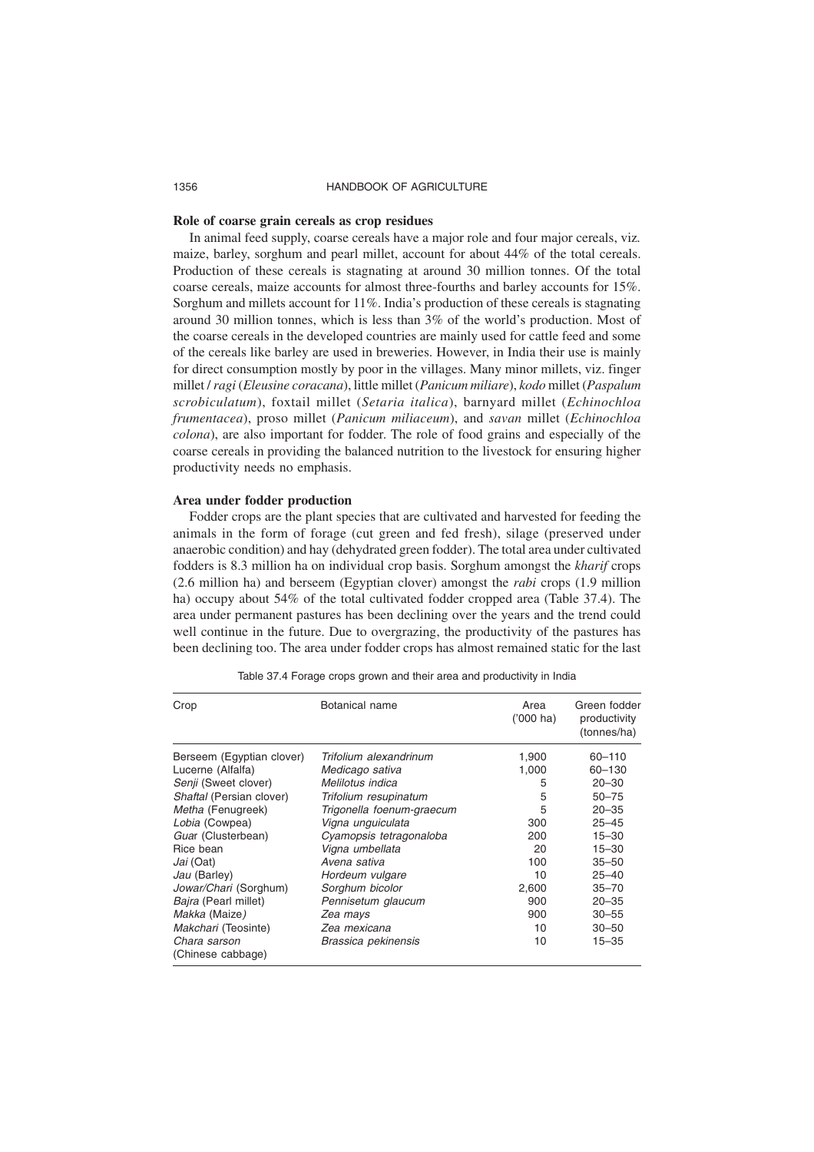#### **Role of coarse grain cereals as crop residues**

In animal feed supply, coarse cereals have a major role and four major cereals, viz*.* maize, barley, sorghum and pearl millet, account for about 44% of the total cereals. Production of these cereals is stagnating at around 30 million tonnes. Of the total coarse cereals, maize accounts for almost three-fourths and barley accounts for 15%. Sorghum and millets account for 11%. India's production of these cereals is stagnating around 30 million tonnes, which is less than 3% of the world's production. Most of the coarse cereals in the developed countries are mainly used for cattle feed and some of the cereals like barley are used in breweries. However, in India their use is mainly for direct consumption mostly by poor in the villages. Many minor millets, viz. finger millet / *ragi* (*Eleusine coracana*), little millet (*Panicum miliare*), *kodo* millet (*Paspalum scrobiculatum*), foxtail millet (*Setaria italica*), barnyard millet (*Echinochloa frumentacea*), proso millet (*Panicum miliaceum*), and *savan* millet (*Echinochloa colona*), are also important for fodder. The role of food grains and especially of the coarse cereals in providing the balanced nutrition to the livestock for ensuring higher productivity needs no emphasis.

## **Area under fodder production**

Fodder crops are the plant species that are cultivated and harvested for feeding the animals in the form of forage (cut green and fed fresh), silage (preserved under anaerobic condition) and hay (dehydrated green fodder). The total area under cultivated fodders is 8.3 million ha on individual crop basis. Sorghum amongst the *kharif* crops (2.6 million ha) and berseem (Egyptian clover) amongst the *rabi* crops (1.9 million ha) occupy about 54% of the total cultivated fodder cropped area (Table 37.4). The area under permanent pastures has been declining over the years and the trend could well continue in the future. Due to overgrazing, the productivity of the pastures has been declining too. The area under fodder crops has almost remained static for the last

| Crop                              | Botanical name            | Area<br>$(000)$ ha) | Green fodder<br>productivity<br>(tonnes/ha) |
|-----------------------------------|---------------------------|---------------------|---------------------------------------------|
| Berseem (Egyptian clover)         | Trifolium alexandrinum    | 1,900               | $60 - 110$                                  |
| Lucerne (Alfalfa)                 | Medicago sativa           | 1,000               | $60 - 130$                                  |
| Senji (Sweet clover)              | Melilotus indica          | 5                   | $20 - 30$                                   |
| Shaftal (Persian clover)          | Trifolium resupinatum     | 5                   | $50 - 75$                                   |
| Metha (Fenugreek)                 | Trigonella foenum-graecum | 5                   | $20 - 35$                                   |
| Lobia (Cowpea)                    | Vigna unguiculata         | 300                 | $25 - 45$                                   |
| Guar (Clusterbean)                | Cyamopsis tetragonaloba   | 200                 | $15 - 30$                                   |
| Rice bean                         | Vigna umbellata           | 20                  | $15 - 30$                                   |
| Jai (Oat)                         | Avena sativa              | 100                 | $35 - 50$                                   |
| Jau (Barley)                      | Hordeum vulgare           | 10                  | $25 - 40$                                   |
| Jowar/Chari (Sorghum)             | Sorghum bicolor           | 2,600               | $35 - 70$                                   |
| Baira (Pearl millet)              | Pennisetum glaucum        | 900                 | $20 - 35$                                   |
| Makka (Maize)                     | Zea mays                  | 900                 | $30 - 55$                                   |
| <i>Makchari</i> (Teosinte)        | Zea mexicana              | 10                  | $30 - 50$                                   |
| Chara sarson<br>(Chinese cabbage) | Brassica pekinensis       | 10                  | $15 - 35$                                   |

Table 37.4 Forage crops grown and their area and productivity in India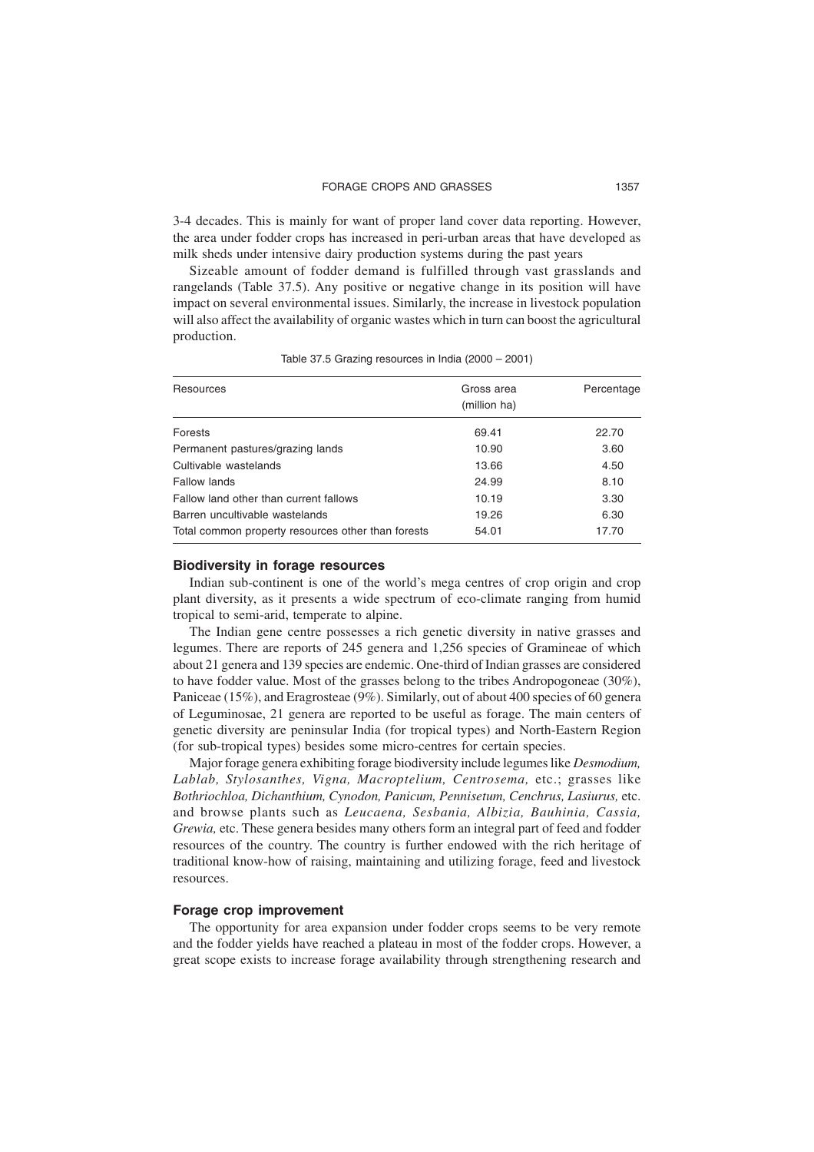3-4 decades. This is mainly for want of proper land cover data reporting. However, the area under fodder crops has increased in peri-urban areas that have developed as milk sheds under intensive dairy production systems during the past years

Sizeable amount of fodder demand is fulfilled through vast grasslands and rangelands (Table 37.5). Any positive or negative change in its position will have impact on several environmental issues. Similarly, the increase in livestock population will also affect the availability of organic wastes which in turn can boost the agricultural production.

Table 37.5 Grazing resources in India (2000 – 2001)

| Resources                                          | Gross area<br>(million ha) | Percentage |
|----------------------------------------------------|----------------------------|------------|
| Forests                                            | 69.41                      | 22.70      |
| Permanent pastures/grazing lands                   | 10.90                      | 3.60       |
| Cultivable wastelands                              | 13.66                      | 4.50       |
| Fallow lands                                       | 24.99                      | 8.10       |
| Fallow land other than current fallows             | 10.19                      | 3.30       |
| Barren uncultivable wastelands                     | 19.26                      | 6.30       |
| Total common property resources other than forests | 54.01                      | 17.70      |

#### **Biodiversity in forage resources**

Indian sub-continent is one of the world's mega centres of crop origin and crop plant diversity, as it presents a wide spectrum of eco-climate ranging from humid tropical to semi-arid, temperate to alpine.

The Indian gene centre possesses a rich genetic diversity in native grasses and legumes. There are reports of 245 genera and 1,256 species of Gramineae of which about 21 genera and 139 species are endemic. One-third of Indian grasses are considered to have fodder value. Most of the grasses belong to the tribes Andropogoneae (30%), Paniceae (15%), and Eragrosteae (9%). Similarly, out of about 400 species of 60 genera of Leguminosae, 21 genera are reported to be useful as forage. The main centers of genetic diversity are peninsular India (for tropical types) and North-Eastern Region (for sub-tropical types) besides some micro-centres for certain species.

Major forage genera exhibiting forage biodiversity include legumes like *Desmodium, Lablab, Stylosanthes, Vigna, Macroptelium, Centrosema,* etc.; grasses like *Bothriochloa, Dichanthium, Cynodon, Panicum, Pennisetum, Cenchrus, Lasiurus,* etc. and browse plants such as *Leucaena, Sesbania, Albizia, Bauhinia, Cassia, Grewia,* etc. These genera besides many others form an integral part of feed and fodder resources of the country. The country is further endowed with the rich heritage of traditional know-how of raising, maintaining and utilizing forage, feed and livestock resources.

#### **Forage crop improvement**

The opportunity for area expansion under fodder crops seems to be very remote and the fodder yields have reached a plateau in most of the fodder crops. However, a great scope exists to increase forage availability through strengthening research and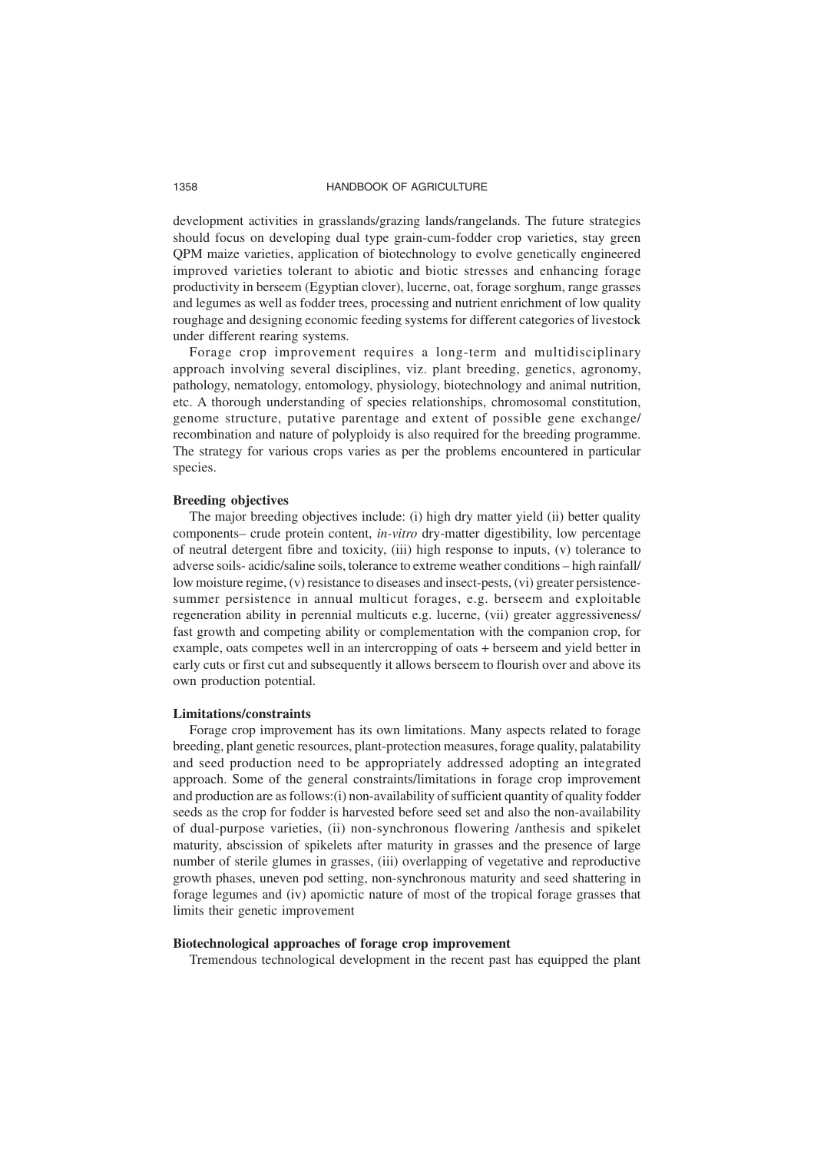development activities in grasslands/grazing lands/rangelands. The future strategies should focus on developing dual type grain-cum-fodder crop varieties, stay green QPM maize varieties, application of biotechnology to evolve genetically engineered improved varieties tolerant to abiotic and biotic stresses and enhancing forage productivity in berseem (Egyptian clover), lucerne, oat, forage sorghum, range grasses and legumes as well as fodder trees, processing and nutrient enrichment of low quality roughage and designing economic feeding systems for different categories of livestock under different rearing systems.

Forage crop improvement requires a long-term and multidisciplinary approach involving several disciplines, viz. plant breeding, genetics, agronomy, pathology, nematology, entomology, physiology, biotechnology and animal nutrition, etc. A thorough understanding of species relationships, chromosomal constitution, genome structure, putative parentage and extent of possible gene exchange/ recombination and nature of polyploidy is also required for the breeding programme. The strategy for various crops varies as per the problems encountered in particular species.

## **Breeding objectives**

The major breeding objectives include: (i) high dry matter yield (ii) better quality components– crude protein content, *in-vitro* dry-matter digestibility, low percentage of neutral detergent fibre and toxicity, (iii) high response to inputs, (v) tolerance to adverse soils- acidic/saline soils, tolerance to extreme weather conditions – high rainfall/ low moisture regime, (v) resistance to diseases and insect-pests, (vi) greater persistencesummer persistence in annual multicut forages, e.g. berseem and exploitable regeneration ability in perennial multicuts e.g. lucerne, (vii) greater aggressiveness/ fast growth and competing ability or complementation with the companion crop, for example, oats competes well in an intercropping of oats + berseem and yield better in early cuts or first cut and subsequently it allows berseem to flourish over and above its own production potential.

#### **Limitations/constraints**

Forage crop improvement has its own limitations. Many aspects related to forage breeding, plant genetic resources, plant-protection measures, forage quality, palatability and seed production need to be appropriately addressed adopting an integrated approach. Some of the general constraints/limitations in forage crop improvement and production are as follows:(i) non-availability of sufficient quantity of quality fodder seeds as the crop for fodder is harvested before seed set and also the non-availability of dual-purpose varieties, (ii) non-synchronous flowering /anthesis and spikelet maturity, abscission of spikelets after maturity in grasses and the presence of large number of sterile glumes in grasses, (iii) overlapping of vegetative and reproductive growth phases, uneven pod setting, non-synchronous maturity and seed shattering in forage legumes and (iv) apomictic nature of most of the tropical forage grasses that limits their genetic improvement

#### **Biotechnological approaches of forage crop improvement**

Tremendous technological development in the recent past has equipped the plant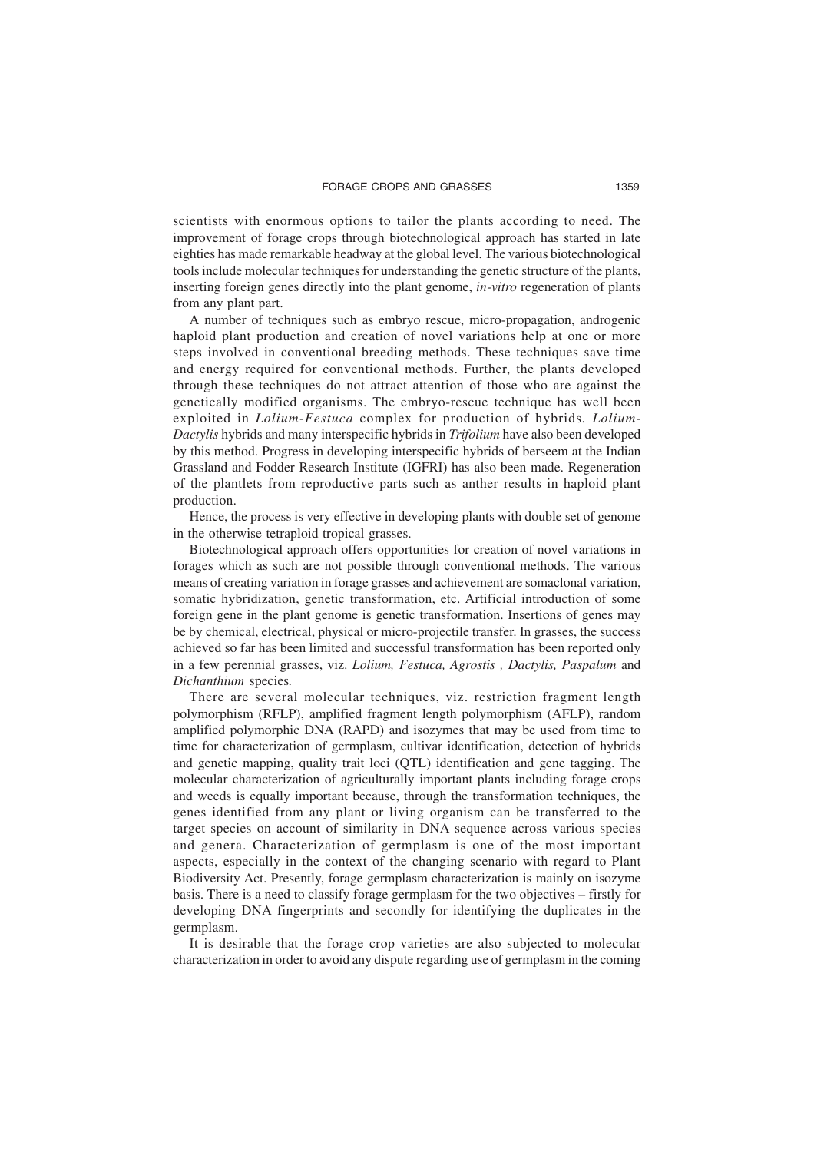scientists with enormous options to tailor the plants according to need. The improvement of forage crops through biotechnological approach has started in late eighties has made remarkable headway at the global level. The various biotechnological tools include molecular techniques for understanding the genetic structure of the plants, inserting foreign genes directly into the plant genome, *in-vitro* regeneration of plants from any plant part.

A number of techniques such as embryo rescue, micro-propagation, androgenic haploid plant production and creation of novel variations help at one or more steps involved in conventional breeding methods. These techniques save time and energy required for conventional methods. Further, the plants developed through these techniques do not attract attention of those who are against the genetically modified organisms. The embryo-rescue technique has well been exploited in *Lolium-Festuca* complex for production of hybrids*. Lolium-Dactylis* hybrids and many interspecific hybrids in *Trifolium* have also been developed by this method. Progress in developing interspecific hybrids of berseem at the Indian Grassland and Fodder Research Institute (IGFRI) has also been made. Regeneration of the plantlets from reproductive parts such as anther results in haploid plant production.

Hence, the process is very effective in developing plants with double set of genome in the otherwise tetraploid tropical grasses.

Biotechnological approach offers opportunities for creation of novel variations in forages which as such are not possible through conventional methods. The various means of creating variation in forage grasses and achievement are somaclonal variation, somatic hybridization, genetic transformation, etc. Artificial introduction of some foreign gene in the plant genome is genetic transformation. Insertions of genes may be by chemical, electrical, physical or micro-projectile transfer. In grasses, the success achieved so far has been limited and successful transformation has been reported only in a few perennial grasses, viz. *Lolium, Festuca, Agrostis , Dactylis, Paspalum* and *Dichanthium* species*.*

There are several molecular techniques, viz. restriction fragment length polymorphism (RFLP), amplified fragment length polymorphism (AFLP), random amplified polymorphic DNA (RAPD) and isozymes that may be used from time to time for characterization of germplasm, cultivar identification, detection of hybrids and genetic mapping, quality trait loci (QTL) identification and gene tagging. The molecular characterization of agriculturally important plants including forage crops and weeds is equally important because, through the transformation techniques, the genes identified from any plant or living organism can be transferred to the target species on account of similarity in DNA sequence across various species and genera. Characterization of germplasm is one of the most important aspects, especially in the context of the changing scenario with regard to Plant Biodiversity Act. Presently, forage germplasm characterization is mainly on isozyme basis. There is a need to classify forage germplasm for the two objectives – firstly for developing DNA fingerprints and secondly for identifying the duplicates in the germplasm.

It is desirable that the forage crop varieties are also subjected to molecular characterization in order to avoid any dispute regarding use of germplasm in the coming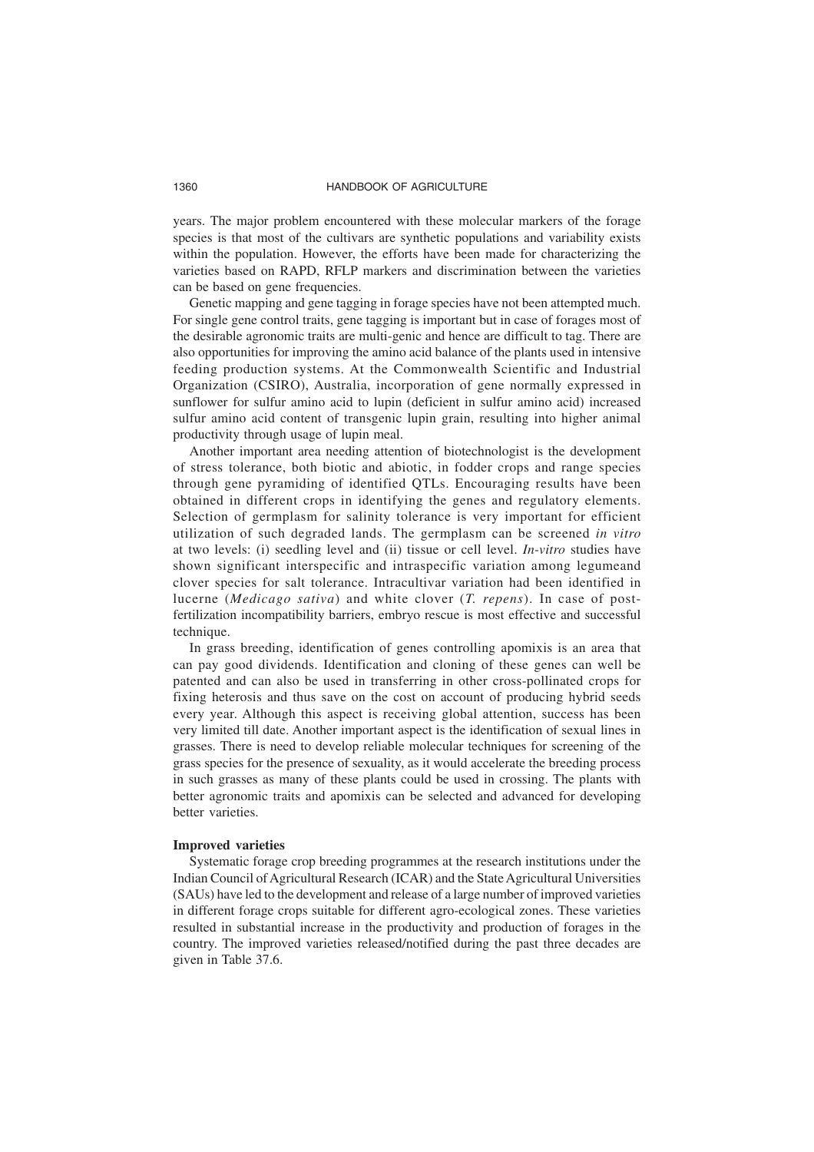years. The major problem encountered with these molecular markers of the forage species is that most of the cultivars are synthetic populations and variability exists within the population. However, the efforts have been made for characterizing the varieties based on RAPD, RFLP markers and discrimination between the varieties can be based on gene frequencies.

Genetic mapping and gene tagging in forage species have not been attempted much. For single gene control traits, gene tagging is important but in case of forages most of the desirable agronomic traits are multi-genic and hence are difficult to tag. There are also opportunities for improving the amino acid balance of the plants used in intensive feeding production systems. At the Commonwealth Scientific and Industrial Organization (CSIRO), Australia, incorporation of gene normally expressed in sunflower for sulfur amino acid to lupin (deficient in sulfur amino acid) increased sulfur amino acid content of transgenic lupin grain, resulting into higher animal productivity through usage of lupin meal.

Another important area needing attention of biotechnologist is the development of stress tolerance, both biotic and abiotic, in fodder crops and range species through gene pyramiding of identified QTLs. Encouraging results have been obtained in different crops in identifying the genes and regulatory elements. Selection of germplasm for salinity tolerance is very important for efficient utilization of such degraded lands. The germplasm can be screened *in vitro* at two levels: (i) seedling level and (ii) tissue or cell level. *In-vitro* studies have shown significant interspecific and intraspecific variation among legumeand clover species for salt tolerance. Intracultivar variation had been identified in lucerne (*Medicago sativa*) and white clover (*T. repens*). In case of postfertilization incompatibility barriers, embryo rescue is most effective and successful technique.

In grass breeding, identification of genes controlling apomixis is an area that can pay good dividends. Identification and cloning of these genes can well be patented and can also be used in transferring in other cross-pollinated crops for fixing heterosis and thus save on the cost on account of producing hybrid seeds every year. Although this aspect is receiving global attention, success has been very limited till date. Another important aspect is the identification of sexual lines in grasses. There is need to develop reliable molecular techniques for screening of the grass species for the presence of sexuality, as it would accelerate the breeding process in such grasses as many of these plants could be used in crossing. The plants with better agronomic traits and apomixis can be selected and advanced for developing better varieties.

#### **Improved varieties**

Systematic forage crop breeding programmes at the research institutions under the Indian Council of Agricultural Research (ICAR) and the State Agricultural Universities (SAUs) have led to the development and release of a large number of improved varieties in different forage crops suitable for different agro-ecological zones. These varieties resulted in substantial increase in the productivity and production of forages in the country. The improved varieties released/notified during the past three decades are given in Table 37.6.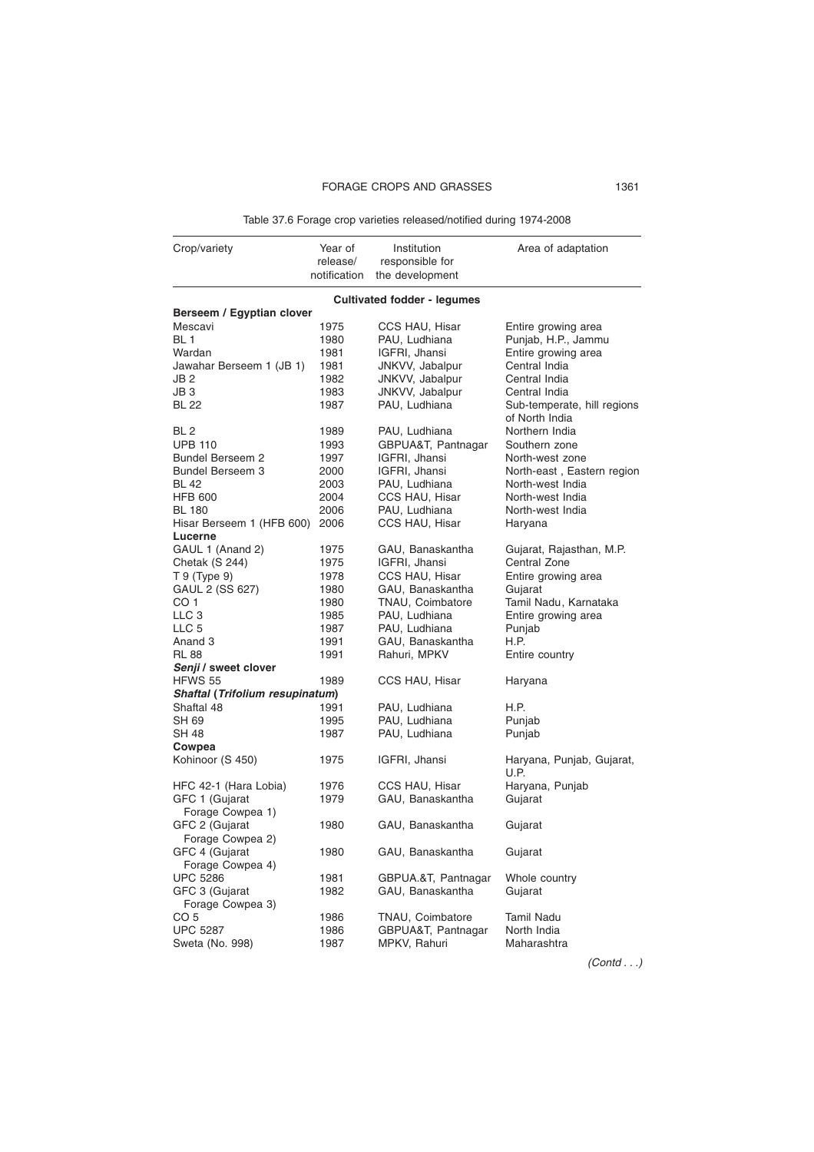Table 37.6 Forage crop varieties released/notified during 1974-2008

| Crop/variety                            | Year of<br>release/ | Institution<br>responsible for     | Area of adaptation                            |
|-----------------------------------------|---------------------|------------------------------------|-----------------------------------------------|
|                                         | notification        | the development                    |                                               |
|                                         |                     | <b>Cultivated fodder - legumes</b> |                                               |
| Berseem / Egyptian clover               |                     |                                    |                                               |
| Mescavi                                 | 1975                | CCS HAU, Hisar                     | Entire growing area                           |
| BL <sub>1</sub>                         | 1980                | PAU, Ludhiana                      | Punjab, H.P., Jammu                           |
| Wardan                                  | 1981                | IGFRI, Jhansi                      | Entire growing area                           |
| Jawahar Berseem 1 (JB 1)                | 1981                | JNKVV, Jabalpur                    | Central India                                 |
| JB 2                                    | 1982                | JNKVV, Jabalpur                    | Central India                                 |
| JB 3                                    | 1983                | JNKVV, Jabalpur                    | Central India                                 |
| BL 22                                   | 1987                | PAU, Ludhiana                      | Sub-temperate, hill regions<br>of North India |
| BL 2                                    | 1989                | PAU, Ludhiana                      | Northern India                                |
| <b>UPB 110</b>                          | 1993                | GBPUA&T, Pantnagar                 | Southern zone                                 |
| <b>Bundel Berseem 2</b>                 | 1997                | IGFRI, Jhansi                      | North-west zone                               |
| Bundel Berseem 3                        | 2000                | IGFRI, Jhansi                      | North-east, Eastern region                    |
| <b>BL 42</b>                            | 2003                | PAU, Ludhiana                      | North-west India                              |
| <b>HFB 600</b>                          | 2004                | CCS HAU, Hisar                     | North-west India                              |
| <b>BL 180</b>                           | 2006                | PAU, Ludhiana                      | North-west India                              |
| Hisar Berseem 1 (HFB 600)               | 2006                | CCS HAU, Hisar                     | Haryana                                       |
| Lucerne                                 |                     |                                    |                                               |
| GAUL 1 (Anand 2)                        | 1975                | GAU, Banaskantha                   | Gujarat, Rajasthan, M.P.                      |
| Chetak (S 244)                          | 1975                | IGFRI, Jhansi                      | Central Zone                                  |
| T 9 (Type 9)                            | 1978                | CCS HAU, Hisar                     | Entire growing area                           |
| GAUL 2 (SS 627)                         | 1980                | GAU, Banaskantha                   | Gujarat                                       |
| CO 1                                    | 1980                | TNAU, Coimbatore                   | Tamil Nadu, Karnataka                         |
| LLC 3                                   | 1985                | PAU, Ludhiana                      | Entire growing area                           |
| LLC 5                                   | 1987                | PAU, Ludhiana                      | Punjab                                        |
| Anand 3                                 | 1991                | GAU, Banaskantha                   | H.P.                                          |
| RL 88                                   | 1991                | Rahuri, MPKV                       | Entire country                                |
| Senji / sweet clover                    |                     |                                    |                                               |
| HFWS 55                                 | 1989                | CCS HAU, Hisar                     | Haryana                                       |
| Shaftal (Trifolium resupinatum)         |                     |                                    |                                               |
| Shaftal 48                              | 1991                | PAU, Ludhiana                      | H.P.                                          |
| SH 69                                   | 1995                | PAU, Ludhiana                      | Punjab                                        |
| SH 48                                   | 1987                | PAU, Ludhiana                      | Punjab                                        |
| Cowpea<br>Kohinoor (S 450)              | 1975                | IGFRI, Jhansi                      | Haryana, Punjab, Gujarat,                     |
|                                         | 1976                |                                    | U.P.                                          |
| HFC 42-1 (Hara Lobia)<br>GFC 1 (Gujarat | 1979                | CCS HAU, Hisar<br>GAU, Banaskantha | Haryana, Punjab<br>Gujarat                    |
| Forage Cowpea 1)                        |                     |                                    |                                               |
| GFC 2 (Gujarat                          | 1980                | GAU, Banaskantha                   | Gujarat                                       |
| Forage Cowpea 2)                        |                     |                                    |                                               |
| GFC 4 (Gujarat                          | 1980                | GAU, Banaskantha                   | Gujarat                                       |
| Forage Cowpea 4)                        |                     |                                    |                                               |
| <b>UPC 5286</b>                         | 1981                | GBPUA.&T, Pantnagar                | Whole country                                 |
| GFC 3 (Gujarat                          | 1982                | GAU, Banaskantha                   | Gujarat                                       |
| Forage Cowpea 3)                        |                     |                                    |                                               |
| CO 5                                    | 1986                | TNAU, Coimbatore                   | <b>Tamil Nadu</b>                             |
| <b>UPC 5287</b>                         | 1986                | GBPUA&T, Pantnagar                 | North India                                   |
| Sweta (No. 998)                         | 1987                | MPKV, Rahuri                       | Maharashtra                                   |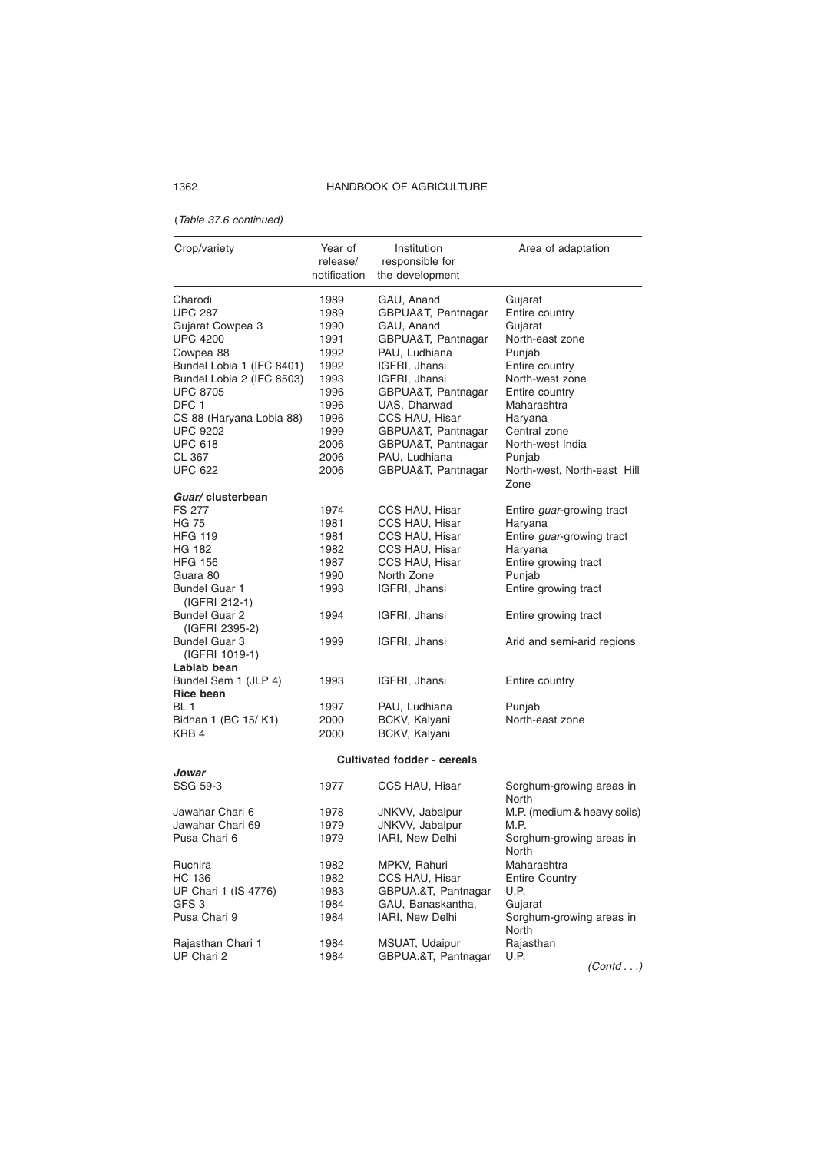# (Table 37.6 continued)

| Crop/variety                             | Year of<br>release/<br>notification | Institution<br>responsible for<br>the development | Area of adaptation                  |
|------------------------------------------|-------------------------------------|---------------------------------------------------|-------------------------------------|
| Charodi                                  | 1989                                | GAU, Anand                                        | Gujarat                             |
| <b>UPC 287</b>                           | 1989                                | GBPUA&T, Pantnagar                                | Entire country                      |
| Gujarat Cowpea 3                         | 1990                                | GAU, Anand                                        | Gujarat                             |
| UPC 4200                                 | 1991                                | GBPUA&T, Pantnagar                                | North-east zone                     |
| Cowpea 88                                | 1992                                | PAU, Ludhiana                                     | Punjab                              |
| Bundel Lobia 1 (IFC 8401)                | 1992                                | IGFRI, Jhansi                                     | Entire country                      |
| Bundel Lobia 2 (IFC 8503)                | 1993                                | IGFRI, Jhansi                                     | North-west zone                     |
| <b>UPC 8705</b>                          | 1996                                | GBPUA&T, Pantnagar                                | Entire country                      |
| DFC 1                                    | 1996                                | UAS, Dharwad                                      | Maharashtra                         |
| CS 88 (Haryana Lobia 88)                 | 1996                                | CCS HAU, Hisar                                    | Haryana                             |
| UPC 9202                                 | 1999                                | GBPUA&T, Pantnagar                                | Central zone                        |
| UPC 618                                  | 2006                                | GBPUA&T, Pantnagar                                | North-west India                    |
| CL 367                                   | 2006                                | PAU, Ludhiana                                     | Punjab                              |
| UPC 622                                  | 2006                                | GBPUA&T, Pantnagar                                | North-west, North-east Hill<br>Zone |
| Guar/ clusterbean                        |                                     |                                                   |                                     |
| FS 277                                   | 1974                                | CCS HAU, Hisar                                    | Entire <i>guar</i> -growing tract   |
| HG 75                                    | 1981                                | CCS HAU, Hisar                                    | Haryana                             |
| HFG 119                                  | 1981                                | CCS HAU, Hisar                                    | Entire guar-growing tract           |
| HG 182                                   | 1982                                | CCS HAU, Hisar                                    | Haryana                             |
| HFG 156                                  | 1987                                | CCS HAU, Hisar                                    | Entire growing tract                |
| Guara 80                                 | 1990                                | North Zone                                        | Punjab                              |
| Bundel Guar 1<br>(IGFRI 212-1)           | 1993                                | IGFRI, Jhansi                                     | Entire growing tract                |
| Bundel Guar 2<br>(IGFRI 2395-2)          | 1994                                | IGFRI, Jhansi                                     | Entire growing tract                |
| Bundel Guar 3<br>(IGFRI 1019-1)          | 1999                                | IGFRI, Jhansi                                     | Arid and semi-arid regions          |
| Lablab bean                              |                                     |                                                   |                                     |
| Bundel Sem 1 (JLP 4)<br><b>Rice bean</b> | 1993                                | IGFRI, Jhansi                                     | Entire country                      |
| BL 1                                     | 1997                                | PAU, Ludhiana                                     | Punjab                              |
| Bidhan 1 (BC 15/ K1)                     | 2000                                | BCKV, Kalyani                                     | North-east zone                     |
| KRB 4                                    | 2000                                | BCKV, Kalyani                                     |                                     |
| Jowar                                    |                                     | <b>Cultivated fodder - cereals</b>                |                                     |
| SSG 59-3                                 | 1977                                | CCS HAU, Hisar                                    | Sorghum-growing areas in            |
|                                          |                                     |                                                   | <b>North</b>                        |
| Jawahar Chari 6                          | 1978                                | JNKVV, Jabalpur                                   | M.P. (medium & heavy soils)         |
| Jawahar Chari 69                         | 1979                                | JNKVV, Jabalpur                                   | M.P.                                |
| Pusa Chari 6                             | 1979                                | IARI, New Delhi                                   | Sorghum-growing areas in            |
|                                          |                                     |                                                   | North                               |
| Ruchira                                  | 1982                                | MPKV, Rahuri                                      | Maharashtra                         |
| HC 136                                   | 1982                                | CCS HAU, Hisar                                    | <b>Entire Country</b>               |
| UP Chari 1 (IS 4776)                     | 1983                                | GBPUA.&T, Pantnagar                               | U.P.                                |
| GFS 3                                    | 1984                                | GAU, Banaskantha,                                 | Gujarat                             |
| Pusa Chari 9                             | 1984                                | IARI, New Delhi                                   | Sorghum-growing areas in<br>North   |
| Rajasthan Chari 1                        | 1984                                | MSUAT, Udaipur                                    | Rajasthan                           |
| UP Chari 2                               | 1984                                | GBPUA.&T, Pantnagar                               | U.P.                                |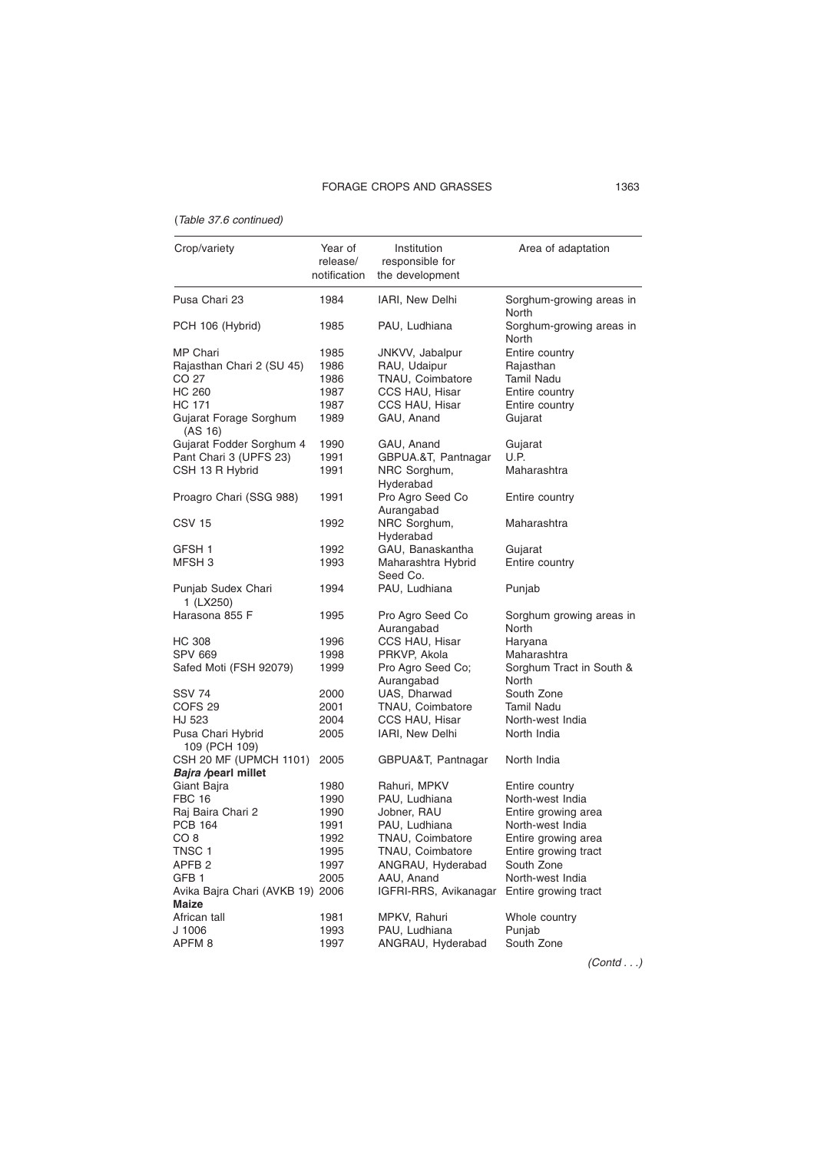# FORAGE CROPS AND GRASSES 1363

# (Table 37.6 continued)

| Crop/variety                                          | Year of<br>release/<br>notification | Institution<br>responsible for<br>the development | Area of adaptation                |
|-------------------------------------------------------|-------------------------------------|---------------------------------------------------|-----------------------------------|
| Pusa Chari 23                                         | 1984                                | IARI, New Delhi                                   | Sorghum-growing areas in<br>North |
| PCH 106 (Hybrid)                                      | 1985                                | PAU, Ludhiana                                     | Sorghum-growing areas in<br>North |
| MP Chari                                              | 1985                                | JNKVV, Jabalpur                                   | Entire country                    |
| Rajasthan Chari 2 (SU 45)                             | 1986                                | RAU, Udaipur                                      | Rajasthan                         |
| CO 27                                                 | 1986                                | TNAU, Coimbatore                                  | Tamil Nadu                        |
| HC 260                                                | 1987                                | CCS HAU, Hisar                                    | Entire country                    |
| HC 171                                                | 1987                                | CCS HAU, Hisar                                    | Entire country                    |
| Gujarat Forage Sorghum<br>(AS 16)                     | 1989                                | GAU, Anand                                        | Gujarat                           |
| Gujarat Fodder Sorghum 4                              | 1990                                | GAU, Anand                                        | Gujarat                           |
| Pant Chari 3 (UPFS 23)                                | 1991                                | GBPUA.&T, Pantnagar                               | U.P.                              |
| CSH 13 R Hybrid                                       | 1991                                | NRC Sorghum,<br>Hyderabad                         | Maharashtra                       |
| Proagro Chari (SSG 988)                               | 1991                                | Pro Agro Seed Co<br>Aurangabad                    | Entire country                    |
| CSV 15                                                | 1992                                | NRC Sorghum,<br>Hyderabad                         | Maharashtra                       |
| GFSH 1                                                | 1992                                | GAU, Banaskantha                                  | Gujarat                           |
| MFSH 3                                                | 1993                                | Maharashtra Hybrid<br>Seed Co.                    | Entire country                    |
| Punjab Sudex Chari<br>1 (LX250)                       | 1994                                | PAU, Ludhiana                                     | Punjab                            |
| Harasona 855 F                                        | 1995                                | Pro Agro Seed Co<br>Aurangabad                    | Sorghum growing areas in<br>North |
| HC 308                                                | 1996                                | CCS HAU, Hisar                                    | Haryana                           |
| SPV 669                                               | 1998                                | PRKVP, Akola                                      | Maharashtra                       |
| Safed Moti (FSH 92079)                                | 1999                                | Pro Agro Seed Co;<br>Aurangabad                   | Sorghum Tract in South &<br>North |
| SSV 74                                                | 2000                                | UAS, Dharwad                                      | South Zone                        |
| COFS 29                                               | 2001                                | TNAU, Coimbatore                                  | Tamil Nadu                        |
| HJ 523                                                | 2004                                | CCS HAU, Hisar                                    | North-west India                  |
| Pusa Chari Hybrid<br>109 (PCH 109)                    | 2005                                | IARI, New Delhi                                   | North India                       |
| CSH 20 MF (UPMCH 1101)<br><i>Bajra /</i> pearl millet | 2005                                | GBPUA&T, Pantnagar                                | North India                       |
| Giant Bajra                                           | 1980                                | Rahuri, MPKV                                      | Entire country                    |
| FBC 16                                                | 1990                                | PAU, Ludhiana                                     | North-west India                  |
| Raj Baira Chari 2                                     | 1990                                | Jobner, RAU                                       | Entire growing area               |
| PCB 164                                               | 1991                                | PAU, Ludhiana                                     | North-west India                  |
| CO 8                                                  | 1992                                | TNAU, Coimbatore                                  | Entire growing area               |
| TNSC 1                                                | 1995                                | TNAU, Coimbatore                                  | Entire growing tract              |
| APFB 2                                                | 1997                                | ANGRAU, Hyderabad                                 | South Zone                        |
| GFB 1                                                 | 2005                                | AAU, Anand                                        | North-west India                  |
| Avika Bajra Chari (AVKB 19) 2006<br>Maize             |                                     | IGFRI-RRS, Avikanagar                             | Entire growing tract              |
| African tall                                          | 1981                                | MPKV, Rahuri                                      | Whole country                     |
| J 1006                                                | 1993                                | PAU, Ludhiana                                     | Punjab                            |
| APFM 8                                                | 1997                                | ANGRAU, Hyderabad                                 | South Zone                        |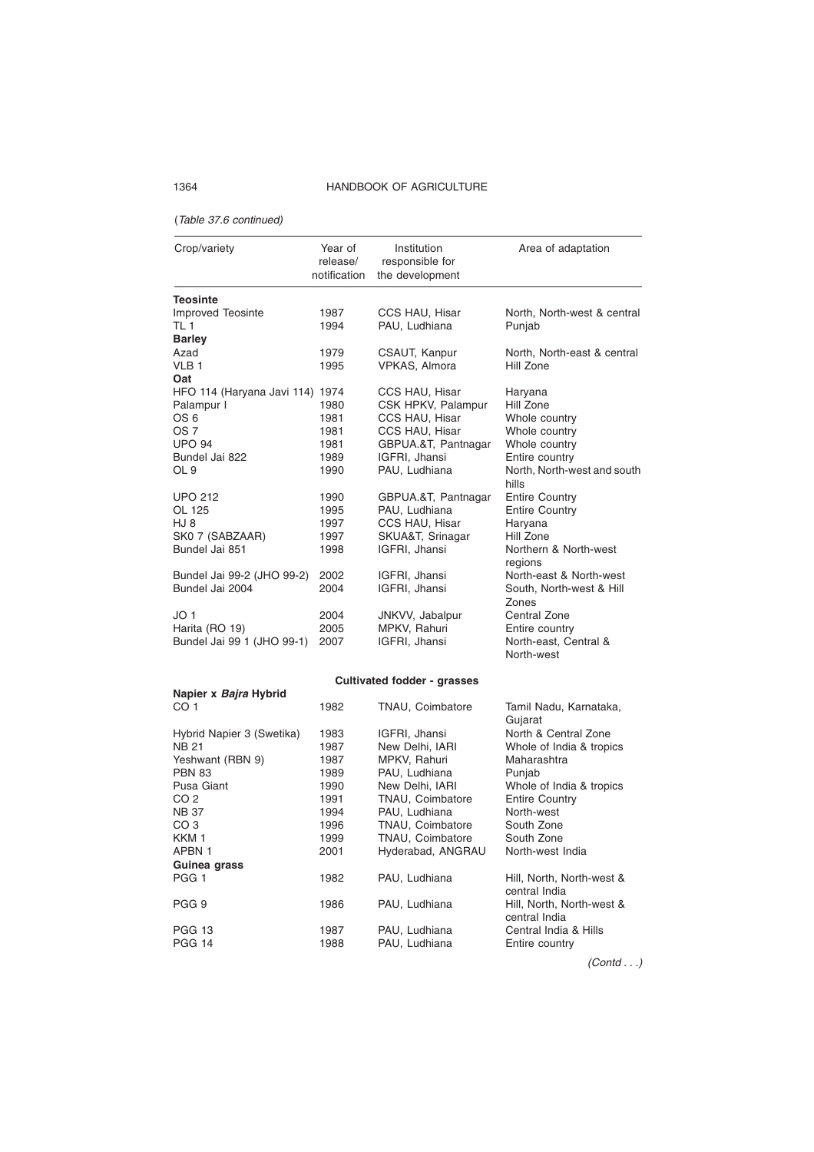#### (Table 37.6 continued)

**Guinea grass**

| Crop/variety                     | Year of<br>release/<br>notification | Institution<br>responsible for<br>the development | Area of adaptation                    |
|----------------------------------|-------------------------------------|---------------------------------------------------|---------------------------------------|
|                                  |                                     |                                                   |                                       |
| <b>Teosinte</b>                  |                                     |                                                   |                                       |
| <b>Improved Teosinte</b><br>TL 1 | 1987<br>1994                        | CCS HAU, Hisar<br>PAU, Ludhiana                   | North, North-west & central<br>Punjab |
| <b>Barley</b>                    |                                     |                                                   |                                       |
| Azad                             | 1979                                | CSAUT, Kanpur                                     | North, North-east & central           |
| VLB <sub>1</sub>                 | 1995                                | <b>VPKAS, Almora</b>                              | Hill Zone                             |
| Oat                              |                                     |                                                   |                                       |
| HFO 114 (Haryana Javi 114) 1974  |                                     | CCS HAU, Hisar                                    | Haryana                               |
| Palampur I                       | 1980                                | CSK HPKV, Palampur                                | Hill Zone                             |
| OS 6                             | 1981                                | CCS HAU, Hisar                                    | Whole country                         |
| OS 7                             | 1981                                | CCS HAU, Hisar                                    | Whole country                         |
| <b>UPO 94</b>                    | 1981                                | GBPUA.&T, Pantnagar                               | Whole country                         |
| Bundel Jai 822                   | 1989                                | IGFRI, Jhansi                                     | Entire country                        |
| OL 9                             | 1990                                | PAU, Ludhiana                                     | North, North-west and south<br>hills  |
| <b>UPO 212</b>                   | 1990                                | GBPUA.&T, Pantnagar                               | <b>Entire Country</b>                 |
| OL 125                           | 1995                                | PAU, Ludhiana                                     | <b>Entire Country</b>                 |
| HJ 8                             | 1997                                | CCS HAU, Hisar                                    | Haryana                               |
| SK0 7 (SABZAAR)                  | 1997                                | SKUA&T, Srinagar                                  | Hill Zone                             |
| Bundel Jai 851                   | 1998                                | IGFRI, Jhansi                                     | Northern & North-west<br>regions      |
| Bundel Jai 99-2 (JHO 99-2)       | 2002                                | IGFRI, Jhansi                                     | North-east & North-west               |
| Bundel Jai 2004                  | 2004                                | IGFRI, Jhansi                                     | South, North-west & Hill<br>Zones     |
| JO 1                             | 2004                                | JNKVV, Jabalpur                                   | Central Zone                          |
| Harita (RO 19)                   | 2005                                | MPKV, Rahuri                                      | Entire country                        |
| Bundel Jai 99 1 (JHO 99-1)       | 2007                                | IGFRI, Jhansi                                     | North-east, Central &<br>North-west   |
|                                  |                                     | Cultivated fodder - grasses                       |                                       |
| Napier x Bajra Hybrid            |                                     |                                                   |                                       |
| CO <sub>1</sub>                  | 1982                                | TNAU, Coimbatore                                  | Tamil Nadu, Karnataka,<br>Gujarat     |
| Hybrid Napier 3 (Swetika)        | 1983                                | IGFRI, Jhansi                                     | North & Central Zone                  |
| <b>NB 21</b>                     | 1987                                | New Delhi, IARI                                   | Whole of India & tropics              |
| Yeshwant (RBN 9)                 | 1987                                | MPKV, Rahuri                                      | Maharashtra                           |
| <b>PBN 83</b>                    | 1989                                | PAU, Ludhiana                                     | Punjab                                |
| Pusa Giant                       | 1990                                | New Delhi, IARI                                   | Whole of India & tropics              |
| CO <sub>2</sub>                  | 1991                                | TNAU, Coimbatore                                  | <b>Entire Country</b>                 |
| <b>NB 37</b>                     | 1994                                | PAU, Ludhiana                                     | North-west                            |
| CO 3                             | 1996                                | TNAU, Coimbatore                                  | South Zone                            |
| KKM <sub>1</sub>                 | 1999                                | TNAU, Coimbatore                                  | South Zone                            |
| APBN 1                           | 2001                                | Hyderabad, ANGRAU                                 | North-west India                      |

Hyderabad, ANGRAU

PAU, Ludhiana

1982 PAU, Ludhiana Hill, North, North-west & central India PGG 9 1986 PAU, Ludhiana Hill, North, North-west & central India PGG 13 1987 PAU, Ludhiana Central India & Hills<br>PGG 14 1988 PAU, Ludhiana Entire country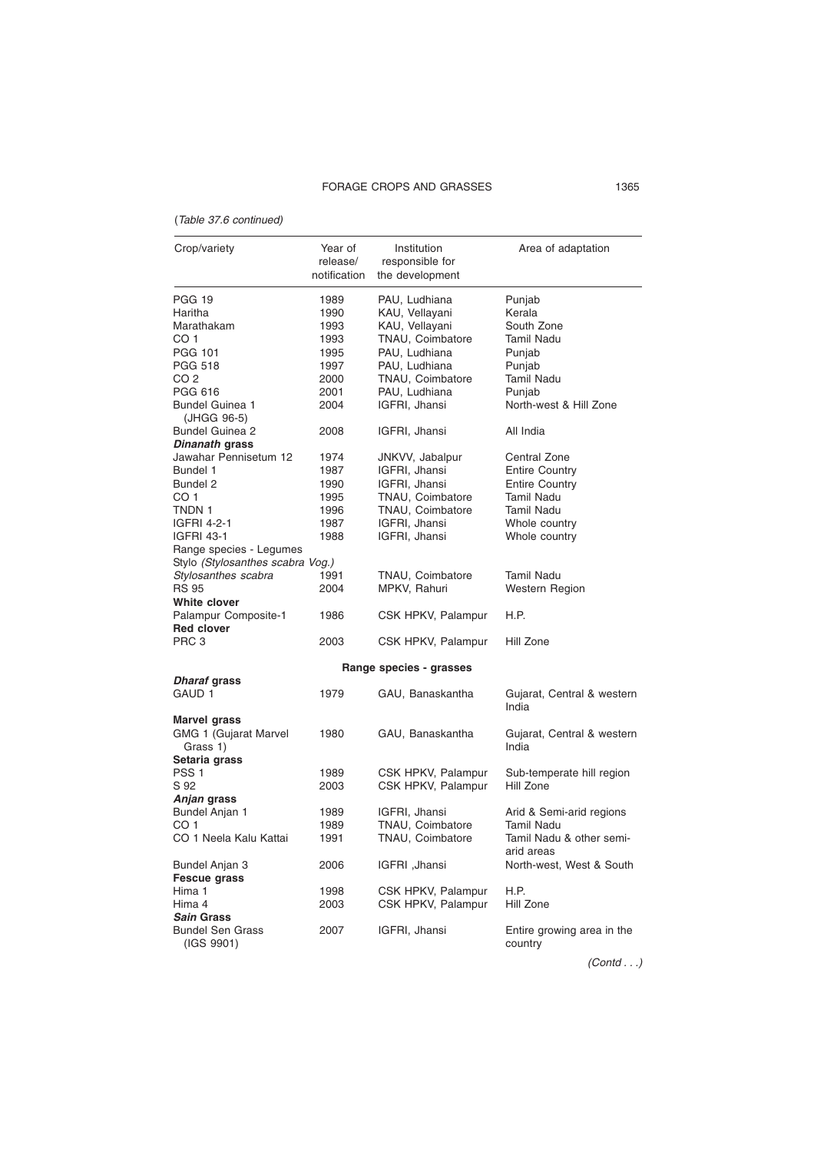# (Table 37.6 continued)

| Crop/variety                          | Year of      | Institution             | Area of adaptation                    |
|---------------------------------------|--------------|-------------------------|---------------------------------------|
|                                       | release/     | responsible for         |                                       |
|                                       | notification | the development         |                                       |
|                                       |              |                         |                                       |
| PGG 19                                | 1989         | PAU, Ludhiana           | Punjab                                |
| Haritha                               | 1990         | KAU, Vellayani          | Kerala                                |
| Marathakam                            | 1993         | KAU, Vellayani          | South Zone                            |
| CO 1                                  | 1993         | TNAU, Coimbatore        | Tamil Nadu                            |
| PGG 101                               | 1995         | PAU, Ludhiana           | Punjab                                |
| PGG 518                               | 1997         | PAU, Ludhiana           | Punjab                                |
| CO 2                                  | 2000         | TNAU, Coimbatore        | <b>Tamil Nadu</b>                     |
| <b>PGG 616</b>                        | 2001         | PAU, Ludhiana           | Punjab                                |
| Bundel Guinea 1<br>(JHGG 96-5)        | 2004         | IGFRI, Jhansi           | North-west & Hill Zone                |
| <b>Bundel Guinea 2</b>                | 2008         | IGFRI, Jhansi           | All India                             |
| <i>Dinanath</i> grass                 |              |                         |                                       |
| Jawahar Pennisetum 12                 | 1974         | JNKVV, Jabalpur         | Central Zone                          |
| Bundel 1                              | 1987         | IGFRI, Jhansi           | <b>Entire Country</b>                 |
| Bundel 2                              | 1990         | IGFRI, Jhansi           | <b>Entire Country</b>                 |
| CO 1                                  | 1995         | TNAU, Coimbatore        | <b>Tamil Nadu</b>                     |
| TNDN 1                                | 1996         | TNAU, Coimbatore        | <b>Tamil Nadu</b>                     |
|                                       |              |                         |                                       |
| IGFRI 4-2-1                           | 1987         | IGFRI, Jhansi           | Whole country                         |
| <b>IGFRI 43-1</b>                     | 1988         | IGFRI, Jhansi           | Whole country                         |
| Range species - Legumes               |              |                         |                                       |
| Stylo (Stylosanthes scabra Vog.)      |              |                         |                                       |
| Stylosanthes scabra                   | 1991         | TNAU, Coimbatore        | Tamil Nadu                            |
| <b>RS 95</b>                          | 2004         | MPKV, Rahuri            | Western Region                        |
| White clover                          |              |                         |                                       |
| Palampur Composite-1                  | 1986         | CSK HPKV, Palampur      | H.P.                                  |
| <b>Red clover</b>                     |              |                         |                                       |
| PRC 3                                 | 2003         | CSK HPKV, Palampur      | Hill Zone                             |
|                                       |              |                         |                                       |
| <i>Dharaf</i> grass                   |              | Range species - grasses |                                       |
| GAUD 1                                | 1979         | GAU, Banaskantha        | Gujarat, Central & western<br>India   |
| <b>Marvel grass</b>                   |              |                         |                                       |
| GMG 1 (Gujarat Marvel<br>Grass 1)     | 1980         | GAU, Banaskantha        | Gujarat, Central & western<br>India   |
| Setaria grass                         |              |                         |                                       |
| PSS <sub>1</sub>                      | 1989         | CSK HPKV, Palampur      | Sub-temperate hill region             |
| S 92                                  | 2003         | CSK HPKV, Palampur      | Hill Zone                             |
| Anjan grass                           |              |                         |                                       |
| Bundel Anjan 1                        | 1989         | IGFRI, Jhansi           | Arid & Semi-arid regions              |
| CO 1                                  | 1989         | TNAU, Coimbatore        | Tamil Nadu                            |
| CO 1 Neela Kalu Kattai                | 1991         | TNAU, Coimbatore        | Tamil Nadu & other semi-              |
|                                       |              |                         | arid areas                            |
| <b>Bundel Anjan 3</b>                 | 2006         | IGFRI ,Jhansi           | North-west, West & South              |
| <b>Fescue grass</b>                   |              |                         |                                       |
| Hima 1                                |              | CSK HPKV, Palampur      | H.P.                                  |
|                                       | 1998         |                         |                                       |
| Hima 4                                | 2003         | CSK HPKV, Palampur      | Hill Zone                             |
| <i><b>Sain Grass</b></i>              |              |                         |                                       |
| <b>Bundel Sen Grass</b><br>(IGS 9901) | 2007         | IGFRI, Jhansi           | Entire growing area in the<br>country |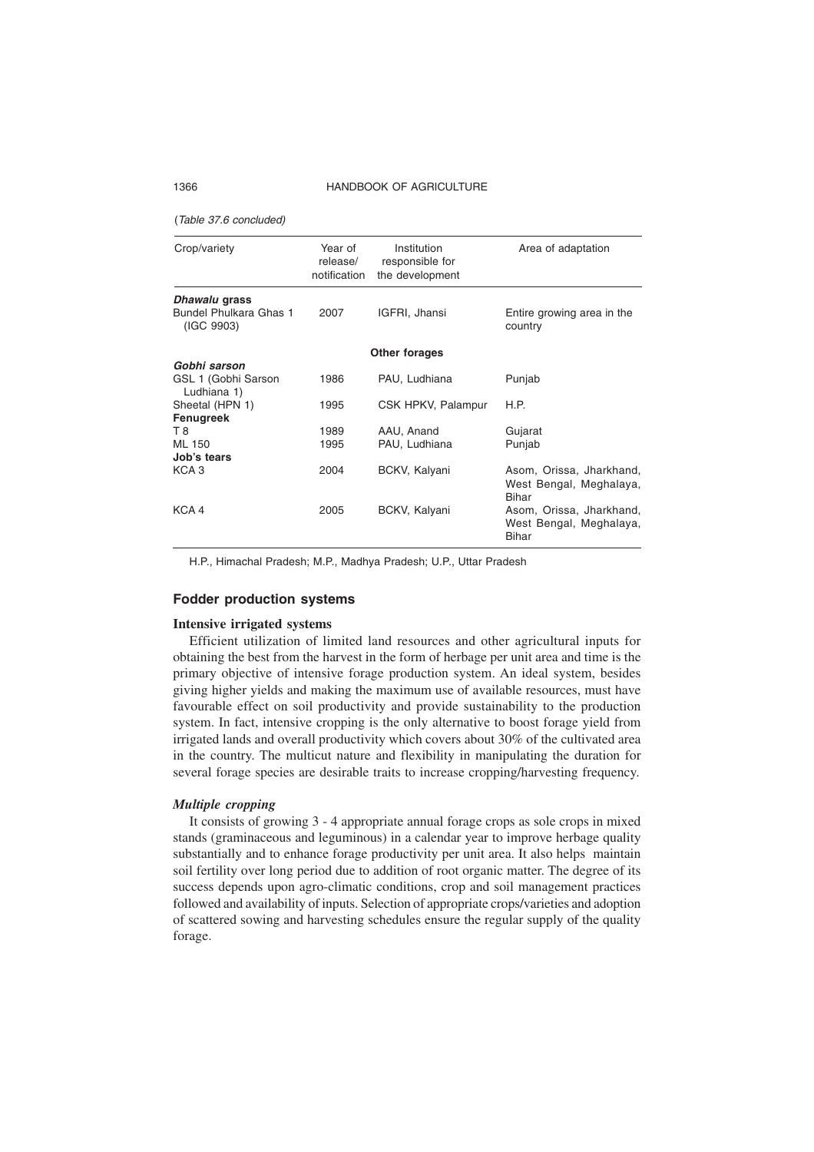(Table 37.6 concluded)

| Crop/variety                                          | Year of<br>release/<br>notification | Institution<br>responsible for<br>the development | Area of adaptation                                                  |
|-------------------------------------------------------|-------------------------------------|---------------------------------------------------|---------------------------------------------------------------------|
| Dhawalu grass<br>Bundel Phulkara Ghas 1<br>(IGC 9903) | 2007                                | IGFRI, Jhansi                                     | Entire growing area in the<br>country                               |
|                                                       |                                     | Other forages                                     |                                                                     |
| Gobhi sarson                                          |                                     |                                                   |                                                                     |
| GSL 1 (Gobhi Sarson<br>Ludhiana 1)                    | 1986                                | PAU, Ludhiana                                     | Punjab                                                              |
| Sheetal (HPN 1)                                       | 1995                                | CSK HPKV, Palampur                                | H.P.                                                                |
| Fenugreek                                             |                                     |                                                   |                                                                     |
| T 8                                                   | 1989                                | AAU, Anand                                        | Gujarat                                                             |
| ML 150                                                | 1995                                | PAU, Ludhiana                                     | Punjab                                                              |
| Job's tears                                           |                                     |                                                   |                                                                     |
| KCA <sub>3</sub>                                      | 2004                                | BCKV, Kalyani                                     | Asom, Orissa, Jharkhand,<br>West Bengal, Meghalaya,<br>Bihar        |
| KCA 4                                                 | 2005                                | BCKV, Kalyani                                     | Asom, Orissa, Jharkhand,<br>West Bengal, Meghalaya,<br><b>Bihar</b> |

H.P., Himachal Pradesh; M.P., Madhya Pradesh; U.P., Uttar Pradesh

## **Fodder production systems**

#### **Intensive irrigated systems**

Efficient utilization of limited land resources and other agricultural inputs for obtaining the best from the harvest in the form of herbage per unit area and time is the primary objective of intensive forage production system. An ideal system, besides giving higher yields and making the maximum use of available resources, must have favourable effect on soil productivity and provide sustainability to the production system. In fact, intensive cropping is the only alternative to boost forage yield from irrigated lands and overall productivity which covers about 30% of the cultivated area in the country. The multicut nature and flexibility in manipulating the duration for several forage species are desirable traits to increase cropping/harvesting frequency.

#### *Multiple cropping*

It consists of growing 3 - 4 appropriate annual forage crops as sole crops in mixed stands (graminaceous and leguminous) in a calendar year to improve herbage quality substantially and to enhance forage productivity per unit area. It also helps maintain soil fertility over long period due to addition of root organic matter. The degree of its success depends upon agro-climatic conditions, crop and soil management practices followed and availability of inputs. Selection of appropriate crops/varieties and adoption of scattered sowing and harvesting schedules ensure the regular supply of the quality forage.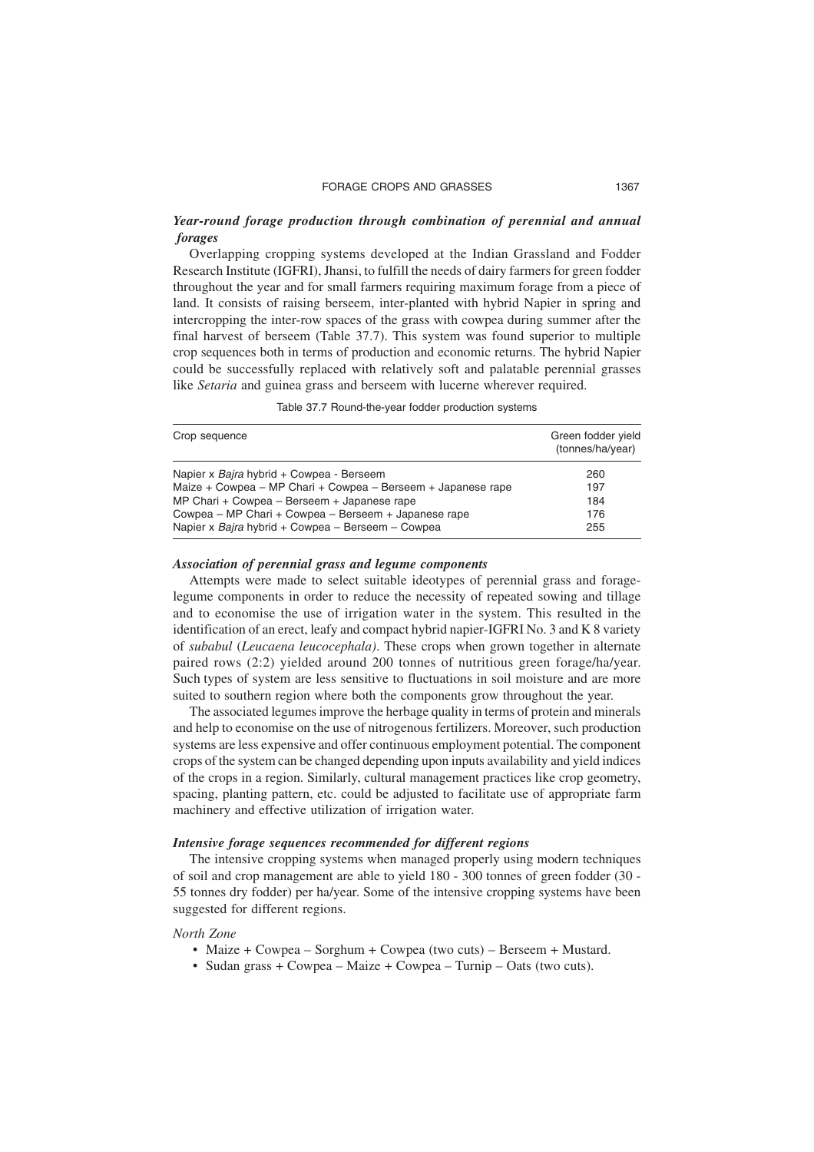# *Year-round forage production through combination of perennial and annual forages*

Overlapping cropping systems developed at the Indian Grassland and Fodder Research Institute (IGFRI), Jhansi, to fulfill the needs of dairy farmers for green fodder throughout the year and for small farmers requiring maximum forage from a piece of land. It consists of raising berseem, inter-planted with hybrid Napier in spring and intercropping the inter-row spaces of the grass with cowpea during summer after the final harvest of berseem (Table 37.7). This system was found superior to multiple crop sequences both in terms of production and economic returns. The hybrid Napier could be successfully replaced with relatively soft and palatable perennial grasses like *Setaria* and guinea grass and berseem with lucerne wherever required.

| Crop sequence                                                                                             | Green fodder yield<br>(tonnes/ha/year) |
|-----------------------------------------------------------------------------------------------------------|----------------------------------------|
| Napier x Bajra hybrid + Cowpea - Berseem                                                                  | 260                                    |
| Maize + Cowpea – MP Chari + Cowpea – Berseem + Japanese rape                                              | 197                                    |
| MP Chari + Cowpea – Berseem + Japanese rape                                                               | 184                                    |
| Cowpea – MP Chari + Cowpea – Berseem + Japanese rape<br>Napier x Bajra hybrid + Cowpea - Berseem - Cowpea | 176<br>255                             |

Table 37.7 Round-the-year fodder production systems

#### *Association of perennial grass and legume components*

Attempts were made to select suitable ideotypes of perennial grass and foragelegume components in order to reduce the necessity of repeated sowing and tillage and to economise the use of irrigation water in the system. This resulted in the identification of an erect, leafy and compact hybrid napier-IGFRI No. 3 and K 8 variety of *subabul* (*Leucaena leucocephala)*. These crops when grown together in alternate paired rows (2:2) yielded around 200 tonnes of nutritious green forage/ha/year. Such types of system are less sensitive to fluctuations in soil moisture and are more suited to southern region where both the components grow throughout the year.

The associated legumes improve the herbage quality in terms of protein and minerals and help to economise on the use of nitrogenous fertilizers. Moreover, such production systems are less expensive and offer continuous employment potential. The component crops of the system can be changed depending upon inputs availability and yield indices of the crops in a region. Similarly, cultural management practices like crop geometry, spacing, planting pattern, etc. could be adjusted to facilitate use of appropriate farm machinery and effective utilization of irrigation water.

## *Intensive forage sequences recommended for different regions*

The intensive cropping systems when managed properly using modern techniques of soil and crop management are able to yield 180 - 300 tonnes of green fodder (30 - 55 tonnes dry fodder) per ha/year. Some of the intensive cropping systems have been suggested for different regions.

#### *North Zone*

- Maize + Cowpea Sorghum + Cowpea (two cuts) Berseem + Mustard.
- Sudan grass + Cowpea Maize + Cowpea Turnip Oats (two cuts).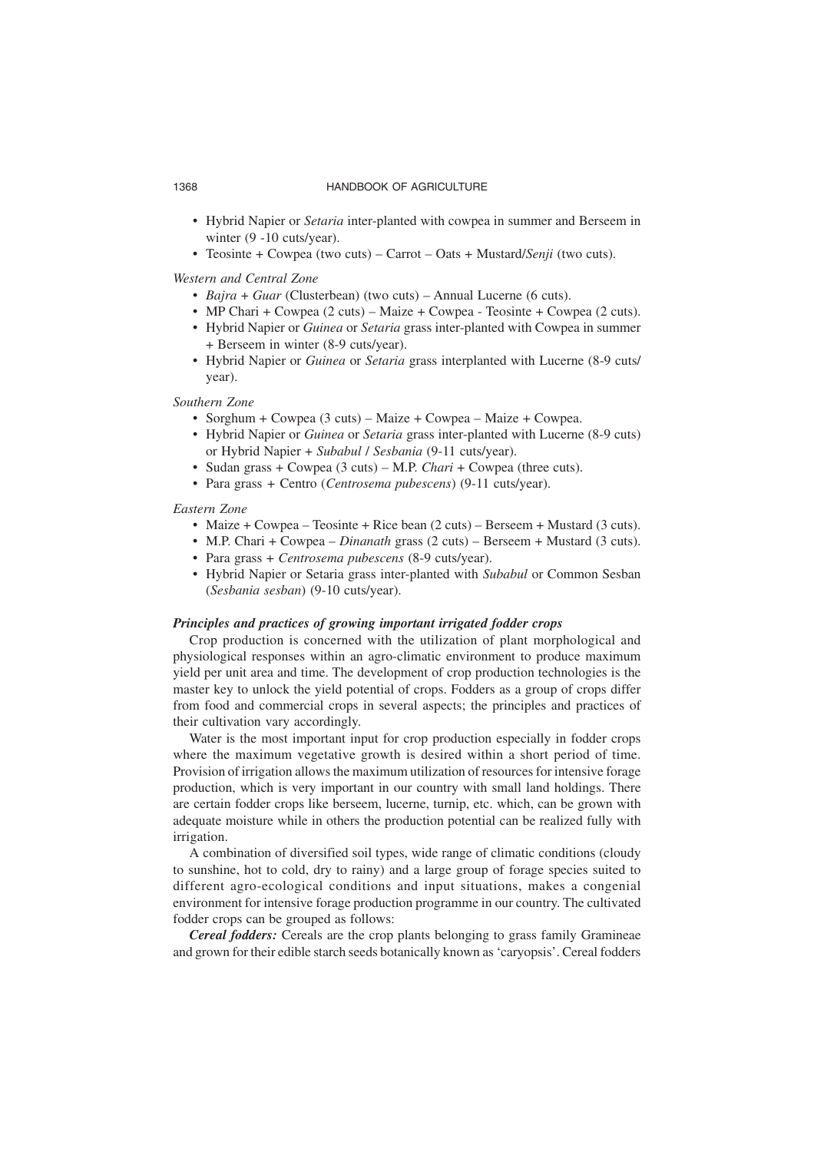- Hybrid Napier or *Setaria* inter-planted with cowpea in summer and Berseem in winter (9 -10 cuts/year).
- Teosinte + Cowpea (two cuts) Carrot Oats + Mustard/*Senji* (two cuts).

#### *Western and Central Zone*

- *Bajra* + *Guar* (Clusterbean) (two cuts) Annual Lucerne (6 cuts).
- MP Chari + Cowpea (2 cuts) Maize + Cowpea Teosinte + Cowpea (2 cuts).
- Hybrid Napier or *Guinea* or *Setaria* grass inter-planted with Cowpea in summer + Berseem in winter (8-9 cuts/year).
- Hybrid Napier or *Guinea* or *Setaria* grass interplanted with Lucerne (8-9 cuts/ year).

## *Southern Zone*

- Sorghum + Cowpea (3 cuts) Maize + Cowpea Maize + Cowpea.
- Hybrid Napier or *Guinea* or *Setaria* grass inter-planted with Lucerne (8-9 cuts) or Hybrid Napier + *Subabul* / *Sesbania* (9-11 cuts/year).
- Sudan grass + Cowpea (3 cuts) M.P. *Chari* + Cowpea (three cuts).
- Para grass *+* Centro (*Centrosema pubescens*) (9-11 cuts/year).

# *Eastern Zone*

- Maize + Cowpea Teosinte + Rice bean (2 cuts) Berseem + Mustard (3 cuts).
- M.P. Chari + Cowpea *Dinanath* grass (2 cuts) Berseem + Mustard (3 cuts).
- Para grass + *Centrosema pubescens* (8-9 cuts/year).
- Hybrid Napier or Setaria grass inter-planted with *Subabul* or Common Sesban (*Sesbania sesban*) (9-10 cuts/year).

#### *Principles and practices of growing important irrigated fodder crops*

Crop production is concerned with the utilization of plant morphological and physiological responses within an agro-climatic environment to produce maximum yield per unit area and time. The development of crop production technologies is the master key to unlock the yield potential of crops. Fodders as a group of crops differ from food and commercial crops in several aspects; the principles and practices of their cultivation vary accordingly.

Water is the most important input for crop production especially in fodder crops where the maximum vegetative growth is desired within a short period of time. Provision of irrigation allows the maximum utilization of resources for intensive forage production, which is very important in our country with small land holdings. There are certain fodder crops like berseem, lucerne, turnip, etc. which, can be grown with adequate moisture while in others the production potential can be realized fully with irrigation.

A combination of diversified soil types, wide range of climatic conditions (cloudy to sunshine, hot to cold, dry to rainy) and a large group of forage species suited to different agro-ecological conditions and input situations, makes a congenial environment for intensive forage production programme in our country. The cultivated fodder crops can be grouped as follows:

*Cereal fodders:* Cereals are the crop plants belonging to grass family Gramineae and grown for their edible starch seeds botanically known as 'caryopsis'. Cereal fodders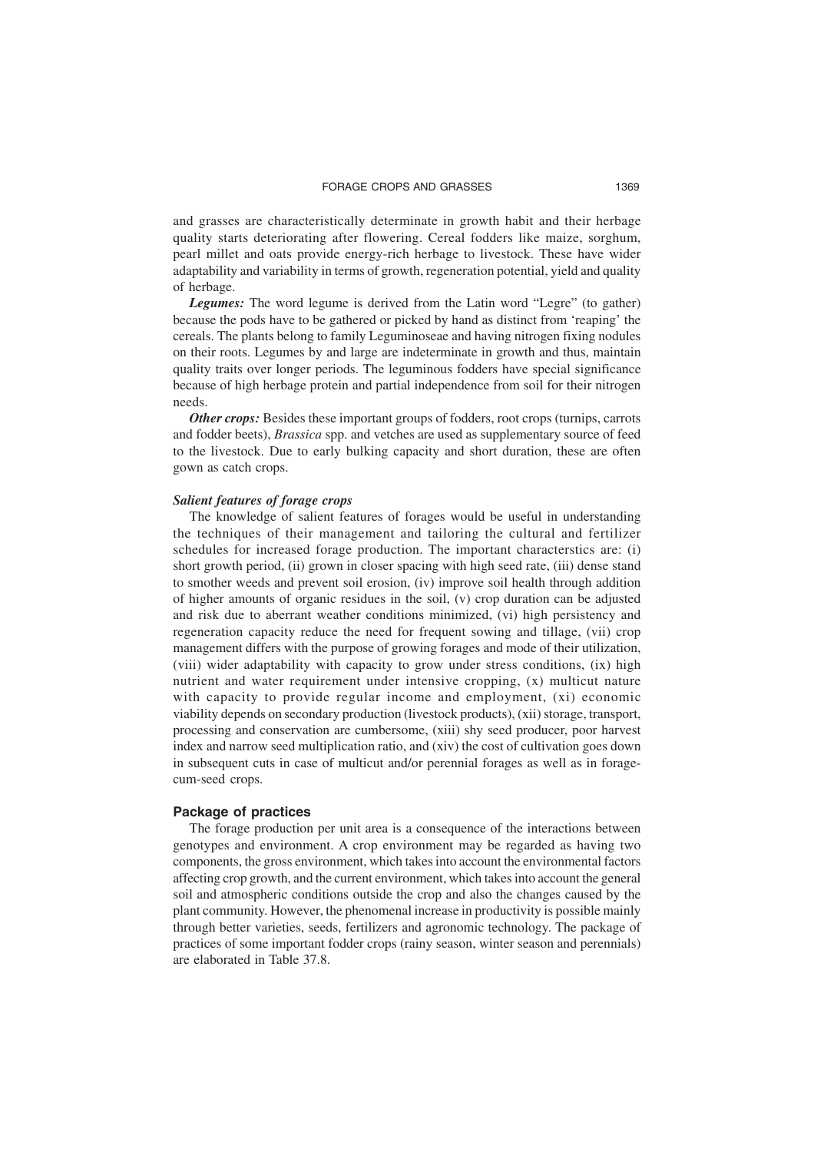and grasses are characteristically determinate in growth habit and their herbage quality starts deteriorating after flowering. Cereal fodders like maize, sorghum, pearl millet and oats provide energy-rich herbage to livestock. These have wider adaptability and variability in terms of growth, regeneration potential, yield and quality of herbage.

*Legumes:* The word legume is derived from the Latin word "Legre" (to gather) because the pods have to be gathered or picked by hand as distinct from 'reaping' the cereals. The plants belong to family Leguminoseae and having nitrogen fixing nodules on their roots. Legumes by and large are indeterminate in growth and thus, maintain quality traits over longer periods. The leguminous fodders have special significance because of high herbage protein and partial independence from soil for their nitrogen needs.

*Other crops:* Besides these important groups of fodders, root crops (turnips, carrots and fodder beets), *Brassica* spp. and vetches are used as supplementary source of feed to the livestock. Due to early bulking capacity and short duration, these are often gown as catch crops.

#### *Salient features of forage crops*

The knowledge of salient features of forages would be useful in understanding the techniques of their management and tailoring the cultural and fertilizer schedules for increased forage production. The important characterstics are: (i) short growth period, (ii) grown in closer spacing with high seed rate, (iii) dense stand to smother weeds and prevent soil erosion, (iv) improve soil health through addition of higher amounts of organic residues in the soil, (v) crop duration can be adjusted and risk due to aberrant weather conditions minimized, (vi) high persistency and regeneration capacity reduce the need for frequent sowing and tillage, (vii) crop management differs with the purpose of growing forages and mode of their utilization, (viii) wider adaptability with capacity to grow under stress conditions, (ix) high nutrient and water requirement under intensive cropping, (x) multicut nature with capacity to provide regular income and employment, (xi) economic viability depends on secondary production (livestock products), (xii) storage, transport, processing and conservation are cumbersome, (xiii) shy seed producer, poor harvest index and narrow seed multiplication ratio, and (xiv) the cost of cultivation goes down in subsequent cuts in case of multicut and/or perennial forages as well as in foragecum-seed crops.

#### **Package of practices**

The forage production per unit area is a consequence of the interactions between genotypes and environment. A crop environment may be regarded as having two components, the gross environment, which takes into account the environmental factors affecting crop growth, and the current environment, which takes into account the general soil and atmospheric conditions outside the crop and also the changes caused by the plant community. However, the phenomenal increase in productivity is possible mainly through better varieties, seeds, fertilizers and agronomic technology. The package of practices of some important fodder crops (rainy season, winter season and perennials) are elaborated in Table 37.8.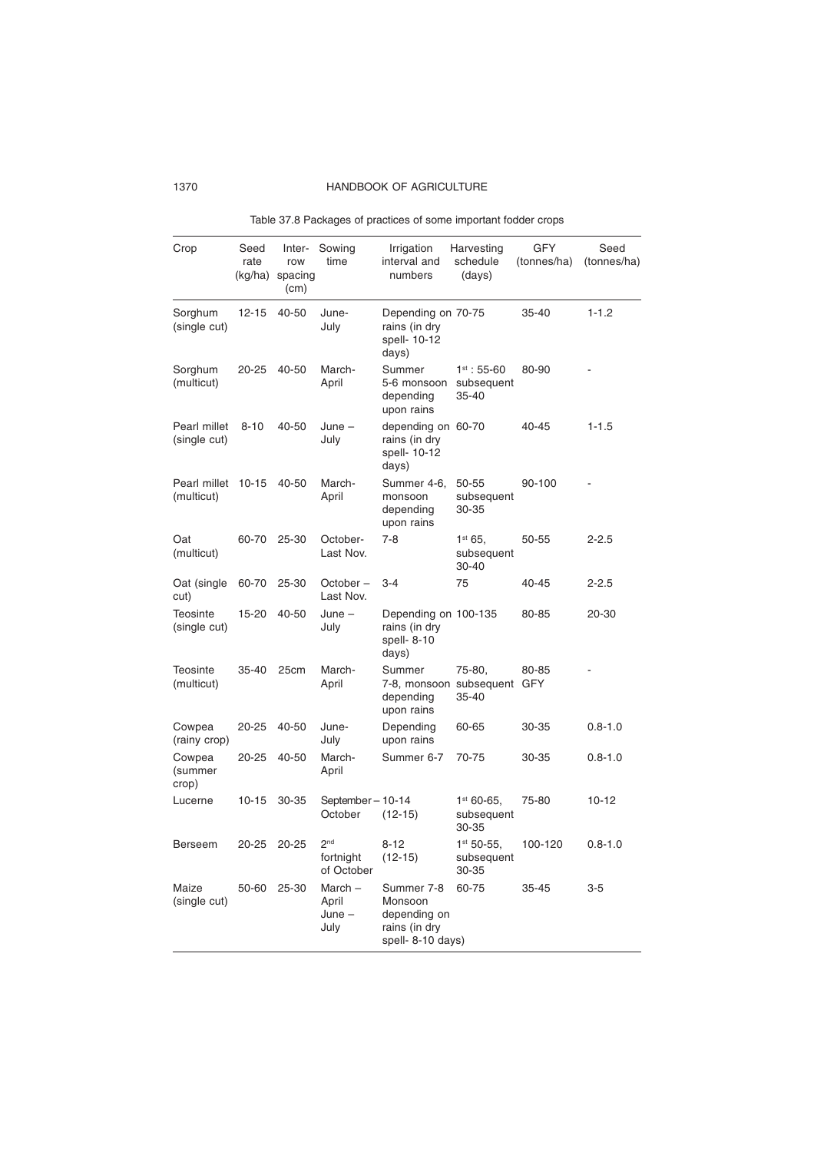| Crop                         | Seed<br>rate<br>(kg/ha) | Inter-<br>row<br>spacing<br>(cm) | Sowing<br>time                             | Irrigation<br>interval and<br>numbers                                       | Harvesting<br>schedule<br>(days)        | <b>GFY</b><br>(tonnes/ha) | Seed<br>(tonnes/ha) |
|------------------------------|-------------------------|----------------------------------|--------------------------------------------|-----------------------------------------------------------------------------|-----------------------------------------|---------------------------|---------------------|
| Sorghum<br>(single cut)      | $12 - 15$               | 40-50                            | June-<br>July                              | Depending on 70-75<br>rains (in dry<br>spell- 10-12<br>days)                |                                         | 35-40                     | $1 - 1.2$           |
| Sorghum<br>(multicut)        | $20 - 25$               | 40-50                            | March-<br>April                            | Summer<br>5-6 monsoon<br>depending<br>upon rains                            | $1^{st}$ : 55-60<br>subsequent<br>35-40 | 80-90                     |                     |
| Pearl millet<br>(single cut) | $8 - 10$                | 40-50                            | $June -$<br>July                           | depending on 60-70<br>rains (in dry<br>spell- 10-12<br>days)                |                                         | 40-45                     | $1 - 1.5$           |
| Pearl millet<br>(multicut)   | $10 - 15$               | 40-50                            | March-<br>April                            | Summer 4-6,<br>monsoon<br>depending<br>upon rains                           | 50-55<br>subsequent<br>30-35            | 90-100                    |                     |
| Oat<br>(multicut)            | 60-70                   | $25 - 30$                        | October-<br>Last Nov.                      | $7-8$                                                                       | $1^{st}$ 65,<br>subsequent<br>30-40     | 50-55                     | 2-2.5               |
| Oat (single<br>cut)          | 60-70                   | 25-30                            | October-<br>Last Nov.                      | $3 - 4$                                                                     | 75                                      | 40-45                     | $2 - 2.5$           |
| Teosinte<br>(single cut)     | 15-20                   | 40-50                            | $June -$<br>July                           | Depending on 100-135<br>rains (in dry<br>spell-8-10<br>days)                |                                         | 80-85                     | 20-30               |
| Teosinte<br>(multicut)       | 35-40                   | 25cm                             | March-<br>April                            | Summer<br>7-8, monsoon subsequent GFY<br>depending<br>upon rains            | 75-80,<br>35-40                         | 80-85                     |                     |
| Cowpea<br>(rainy crop)       | $20 - 25$               | 40-50                            | June-<br>July                              | Depending<br>upon rains                                                     | 60-65                                   | 30-35                     | $0.8 - 1.0$         |
| Cowpea<br>(summer<br>crop)   | 20-25                   | 40-50                            | March-<br>April                            | Summer 6-7                                                                  | 70-75                                   | 30-35                     | $0.8 - 1.0$         |
| Lucerne                      | $10 - 15$               | 30-35                            | September-10-14<br>October                 | $(12-15)$                                                                   | $1st 60-65$ ,<br>subsequent<br>30-35    | 75-80                     | $10 - 12$           |
| Berseem                      | 20-25                   | $20 - 25$                        | 2 <sub>nd</sub><br>fortnight<br>of October | $8 - 12$<br>$(12-15)$                                                       | $1st 50-55$ ,<br>subsequent<br>30-35    | 100-120                   | $0.8 - 1.0$         |
| Maize<br>(single cut)        | 50-60                   | 25-30                            | $March -$<br>April<br>$June -$<br>July     | Summer 7-8<br>Monsoon<br>depending on<br>rains (in dry<br>spell- 8-10 days) | 60-75                                   | $35 - 45$                 | $3-5$               |

Table 37.8 Packages of practices of some important fodder crops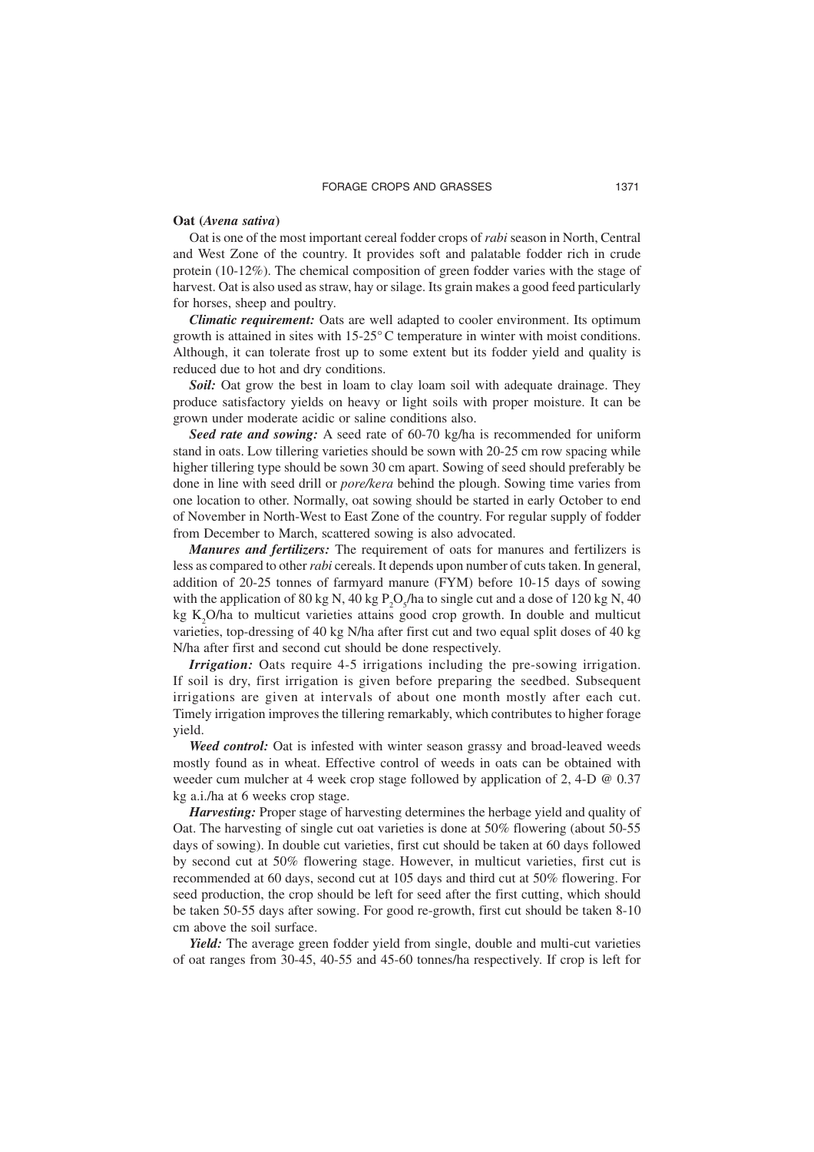#### **Oat (***Avena sativa***)**

Oat is one of the most important cereal fodder crops of *rabi* season in North, Central and West Zone of the country. It provides soft and palatable fodder rich in crude protein (10-12%). The chemical composition of green fodder varies with the stage of harvest. Oat is also used as straw, hay or silage. Its grain makes a good feed particularly for horses, sheep and poultry.

*Climatic requirement:* Oats are well adapted to cooler environment. Its optimum growth is attained in sites with 15-25°C temperature in winter with moist conditions. Although, it can tolerate frost up to some extent but its fodder yield and quality is reduced due to hot and dry conditions.

*Soil:* Oat grow the best in loam to clay loam soil with adequate drainage. They produce satisfactory yields on heavy or light soils with proper moisture. It can be grown under moderate acidic or saline conditions also.

*Seed rate and sowing:* A seed rate of 60-70 kg/ha is recommended for uniform stand in oats. Low tillering varieties should be sown with 20-25 cm row spacing while higher tillering type should be sown 30 cm apart. Sowing of seed should preferably be done in line with seed drill or *pore/kera* behind the plough. Sowing time varies from one location to other. Normally, oat sowing should be started in early October to end of November in North-West to East Zone of the country. For regular supply of fodder from December to March, scattered sowing is also advocated.

*Manures and fertilizers:* The requirement of oats for manures and fertilizers is less as compared to other *rabi* cereals. It depends upon number of cuts taken. In general, addition of 20-25 tonnes of farmyard manure (FYM) before 10-15 days of sowing with the application of 80 kg N, 40 kg  $P_2O_5/h$  to single cut and a dose of 120 kg N, 40 kg  $K_2O/ha$  to multicut varieties attains good crop growth. In double and multicut varieties, top-dressing of 40 kg N/ha after first cut and two equal split doses of 40 kg N/ha after first and second cut should be done respectively.

*Irrigation:* Oats require 4-5 irrigations including the pre-sowing irrigation. If soil is dry, first irrigation is given before preparing the seedbed. Subsequent irrigations are given at intervals of about one month mostly after each cut. Timely irrigation improves the tillering remarkably, which contributes to higher forage yield.

*Weed control:* Oat is infested with winter season grassy and broad-leaved weeds mostly found as in wheat. Effective control of weeds in oats can be obtained with weeder cum mulcher at 4 week crop stage followed by application of 2, 4-D @ 0.37 kg a.i./ha at 6 weeks crop stage.

*Harvesting:* Proper stage of harvesting determines the herbage yield and quality of Oat. The harvesting of single cut oat varieties is done at 50% flowering (about 50-55 days of sowing). In double cut varieties, first cut should be taken at 60 days followed by second cut at 50% flowering stage. However, in multicut varieties, first cut is recommended at 60 days, second cut at 105 days and third cut at 50% flowering. For seed production, the crop should be left for seed after the first cutting, which should be taken 50-55 days after sowing. For good re-growth, first cut should be taken 8-10 cm above the soil surface.

*Yield:* The average green fodder yield from single, double and multi-cut varieties of oat ranges from 30-45, 40-55 and 45-60 tonnes/ha respectively. If crop is left for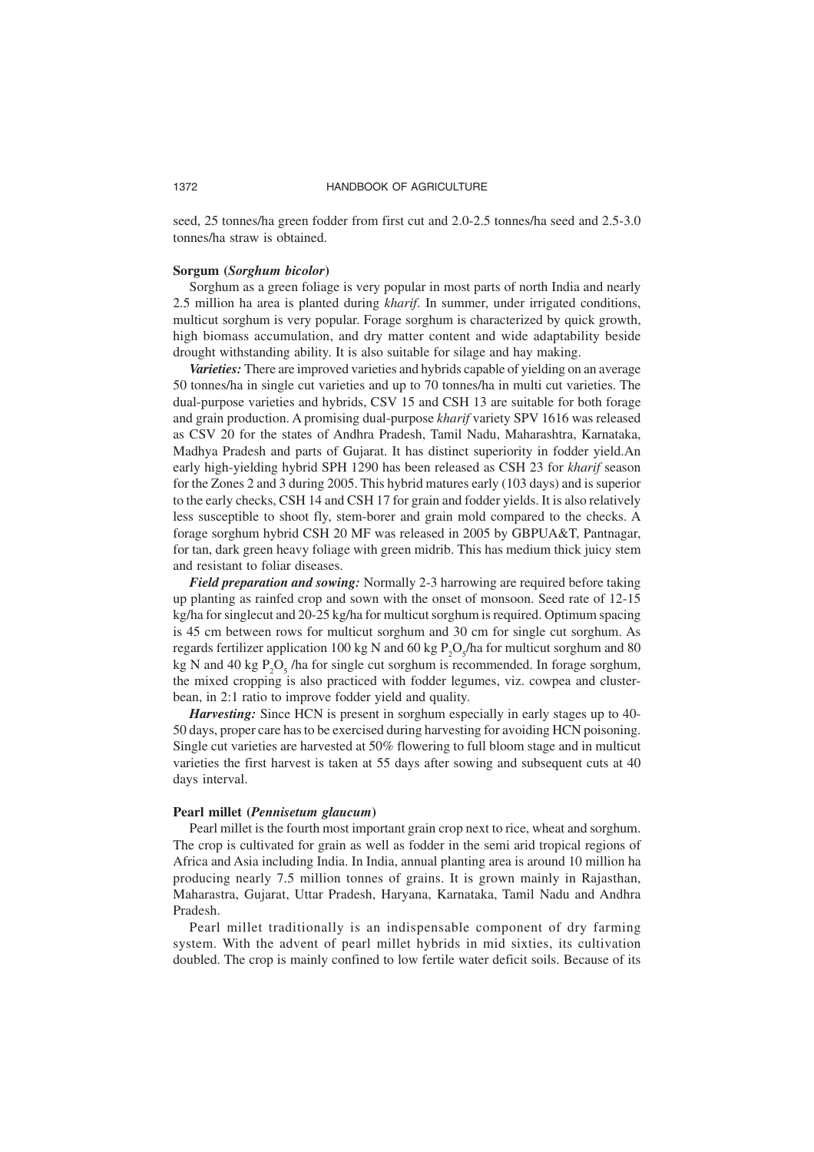seed, 25 tonnes/ha green fodder from first cut and 2.0-2.5 tonnes/ha seed and 2.5-3.0 tonnes/ha straw is obtained.

#### **Sorgum (***Sorghum bicolor***)**

Sorghum as a green foliage is very popular in most parts of north India and nearly 2.5 million ha area is planted during *kharif*. In summer, under irrigated conditions, multicut sorghum is very popular. Forage sorghum is characterized by quick growth, high biomass accumulation, and dry matter content and wide adaptability beside drought withstanding ability. It is also suitable for silage and hay making.

*Varieties:* There are improved varieties and hybrids capable of yielding on an average 50 tonnes/ha in single cut varieties and up to 70 tonnes/ha in multi cut varieties. The dual-purpose varieties and hybrids, CSV 15 and CSH 13 are suitable for both forage and grain production. A promising dual-purpose *kharif* variety SPV 1616 was released as CSV 20 for the states of Andhra Pradesh, Tamil Nadu, Maharashtra, Karnataka, Madhya Pradesh and parts of Gujarat. It has distinct superiority in fodder yield.An early high-yielding hybrid SPH 1290 has been released as CSH 23 for *kharif* season for the Zones 2 and 3 during 2005. This hybrid matures early (103 days) and is superior to the early checks, CSH 14 and CSH 17 for grain and fodder yields. It is also relatively less susceptible to shoot fly, stem-borer and grain mold compared to the checks. A forage sorghum hybrid CSH 20 MF was released in 2005 by GBPUA&T, Pantnagar, for tan, dark green heavy foliage with green midrib. This has medium thick juicy stem and resistant to foliar diseases.

*Field preparation and sowing:* Normally 2-3 harrowing are required before taking up planting as rainfed crop and sown with the onset of monsoon. Seed rate of 12-15 kg/ha for singlecut and 20-25 kg/ha for multicut sorghum is required. Optimum spacing is 45 cm between rows for multicut sorghum and 30 cm for single cut sorghum. As regards fertilizer application 100 kg N and 60 kg  $P_2O_5/h$ a for multicut sorghum and 80 kg N and 40 kg  $P_2O_5$  /ha for single cut sorghum is recommended. In forage sorghum, the mixed cropping is also practiced with fodder legumes, viz. cowpea and clusterbean, in 2:1 ratio to improve fodder yield and quality.

*Harvesting:* Since HCN is present in sorghum especially in early stages up to 40-50 days, proper care has to be exercised during harvesting for avoiding HCN poisoning. Single cut varieties are harvested at 50% flowering to full bloom stage and in multicut varieties the first harvest is taken at 55 days after sowing and subsequent cuts at 40 days interval.

#### **Pearl millet (***Pennisetum glaucum***)**

Pearl millet is the fourth most important grain crop next to rice, wheat and sorghum. The crop is cultivated for grain as well as fodder in the semi arid tropical regions of Africa and Asia including India. In India, annual planting area is around 10 million ha producing nearly 7.5 million tonnes of grains. It is grown mainly in Rajasthan, Maharastra, Gujarat, Uttar Pradesh, Haryana, Karnataka, Tamil Nadu and Andhra Pradesh.

Pearl millet traditionally is an indispensable component of dry farming system. With the advent of pearl millet hybrids in mid sixties, its cultivation doubled. The crop is mainly confined to low fertile water deficit soils. Because of its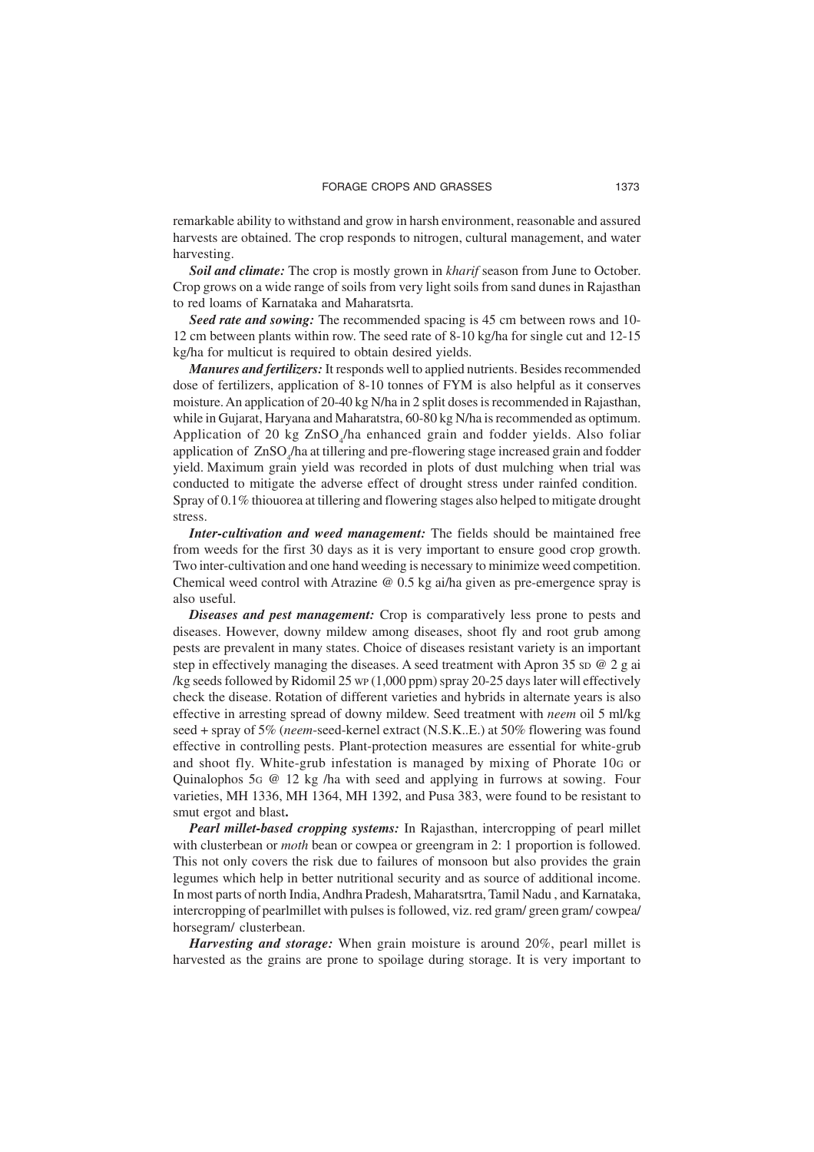remarkable ability to withstand and grow in harsh environment, reasonable and assured harvests are obtained. The crop responds to nitrogen, cultural management, and water harvesting.

*Soil and climate:* The crop is mostly grown in *kharif* season from June to October. Crop grows on a wide range of soils from very light soils from sand dunes in Rajasthan to red loams of Karnataka and Maharatsrta.

*Seed rate and sowing:* The recommended spacing is 45 cm between rows and 10- 12 cm between plants within row. The seed rate of 8-10 kg/ha for single cut and 12-15 kg/ha for multicut is required to obtain desired yields.

*Manures and fertilizers:* It responds well to applied nutrients. Besides recommended dose of fertilizers, application of 8-10 tonnes of FYM is also helpful as it conserves moisture. An application of 20-40 kg N/ha in 2 split doses is recommended in Rajasthan, while in Gujarat, Haryana and Maharatstra, 60-80 kg N/ha is recommended as optimum. Application of 20 kg ZnSO<sub>4</sub>/ha enhanced grain and fodder yields. Also foliar application of  $ZnSO_4/ha$  at tillering and pre-flowering stage increased grain and fodder yield. Maximum grain yield was recorded in plots of dust mulching when trial was conducted to mitigate the adverse effect of drought stress under rainfed condition. Spray of 0.1% thiouorea at tillering and flowering stages also helped to mitigate drought stress.

*Inter-cultivation and weed management:* The fields should be maintained free from weeds for the first 30 days as it is very important to ensure good crop growth. Two inter-cultivation and one hand weeding is necessary to minimize weed competition. Chemical weed control with Atrazine  $\omega$  0.5 kg ai/ha given as pre-emergence spray is also useful.

*Diseases and pest management:* Crop is comparatively less prone to pests and diseases. However, downy mildew among diseases, shoot fly and root grub among pests are prevalent in many states. Choice of diseases resistant variety is an important step in effectively managing the diseases. A seed treatment with Apron 35 sp  $@$  2 g ai /kg seeds followed by Ridomil 25 WP (1,000 ppm) spray 20-25 days later will effectively check the disease. Rotation of different varieties and hybrids in alternate years is also effective in arresting spread of downy mildew. Seed treatment with *neem* oil 5 ml/kg seed + spray of 5% (*neem*-seed-kernel extract (N.S.K..E.) at 50% flowering was found effective in controlling pests. Plant-protection measures are essential for white-grub and shoot fly. White-grub infestation is managed by mixing of Phorate 10G or Quinalophos 5G @ 12 kg /ha with seed and applying in furrows at sowing. Four varieties, MH 1336, MH 1364, MH 1392, and Pusa 383, were found to be resistant to smut ergot and blast**.** 

*Pearl millet-based cropping systems:* In Rajasthan, intercropping of pearl millet with clusterbean or *moth* bean or cowpea or greengram in 2: 1 proportion is followed. This not only covers the risk due to failures of monsoon but also provides the grain legumes which help in better nutritional security and as source of additional income. In most parts of north India, Andhra Pradesh, Maharatsrtra, Tamil Nadu , and Karnataka, intercropping of pearlmillet with pulses is followed, viz. red gram/ green gram/ cowpea/ horsegram/ clusterbean.

*Harvesting and storage:* When grain moisture is around 20%, pearl millet is harvested as the grains are prone to spoilage during storage. It is very important to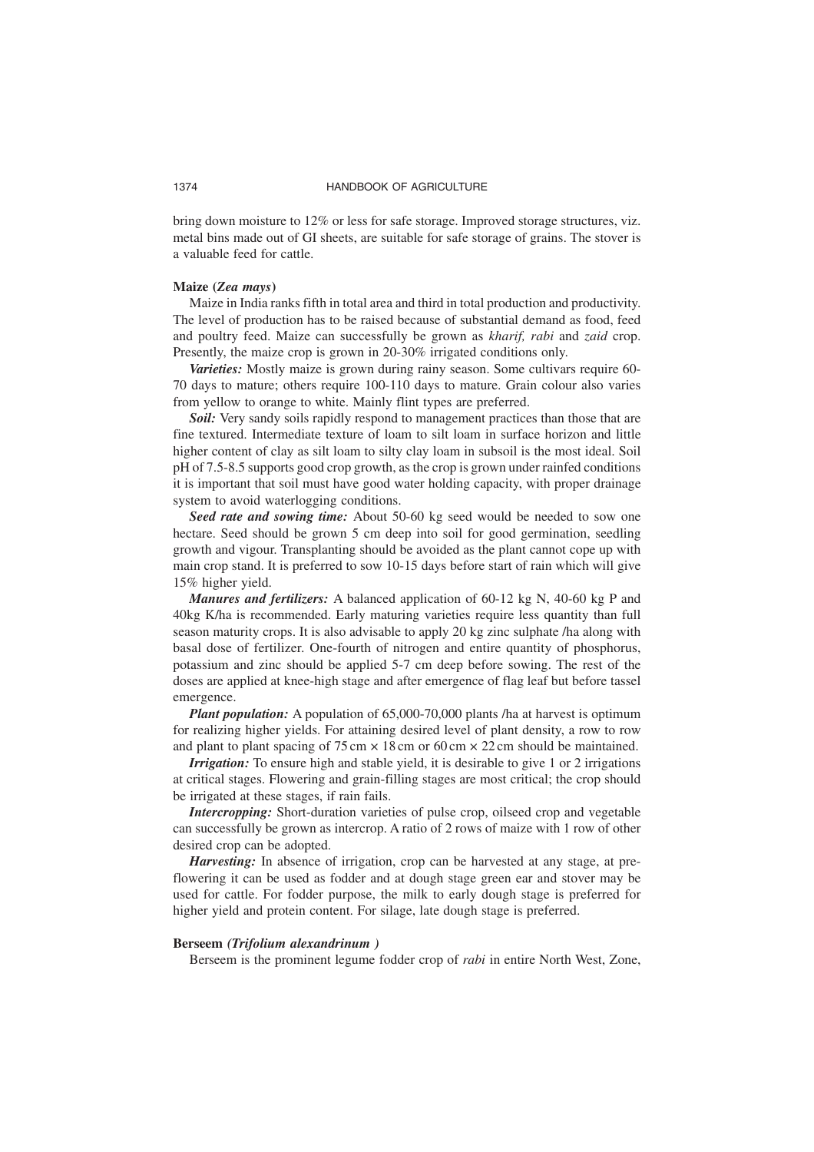bring down moisture to 12% or less for safe storage. Improved storage structures, viz. metal bins made out of GI sheets, are suitable for safe storage of grains. The stover is a valuable feed for cattle.

#### **Maize (***Zea mays***)**

Maize in India ranks fifth in total area and third in total production and productivity. The level of production has to be raised because of substantial demand as food, feed and poultry feed. Maize can successfully be grown as *kharif, rabi* and *zaid* crop. Presently, the maize crop is grown in 20-30% irrigated conditions only.

*Varieties:* Mostly maize is grown during rainy season. Some cultivars require 60- 70 days to mature; others require 100-110 days to mature. Grain colour also varies from yellow to orange to white. Mainly flint types are preferred.

*Soil:* Very sandy soils rapidly respond to management practices than those that are fine textured. Intermediate texture of loam to silt loam in surface horizon and little higher content of clay as silt loam to silty clay loam in subsoil is the most ideal. Soil pH of 7.5-8.5 supports good crop growth, as the crop is grown under rainfed conditions it is important that soil must have good water holding capacity, with proper drainage system to avoid waterlogging conditions.

*Seed rate and sowing time:* About 50-60 kg seed would be needed to sow one hectare. Seed should be grown 5 cm deep into soil for good germination, seedling growth and vigour. Transplanting should be avoided as the plant cannot cope up with main crop stand. It is preferred to sow 10-15 days before start of rain which will give 15% higher yield.

*Manures and fertilizers:* A balanced application of 60-12 kg N, 40-60 kg P and 40kg K/ha is recommended. Early maturing varieties require less quantity than full season maturity crops. It is also advisable to apply 20 kg zinc sulphate /ha along with basal dose of fertilizer. One-fourth of nitrogen and entire quantity of phosphorus, potassium and zinc should be applied 5-7 cm deep before sowing. The rest of the doses are applied at knee-high stage and after emergence of flag leaf but before tassel emergence.

*Plant population:* A population of 65,000-70,000 plants /ha at harvest is optimum for realizing higher yields. For attaining desired level of plant density, a row to row and plant to plant spacing of  $75 \text{ cm} \times 18 \text{ cm}$  or  $60 \text{ cm} \times 22 \text{ cm}$  should be maintained.

*Irrigation:* To ensure high and stable yield, it is desirable to give 1 or 2 irrigations at critical stages. Flowering and grain-filling stages are most critical; the crop should be irrigated at these stages, if rain fails.

*Intercropping:* Short-duration varieties of pulse crop, oilseed crop and vegetable can successfully be grown as intercrop. A ratio of 2 rows of maize with 1 row of other desired crop can be adopted.

*Harvesting:* In absence of irrigation, crop can be harvested at any stage, at preflowering it can be used as fodder and at dough stage green ear and stover may be used for cattle. For fodder purpose, the milk to early dough stage is preferred for higher yield and protein content. For silage, late dough stage is preferred.

#### **Berseem** *(Trifolium alexandrinum )*

Berseem is the prominent legume fodder crop of *rabi* in entire North West, Zone,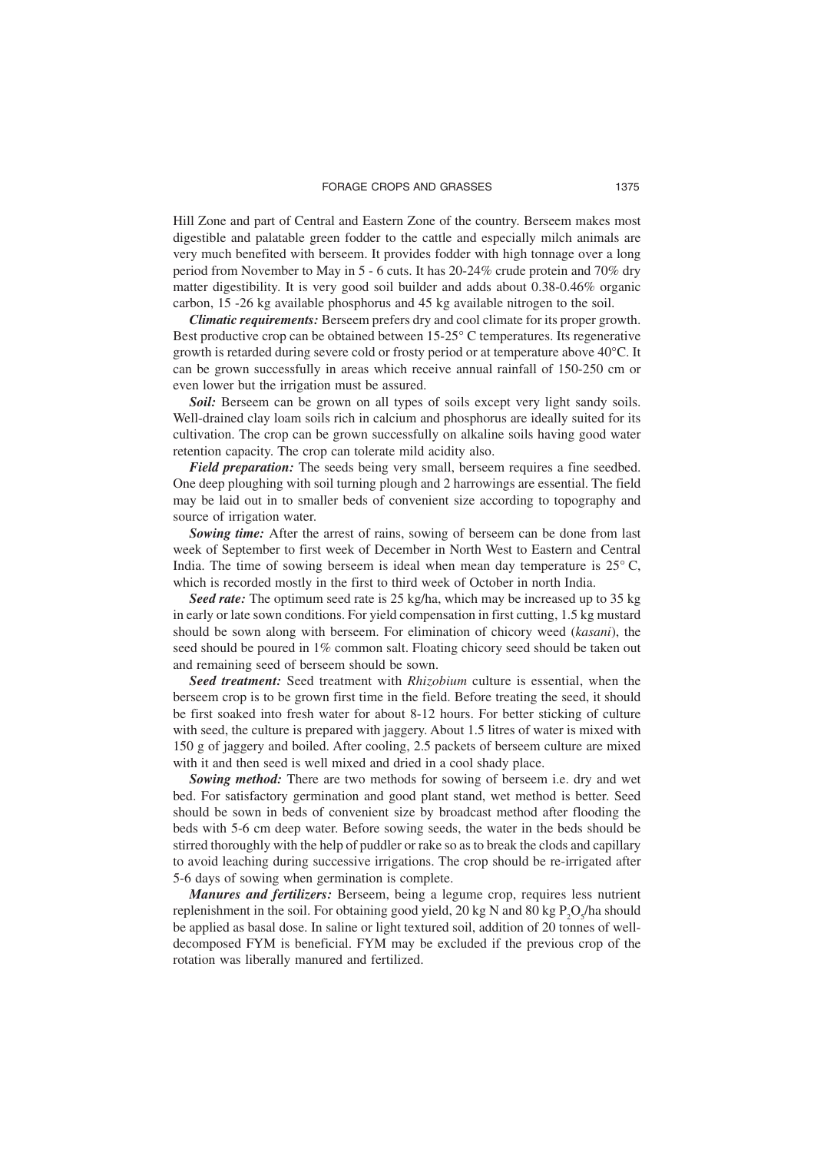Hill Zone and part of Central and Eastern Zone of the country. Berseem makes most digestible and palatable green fodder to the cattle and especially milch animals are very much benefited with berseem. It provides fodder with high tonnage over a long period from November to May in 5 - 6 cuts. It has 20-24% crude protein and 70% dry matter digestibility. It is very good soil builder and adds about 0.38-0.46% organic carbon, 15 -26 kg available phosphorus and 45 kg available nitrogen to the soil.

*Climatic requirements:* Berseem prefers dry and cool climate for its proper growth. Best productive crop can be obtained between 15-25° C temperatures. Its regenerative growth is retarded during severe cold or frosty period or at temperature above 40°C. It can be grown successfully in areas which receive annual rainfall of 150-250 cm or even lower but the irrigation must be assured.

*Soil:* Berseem can be grown on all types of soils except very light sandy soils. Well-drained clay loam soils rich in calcium and phosphorus are ideally suited for its cultivation. The crop can be grown successfully on alkaline soils having good water retention capacity. The crop can tolerate mild acidity also.

*Field preparation:* The seeds being very small, berseem requires a fine seedbed. One deep ploughing with soil turning plough and 2 harrowings are essential. The field may be laid out in to smaller beds of convenient size according to topography and source of irrigation water.

*Sowing time:* After the arrest of rains, sowing of berseem can be done from last week of September to first week of December in North West to Eastern and Central India. The time of sowing berseem is ideal when mean day temperature is  $25^{\circ}$  C, which is recorded mostly in the first to third week of October in north India.

*Seed rate:* The optimum seed rate is 25 kg/ha, which may be increased up to 35 kg in early or late sown conditions. For yield compensation in first cutting, 1.5 kg mustard should be sown along with berseem. For elimination of chicory weed (*kasani*), the seed should be poured in 1% common salt. Floating chicory seed should be taken out and remaining seed of berseem should be sown.

*Seed treatment:* Seed treatment with *Rhizobium* culture is essential, when the berseem crop is to be grown first time in the field. Before treating the seed, it should be first soaked into fresh water for about 8-12 hours. For better sticking of culture with seed, the culture is prepared with jaggery. About 1.5 litres of water is mixed with 150 g of jaggery and boiled. After cooling, 2.5 packets of berseem culture are mixed with it and then seed is well mixed and dried in a cool shady place.

*Sowing method:* There are two methods for sowing of berseem i.e. dry and wet bed. For satisfactory germination and good plant stand, wet method is better. Seed should be sown in beds of convenient size by broadcast method after flooding the beds with 5-6 cm deep water. Before sowing seeds, the water in the beds should be stirred thoroughly with the help of puddler or rake so as to break the clods and capillary to avoid leaching during successive irrigations. The crop should be re-irrigated after 5-6 days of sowing when germination is complete.

*Manures and fertilizers:* Berseem, being a legume crop, requires less nutrient replenishment in the soil. For obtaining good yield, 20 kg N and 80 kg  $P_2O_5/h$ a should be applied as basal dose. In saline or light textured soil, addition of 20 tonnes of welldecomposed FYM is beneficial. FYM may be excluded if the previous crop of the rotation was liberally manured and fertilized.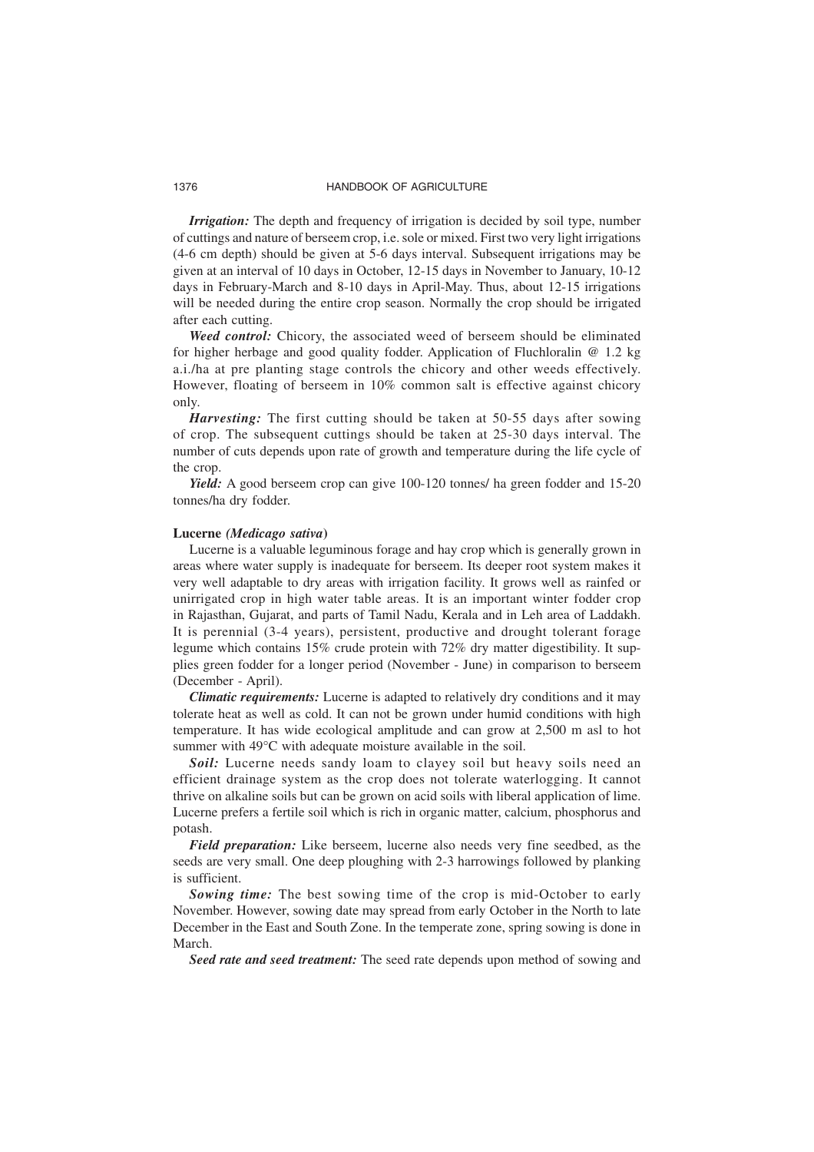*Irrigation:* The depth and frequency of irrigation is decided by soil type, number of cuttings and nature of berseem crop, i.e. sole or mixed. First two very light irrigations (4-6 cm depth) should be given at 5-6 days interval. Subsequent irrigations may be given at an interval of 10 days in October, 12-15 days in November to January, 10-12 days in February-March and 8-10 days in April-May. Thus, about 12-15 irrigations will be needed during the entire crop season. Normally the crop should be irrigated after each cutting.

*Weed control:* Chicory, the associated weed of berseem should be eliminated for higher herbage and good quality fodder. Application of Fluchloralin @ 1.2 kg a.i./ha at pre planting stage controls the chicory and other weeds effectively. However, floating of berseem in 10% common salt is effective against chicory only.

*Harvesting:* The first cutting should be taken at 50-55 days after sowing of crop. The subsequent cuttings should be taken at 25-30 days interval. The number of cuts depends upon rate of growth and temperature during the life cycle of the crop.

*Yield:* A good berseem crop can give 100-120 tonnes/ ha green fodder and 15-20 tonnes/ha dry fodder.

#### **Lucerne** *(Medicago sativa***)**

Lucerne is a valuable leguminous forage and hay crop which is generally grown in areas where water supply is inadequate for berseem. Its deeper root system makes it very well adaptable to dry areas with irrigation facility. It grows well as rainfed or unirrigated crop in high water table areas. It is an important winter fodder crop in Rajasthan, Gujarat, and parts of Tamil Nadu, Kerala and in Leh area of Laddakh. It is perennial (3-4 years), persistent, productive and drought tolerant forage legume which contains 15% crude protein with 72% dry matter digestibility. It supplies green fodder for a longer period (November - June) in comparison to berseem (December - April).

*Climatic requirements:* Lucerne is adapted to relatively dry conditions and it may tolerate heat as well as cold. It can not be grown under humid conditions with high temperature. It has wide ecological amplitude and can grow at 2,500 m asl to hot summer with 49°C with adequate moisture available in the soil.

**Soil:** Lucerne needs sandy loam to clayey soil but heavy soils need an efficient drainage system as the crop does not tolerate waterlogging. It cannot thrive on alkaline soils but can be grown on acid soils with liberal application of lime. Lucerne prefers a fertile soil which is rich in organic matter, calcium, phosphorus and potash.

*Field preparation:* Like berseem, lucerne also needs very fine seedbed, as the seeds are very small. One deep ploughing with 2-3 harrowings followed by planking is sufficient.

*Sowing time:* The best sowing time of the crop is mid-October to early November. However, sowing date may spread from early October in the North to late December in the East and South Zone. In the temperate zone, spring sowing is done in March.

*Seed rate and seed treatment:* The seed rate depends upon method of sowing and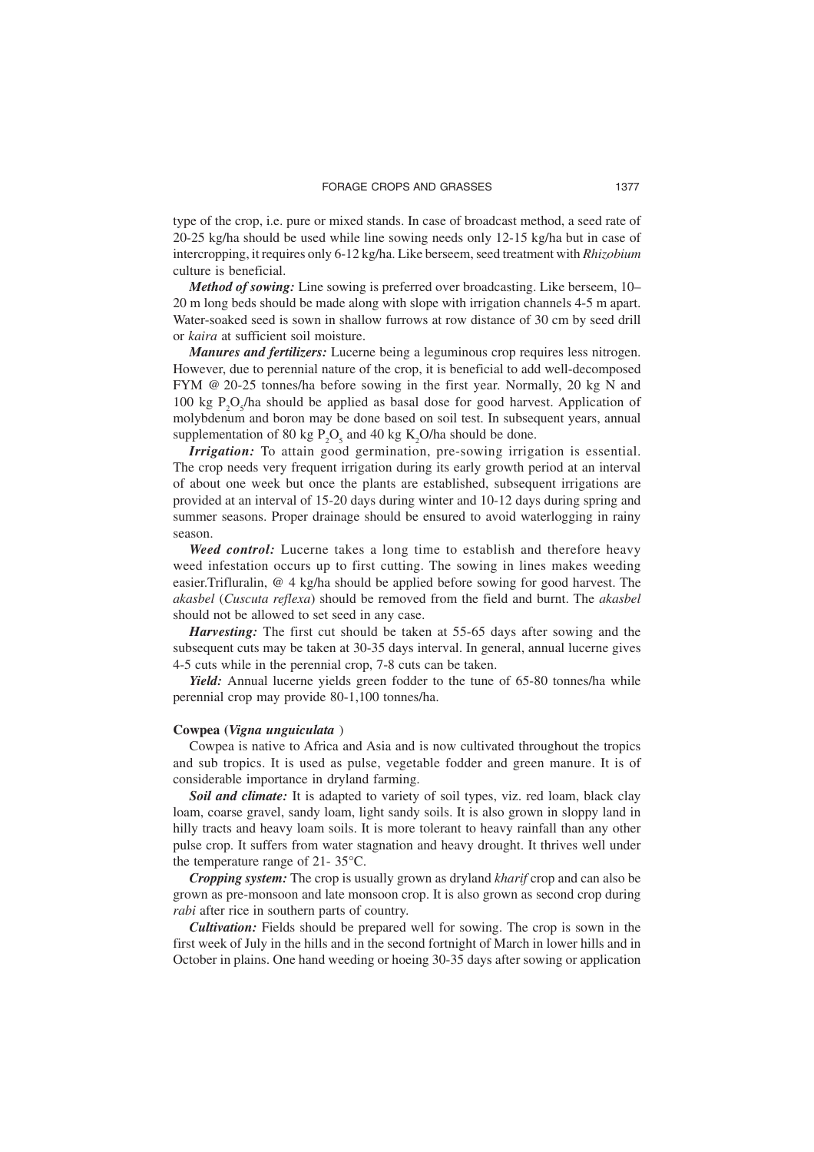type of the crop, i.e. pure or mixed stands. In case of broadcast method, a seed rate of 20-25 kg/ha should be used while line sowing needs only 12-15 kg/ha but in case of intercropping, it requires only 6-12 kg/ha. Like berseem, seed treatment with *Rhizobium* culture is beneficial.

*Method of sowing:* Line sowing is preferred over broadcasting. Like berseem, 10– 20 m long beds should be made along with slope with irrigation channels 4-5 m apart. Water-soaked seed is sown in shallow furrows at row distance of 30 cm by seed drill or *kaira* at sufficient soil moisture.

*Manures and fertilizers:* Lucerne being a leguminous crop requires less nitrogen. However, due to perennial nature of the crop, it is beneficial to add well-decomposed FYM @ 20-25 tonnes/ha before sowing in the first year. Normally, 20 kg N and 100 kg  $P_2O_5/ha$  should be applied as basal dose for good harvest. Application of molybdenum and boron may be done based on soil test. In subsequent years, annual supplementation of 80 kg  $P_2O_5$  and 40 kg K<sub>2</sub>O/ha should be done.

*Irrigation:* To attain good germination, pre-sowing irrigation is essential. The crop needs very frequent irrigation during its early growth period at an interval of about one week but once the plants are established, subsequent irrigations are provided at an interval of 15-20 days during winter and 10-12 days during spring and summer seasons. Proper drainage should be ensured to avoid waterlogging in rainy season.

*Weed control:* Lucerne takes a long time to establish and therefore heavy weed infestation occurs up to first cutting. The sowing in lines makes weeding easier.Trifluralin, @ 4 kg/ha should be applied before sowing for good harvest. The *akasbel* (*Cuscuta reflexa*) should be removed from the field and burnt. The *akasbel* should not be allowed to set seed in any case.

*Harvesting:* The first cut should be taken at 55-65 days after sowing and the subsequent cuts may be taken at 30-35 days interval. In general, annual lucerne gives 4-5 cuts while in the perennial crop, 7-8 cuts can be taken.

*Yield:* Annual lucerne yields green fodder to the tune of 65-80 tonnes/ha while perennial crop may provide 80-1,100 tonnes/ha.

#### **Cowpea (***Vigna unguiculata* )

Cowpea is native to Africa and Asia and is now cultivated throughout the tropics and sub tropics. It is used as pulse, vegetable fodder and green manure. It is of considerable importance in dryland farming.

*Soil and climate:* It is adapted to variety of soil types, viz. red loam, black clay loam, coarse gravel, sandy loam, light sandy soils. It is also grown in sloppy land in hilly tracts and heavy loam soils. It is more tolerant to heavy rainfall than any other pulse crop. It suffers from water stagnation and heavy drought. It thrives well under the temperature range of 21- 35°C.

*Cropping system:* The crop is usually grown as dryland *kharif* crop and can also be grown as pre-monsoon and late monsoon crop. It is also grown as second crop during *rabi* after rice in southern parts of country.

*Cultivation:* Fields should be prepared well for sowing. The crop is sown in the first week of July in the hills and in the second fortnight of March in lower hills and in October in plains. One hand weeding or hoeing 30-35 days after sowing or application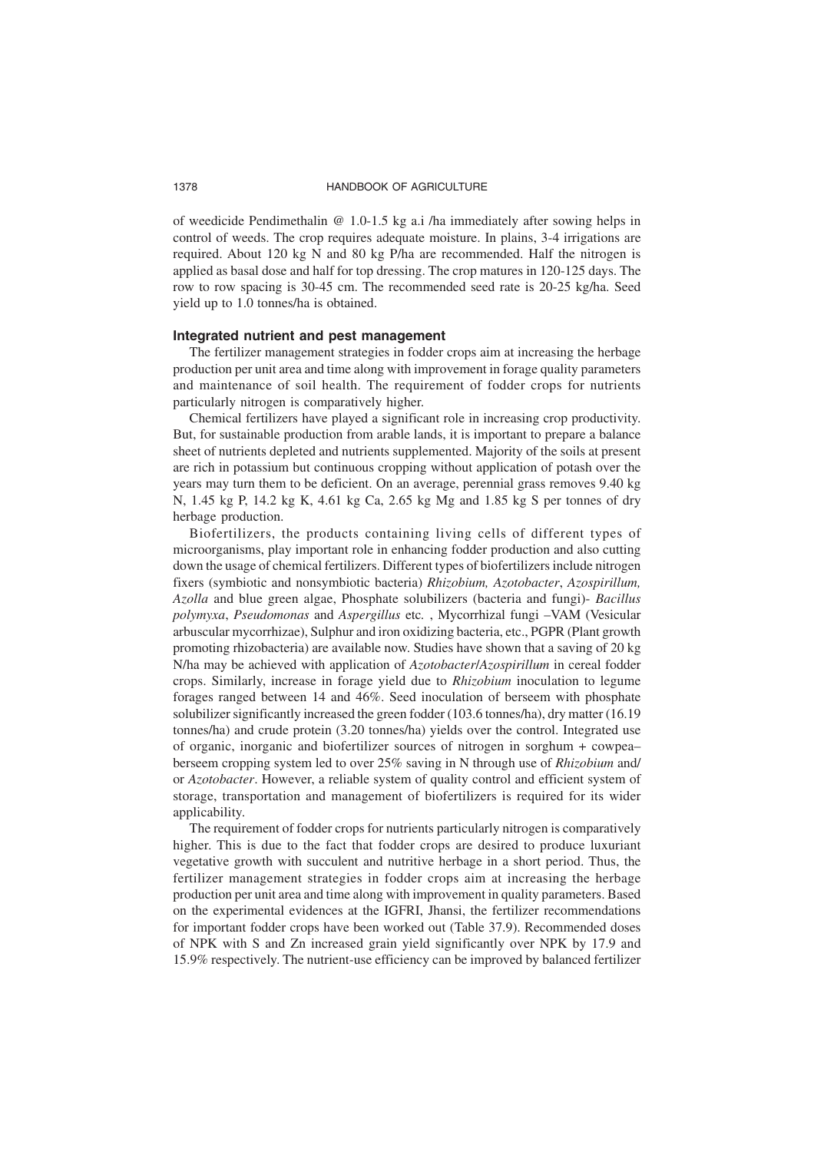of weedicide Pendimethalin @ 1.0-1.5 kg a.i /ha immediately after sowing helps in control of weeds. The crop requires adequate moisture. In plains, 3-4 irrigations are required. About 120 kg N and 80 kg P/ha are recommended. Half the nitrogen is applied as basal dose and half for top dressing. The crop matures in 120-125 days. The row to row spacing is 30-45 cm. The recommended seed rate is 20-25 kg/ha. Seed yield up to 1.0 tonnes/ha is obtained.

#### **Integrated nutrient and pest management**

The fertilizer management strategies in fodder crops aim at increasing the herbage production per unit area and time along with improvement in forage quality parameters and maintenance of soil health. The requirement of fodder crops for nutrients particularly nitrogen is comparatively higher.

Chemical fertilizers have played a significant role in increasing crop productivity. But, for sustainable production from arable lands, it is important to prepare a balance sheet of nutrients depleted and nutrients supplemented. Majority of the soils at present are rich in potassium but continuous cropping without application of potash over the years may turn them to be deficient. On an average, perennial grass removes 9.40 kg N, 1.45 kg P, 14.2 kg K, 4.61 kg Ca, 2.65 kg Mg and 1.85 kg S per tonnes of dry herbage production.

Biofertilizers, the products containing living cells of different types of microorganisms, play important role in enhancing fodder production and also cutting down the usage of chemical fertilizers. Different types of biofertilizers include nitrogen fixers (symbiotic and nonsymbiotic bacteria) *Rhizobium, Azotobacter*, *Azospirillum, Azolla* and blue green algae, Phosphate solubilizers (bacteria and fungi)- *Bacillus polymyxa*, *Pseudomonas* and *Aspergillus* etc*.* , Mycorrhizal fungi –VAM (Vesicular arbuscular mycorrhizae), Sulphur and iron oxidizing bacteria, etc., PGPR (Plant growth promoting rhizobacteria) are available now. Studies have shown that a saving of 20 kg N/ha may be achieved with application of *Azotobacter*/*Azospirillum* in cereal fodder crops. Similarly, increase in forage yield due to *Rhizobium* inoculation to legume forages ranged between 14 and 46%. Seed inoculation of berseem with phosphate solubilizer significantly increased the green fodder (103.6 tonnes/ha), dry matter (16.19 tonnes/ha) and crude protein (3.20 tonnes/ha) yields over the control. Integrated use of organic, inorganic and biofertilizer sources of nitrogen in sorghum + cowpea– berseem cropping system led to over 25% saving in N through use of *Rhizobium* and/ or *Azotobacter*. However, a reliable system of quality control and efficient system of storage, transportation and management of biofertilizers is required for its wider applicability.

The requirement of fodder crops for nutrients particularly nitrogen is comparatively higher. This is due to the fact that fodder crops are desired to produce luxuriant vegetative growth with succulent and nutritive herbage in a short period. Thus, the fertilizer management strategies in fodder crops aim at increasing the herbage production per unit area and time along with improvement in quality parameters. Based on the experimental evidences at the IGFRI, Jhansi, the fertilizer recommendations for important fodder crops have been worked out (Table 37.9). Recommended doses of NPK with S and Zn increased grain yield significantly over NPK by 17.9 and 15.9% respectively. The nutrient-use efficiency can be improved by balanced fertilizer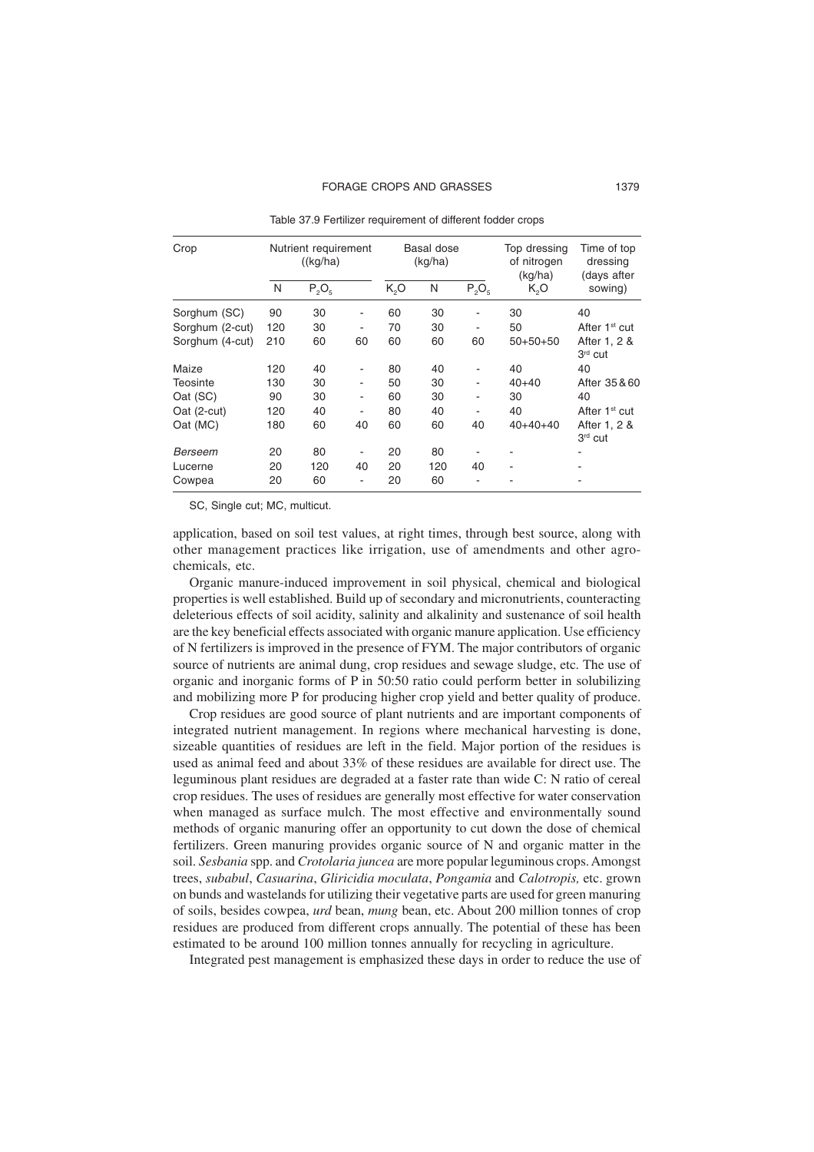| Crop            |     | Nutrient requirement<br>((kg/ha) |    |                  | Basal dose<br>(kg/ha) |                              | Top dressing<br>of nitrogen<br>(kg/ha) | Time of top<br>dressing<br>(days after |
|-----------------|-----|----------------------------------|----|------------------|-----------------------|------------------------------|----------------------------------------|----------------------------------------|
|                 | N   | $P_2O_5$                         |    | K <sub>2</sub> O | N                     | $P_2O_5$                     | K,O                                    | sowing)                                |
| Sorghum (SC)    | 90  | 30                               |    | 60               | 30                    | $\overline{a}$               | 30                                     | 40                                     |
| Sorghum (2-cut) | 120 | 30                               |    | 70               | 30                    | ۰                            | 50                                     | After 1 <sup>st</sup> cut              |
| Sorghum (4-cut) | 210 | 60                               | 60 | 60               | 60                    | 60                           | $50+50+50$                             | After 1, 2 &<br>3rd cut                |
| Maize           | 120 | 40                               |    | 80               | 40                    | ٠                            | 40                                     | 40                                     |
| Teosinte        | 130 | 30                               | ۰  | 50               | 30                    | -                            | $40 + 40$                              | After 35 & 60                          |
| Oat (SC)        | 90  | 30                               |    | 60               | 30                    | $\qquad \qquad \blacksquare$ | 30                                     | 40                                     |
| Oat (2-cut)     | 120 | 40                               |    | 80               | 40                    |                              | 40                                     | After 1 <sup>st</sup> cut              |
| Oat (MC)        | 180 | 60                               | 40 | 60               | 60                    | 40                           | $40+40+40$                             | After 1, 2 &<br>3rd cut                |
| Berseem         | 20  | 80                               |    | 20               | 80                    |                              |                                        |                                        |
| Lucerne         | 20  | 120                              | 40 | 20               | 120                   | 40                           |                                        |                                        |
| Cowpea          | 20  | 60                               |    | 20               | 60                    |                              |                                        |                                        |

Table 37.9 Fertilizer requirement of different fodder crops

SC, Single cut; MC, multicut.

application, based on soil test values, at right times, through best source, along with other management practices like irrigation, use of amendments and other agrochemicals, etc.

Organic manure-induced improvement in soil physical, chemical and biological properties is well established. Build up of secondary and micronutrients, counteracting deleterious effects of soil acidity, salinity and alkalinity and sustenance of soil health are the key beneficial effects associated with organic manure application. Use efficiency of N fertilizers is improved in the presence of FYM. The major contributors of organic source of nutrients are animal dung, crop residues and sewage sludge, etc*.* The use of organic and inorganic forms of P in 50:50 ratio could perform better in solubilizing and mobilizing more P for producing higher crop yield and better quality of produce.

Crop residues are good source of plant nutrients and are important components of integrated nutrient management. In regions where mechanical harvesting is done, sizeable quantities of residues are left in the field. Major portion of the residues is used as animal feed and about 33% of these residues are available for direct use. The leguminous plant residues are degraded at a faster rate than wide C: N ratio of cereal crop residues. The uses of residues are generally most effective for water conservation when managed as surface mulch. The most effective and environmentally sound methods of organic manuring offer an opportunity to cut down the dose of chemical fertilizers. Green manuring provides organic source of N and organic matter in the soil. *Sesbania* spp. and *Crotolaria juncea* are more popular leguminous crops. Amongst trees, *subabul*, *Casuarina*, *Gliricidia moculata*, *Pongamia* and *Calotropis,* etc. grown on bunds and wastelands for utilizing their vegetative parts are used for green manuring of soils, besides cowpea, *urd* bean, *mung* bean, etc. About 200 million tonnes of crop residues are produced from different crops annually. The potential of these has been estimated to be around 100 million tonnes annually for recycling in agriculture.

Integrated pest management is emphasized these days in order to reduce the use of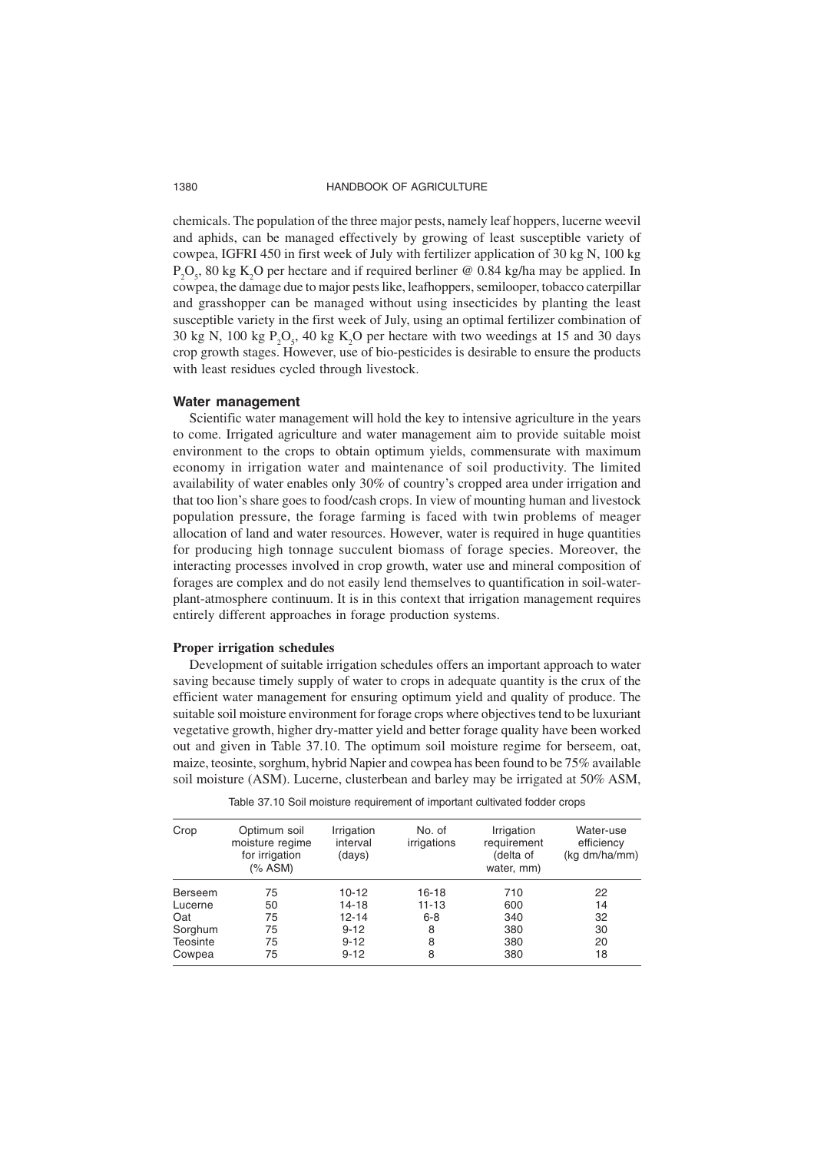chemicals. The population of the three major pests, namely leaf hoppers, lucerne weevil and aphids, can be managed effectively by growing of least susceptible variety of cowpea, IGFRI 450 in first week of July with fertilizer application of 30 kg N, 100 kg  $P_2O_5$ , 80 kg K<sub>2</sub>O per hectare and if required berliner @ 0.84 kg/ha may be applied. In cowpea, the damage due to major pests like, leafhoppers, semilooper, tobacco caterpillar and grasshopper can be managed without using insecticides by planting the least susceptible variety in the first week of July, using an optimal fertilizer combination of 30 kg N, 100 kg  $P_2O_5$ , 40 kg K<sub>2</sub>O per hectare with two weedings at 15 and 30 days crop growth stages. However, use of bio-pesticides is desirable to ensure the products with least residues cycled through livestock.

#### **Water management**

Scientific water management will hold the key to intensive agriculture in the years to come. Irrigated agriculture and water management aim to provide suitable moist environment to the crops to obtain optimum yields, commensurate with maximum economy in irrigation water and maintenance of soil productivity. The limited availability of water enables only 30% of country's cropped area under irrigation and that too lion's share goes to food/cash crops. In view of mounting human and livestock population pressure, the forage farming is faced with twin problems of meager allocation of land and water resources. However, water is required in huge quantities for producing high tonnage succulent biomass of forage species. Moreover, the interacting processes involved in crop growth, water use and mineral composition of forages are complex and do not easily lend themselves to quantification in soil-waterplant-atmosphere continuum. It is in this context that irrigation management requires entirely different approaches in forage production systems.

#### **Proper irrigation schedules**

Development of suitable irrigation schedules offers an important approach to water saving because timely supply of water to crops in adequate quantity is the crux of the efficient water management for ensuring optimum yield and quality of produce. The suitable soil moisture environment for forage crops where objectives tend to be luxuriant vegetative growth, higher dry-matter yield and better forage quality have been worked out and given in Table 37.10. The optimum soil moisture regime for berseem, oat, maize, teosinte, sorghum, hybrid Napier and cowpea has been found to be 75% available soil moisture (ASM). Lucerne, clusterbean and barley may be irrigated at 50% ASM,

| Crop            | Optimum soil<br>moisture regime<br>for irrigation<br>(% ASM) | Irrigation<br>interval<br>(days) | No. of<br>irrigations | Irrigation<br>requirement<br>(delta of<br>water, mm) | Water-use<br>efficiency<br>(kg dm/ha/mm) |
|-----------------|--------------------------------------------------------------|----------------------------------|-----------------------|------------------------------------------------------|------------------------------------------|
| Berseem         | 75                                                           | $10-12$                          | 16-18                 | 710                                                  | 22                                       |
| Lucerne         | 50                                                           | $14 - 18$                        | $11 - 13$             | 600                                                  | 14                                       |
| Oat             | 75                                                           | 12-14                            | $6 - 8$               | 340                                                  | 32                                       |
| Sorghum         | 75                                                           | $9 - 12$                         | 8                     | 380                                                  | 30                                       |
| <b>Teosinte</b> | 75                                                           | $9 - 12$                         | 8                     | 380                                                  | 20                                       |
| Cowpea          | 75                                                           | $9 - 12$                         | 8                     | 380                                                  | 18                                       |

Table 37.10 Soil moisture requirement of important cultivated fodder crops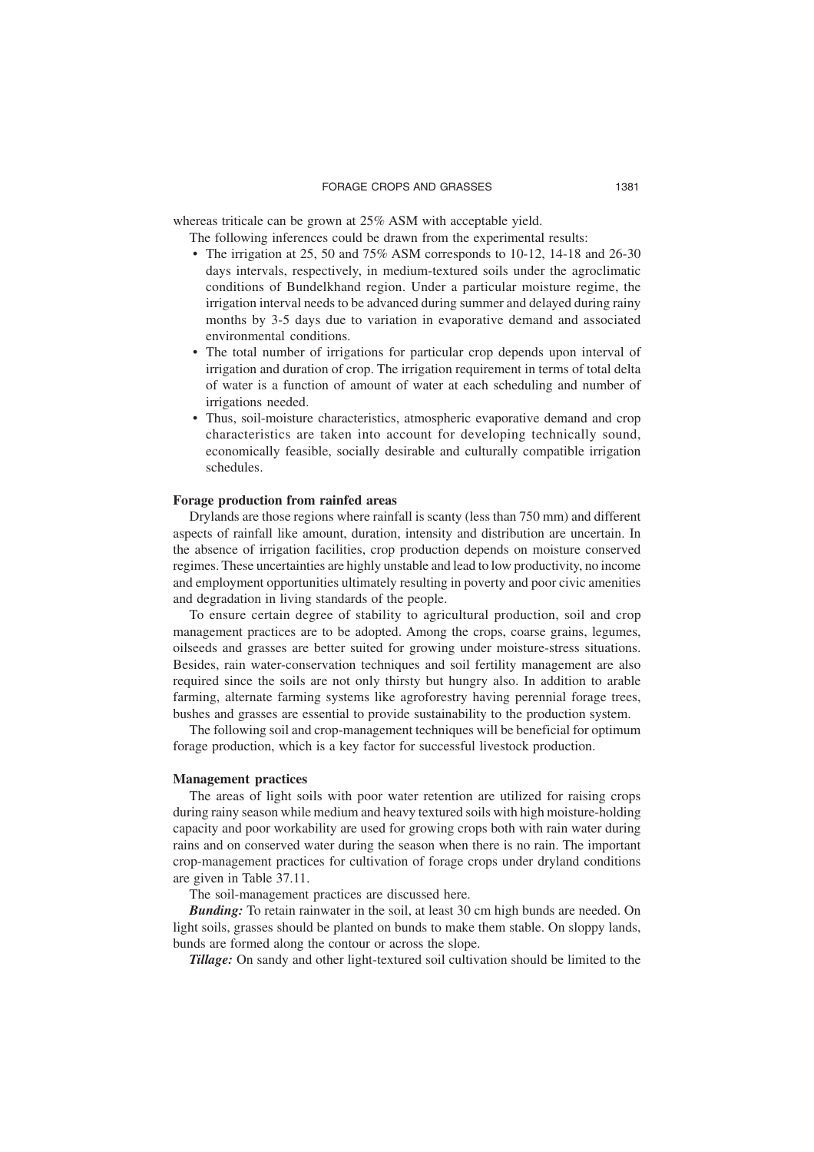whereas triticale can be grown at 25% ASM with acceptable yield.

The following inferences could be drawn from the experimental results:

- The irrigation at 25, 50 and 75% ASM corresponds to 10-12, 14-18 and 26-30 days intervals, respectively, in medium-textured soils under the agroclimatic conditions of Bundelkhand region. Under a particular moisture regime, the irrigation interval needs to be advanced during summer and delayed during rainy months by 3-5 days due to variation in evaporative demand and associated environmental conditions.
- The total number of irrigations for particular crop depends upon interval of irrigation and duration of crop. The irrigation requirement in terms of total delta of water is a function of amount of water at each scheduling and number of irrigations needed.
- Thus, soil-moisture characteristics, atmospheric evaporative demand and crop characteristics are taken into account for developing technically sound, economically feasible, socially desirable and culturally compatible irrigation schedules.

## **Forage production from rainfed areas**

Drylands are those regions where rainfall is scanty (less than 750 mm) and different aspects of rainfall like amount, duration, intensity and distribution are uncertain. In the absence of irrigation facilities, crop production depends on moisture conserved regimes. These uncertainties are highly unstable and lead to low productivity, no income and employment opportunities ultimately resulting in poverty and poor civic amenities and degradation in living standards of the people.

To ensure certain degree of stability to agricultural production, soil and crop management practices are to be adopted. Among the crops, coarse grains, legumes, oilseeds and grasses are better suited for growing under moisture-stress situations. Besides, rain water-conservation techniques and soil fertility management are also required since the soils are not only thirsty but hungry also. In addition to arable farming, alternate farming systems like agroforestry having perennial forage trees, bushes and grasses are essential to provide sustainability to the production system.

The following soil and crop-management techniques will be beneficial for optimum forage production, which is a key factor for successful livestock production.

#### **Management practices**

The areas of light soils with poor water retention are utilized for raising crops during rainy season while medium and heavy textured soils with high moisture-holding capacity and poor workability are used for growing crops both with rain water during rains and on conserved water during the season when there is no rain. The important crop-management practices for cultivation of forage crops under dryland conditions are given in Table 37.11.

The soil-management practices are discussed here.

*Bunding:* To retain rainwater in the soil, at least 30 cm high bunds are needed. On light soils, grasses should be planted on bunds to make them stable. On sloppy lands, bunds are formed along the contour or across the slope.

*Tillage:* On sandy and other light-textured soil cultivation should be limited to the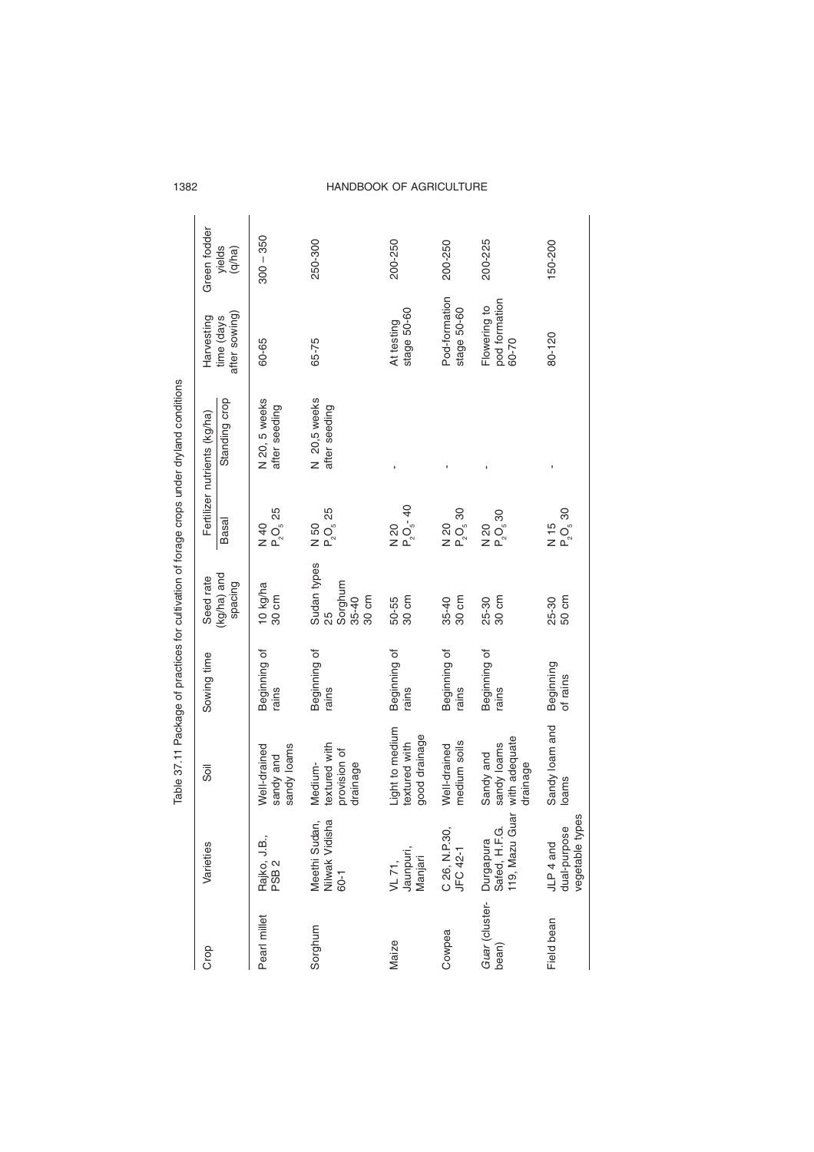|                   |                                                                       |                                                       |                       |                                                    |                                                | Table 37.11 Package of practices for cultivation of forage crops under dryland conditions |                                        |                  |
|-------------------|-----------------------------------------------------------------------|-------------------------------------------------------|-----------------------|----------------------------------------------------|------------------------------------------------|-------------------------------------------------------------------------------------------|----------------------------------------|------------------|
| Crop              | Varieties                                                             | Sõil                                                  | Sowing time           | Seed rate                                          |                                                | Fertilizer nutrients (kg/ha)                                                              | Harvesting                             | Green fodder     |
|                   |                                                                       |                                                       |                       | (kg/ha) and<br>spacing                             | <b>Basal</b>                                   | Standing crop                                                                             | after sowing)<br>time (days            | yields<br>(q/ha) |
| Pearl millet      | Rajko, J.B.,<br>PSB 2                                                 | sandy loams<br>Well-drained<br>sandy and              | Beginning of<br>rains | 10 kg/ha<br>30 cm                                  | $N$ 40<br>P <sub>2</sub> O <sub>5</sub> 25     | N 20, 5 weeks<br>after seeding                                                            | 60-65                                  | $300 - 350$      |
| Sorghum           | Meethi Sudan,<br>Nilwak Vidisha<br>60-1                               | textured with<br>provision of<br>Medium-<br>drainage  | Beginning of<br>rains | Sudan types<br>Sorghum<br>30 cm<br>$35 - 40$<br>25 | P <sub>2</sub> O <sub>5</sub> 25<br>N 50       | N 20,5 weeks<br>after seeding                                                             | 65-75                                  | 250-300          |
| Maize             | Jaunpuri,<br>Manjari<br>VL 71,                                        | Light to medium<br>good drainage<br>textured with     | Beginning of<br>rains | 30 cm<br>50-55                                     | $P_2O_5 - 40$<br>N 20                          |                                                                                           | stage 50-60<br>At testing              | 200-250          |
| Cowpea            | C 26, N.P.30,<br>JFC 42-1                                             | medium soils<br>Well-drained                          | Beginning of<br>rains | 35-40<br>30 cm                                     | $N_{2}$ 20<br>P <sub>2</sub> O <sub>5</sub> 30 |                                                                                           | Pod-formation<br>stage 50-60           | 200-250          |
| bean)             | ă<br>119, Mazu Gu<br>Guar (cluster - Durgapura<br>bean) Safed, H.F.G. | with adequate<br>sandy loams<br>Sandy and<br>drainage | Beginning of<br>rains | 30 cm<br>25-30                                     | $P_2O_530$<br>N 20                             |                                                                                           | pod formation<br>Flowering to<br>60-70 | 200-225          |
| <b>Field</b> bean | ŵ<br>vegetable type<br>dual-purpose<br>JLP 4 and                      | Sandy loam and<br>loams                               | Beginning<br>of rains | 50 cm<br>25-30                                     | $P_2O_5$ 30<br>N 15                            |                                                                                           | 80-120                                 | 150-200          |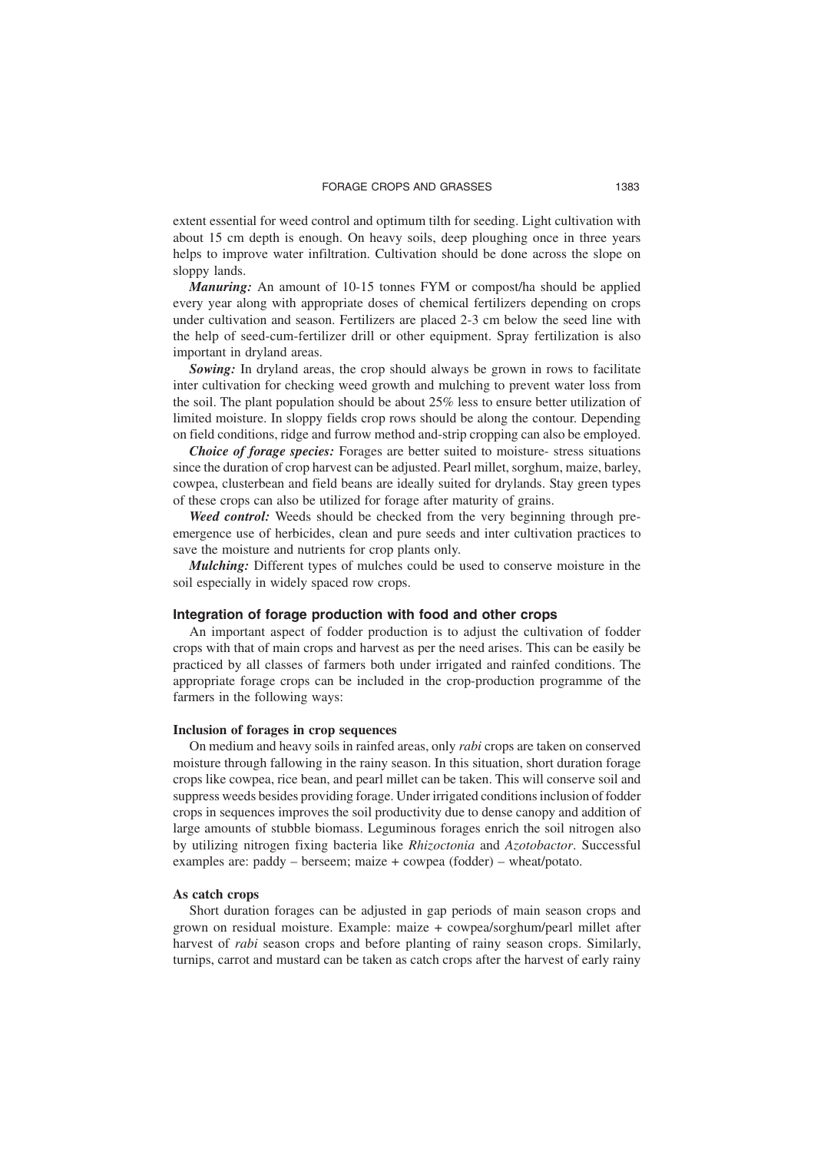extent essential for weed control and optimum tilth for seeding. Light cultivation with about 15 cm depth is enough. On heavy soils, deep ploughing once in three years helps to improve water infiltration. Cultivation should be done across the slope on sloppy lands.

*Manuring:* An amount of 10-15 tonnes FYM or compost/ha should be applied every year along with appropriate doses of chemical fertilizers depending on crops under cultivation and season. Fertilizers are placed 2-3 cm below the seed line with the help of seed-cum-fertilizer drill or other equipment. Spray fertilization is also important in dryland areas.

*Sowing:* In dryland areas, the crop should always be grown in rows to facilitate inter cultivation for checking weed growth and mulching to prevent water loss from the soil. The plant population should be about 25% less to ensure better utilization of limited moisture. In sloppy fields crop rows should be along the contour. Depending on field conditions, ridge and furrow method and-strip cropping can also be employed.

*Choice of forage species:* Forages are better suited to moisture- stress situations since the duration of crop harvest can be adjusted. Pearl millet, sorghum, maize, barley, cowpea, clusterbean and field beans are ideally suited for drylands. Stay green types of these crops can also be utilized for forage after maturity of grains.

*Weed control:* Weeds should be checked from the very beginning through preemergence use of herbicides, clean and pure seeds and inter cultivation practices to save the moisture and nutrients for crop plants only.

*Mulching:* Different types of mulches could be used to conserve moisture in the soil especially in widely spaced row crops.

#### **Integration of forage production with food and other crops**

An important aspect of fodder production is to adjust the cultivation of fodder crops with that of main crops and harvest as per the need arises. This can be easily be practiced by all classes of farmers both under irrigated and rainfed conditions. The appropriate forage crops can be included in the crop-production programme of the farmers in the following ways:

#### **Inclusion of forages in crop sequences**

On medium and heavy soils in rainfed areas, only *rabi* crops are taken on conserved moisture through fallowing in the rainy season. In this situation, short duration forage crops like cowpea, rice bean, and pearl millet can be taken. This will conserve soil and suppress weeds besides providing forage. Under irrigated conditions inclusion of fodder crops in sequences improves the soil productivity due to dense canopy and addition of large amounts of stubble biomass. Leguminous forages enrich the soil nitrogen also by utilizing nitrogen fixing bacteria like *Rhizoctonia* and *Azotobactor*. Successful examples are: paddy – berseem; maize + cowpea (fodder) – wheat/potato.

#### **As catch crops**

Short duration forages can be adjusted in gap periods of main season crops and grown on residual moisture. Example: maize + cowpea/sorghum/pearl millet after harvest of *rabi* season crops and before planting of rainy season crops. Similarly, turnips, carrot and mustard can be taken as catch crops after the harvest of early rainy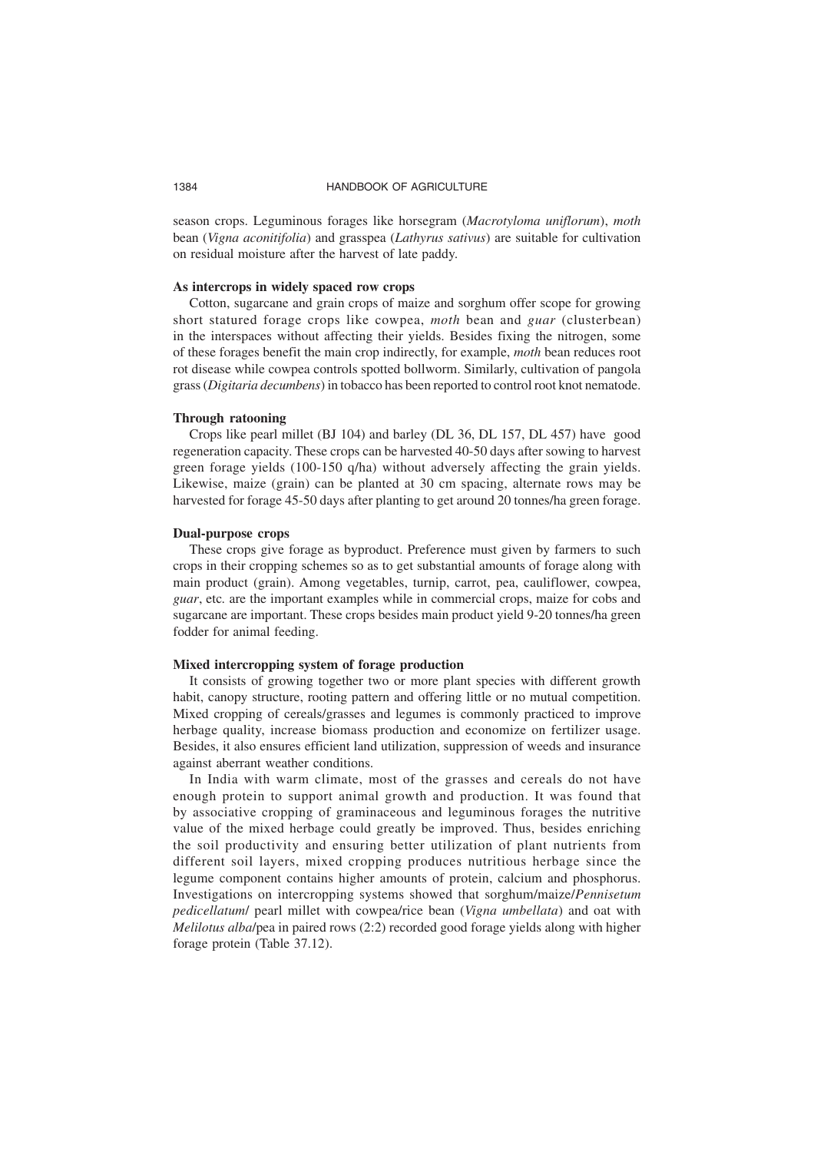season crops. Leguminous forages like horsegram (*Macrotyloma uniflorum*), *moth* bean (*Vigna aconitifolia*) and grasspea (*Lathyrus sativus*) are suitable for cultivation on residual moisture after the harvest of late paddy.

#### **As intercrops in widely spaced row crops**

Cotton, sugarcane and grain crops of maize and sorghum offer scope for growing short statured forage crops like cowpea, *moth* bean and *guar* (clusterbean) in the interspaces without affecting their yields. Besides fixing the nitrogen, some of these forages benefit the main crop indirectly, for example, *moth* bean reduces root rot disease while cowpea controls spotted bollworm. Similarly, cultivation of pangola grass (*Digitaria decumbens*) in tobacco has been reported to control root knot nematode.

#### **Through ratooning**

Crops like pearl millet (BJ 104) and barley (DL 36, DL 157, DL 457) have good regeneration capacity. These crops can be harvested 40-50 days after sowing to harvest green forage yields (100-150 q/ha) without adversely affecting the grain yields. Likewise, maize (grain) can be planted at 30 cm spacing, alternate rows may be harvested for forage 45-50 days after planting to get around 20 tonnes/ha green forage.

#### **Dual-purpose crops**

These crops give forage as byproduct. Preference must given by farmers to such crops in their cropping schemes so as to get substantial amounts of forage along with main product (grain). Among vegetables, turnip, carrot, pea, cauliflower, cowpea, *guar*, etc*.* are the important examples while in commercial crops, maize for cobs and sugarcane are important. These crops besides main product yield 9-20 tonnes/ha green fodder for animal feeding.

#### **Mixed intercropping system of forage production**

It consists of growing together two or more plant species with different growth habit, canopy structure, rooting pattern and offering little or no mutual competition. Mixed cropping of cereals/grasses and legumes is commonly practiced to improve herbage quality, increase biomass production and economize on fertilizer usage. Besides, it also ensures efficient land utilization, suppression of weeds and insurance against aberrant weather conditions.

In India with warm climate, most of the grasses and cereals do not have enough protein to support animal growth and production. It was found that by associative cropping of graminaceous and leguminous forages the nutritive value of the mixed herbage could greatly be improved. Thus, besides enriching the soil productivity and ensuring better utilization of plant nutrients from different soil layers, mixed cropping produces nutritious herbage since the legume component contains higher amounts of protein, calcium and phosphorus. Investigations on intercropping systems showed that sorghum/maize/*Pennisetum pedicellatum*/ pearl millet with cowpea/rice bean (*Vigna umbellata*) and oat with *Melilotus alba*/pea in paired rows (2:2) recorded good forage yields along with higher forage protein (Table 37.12).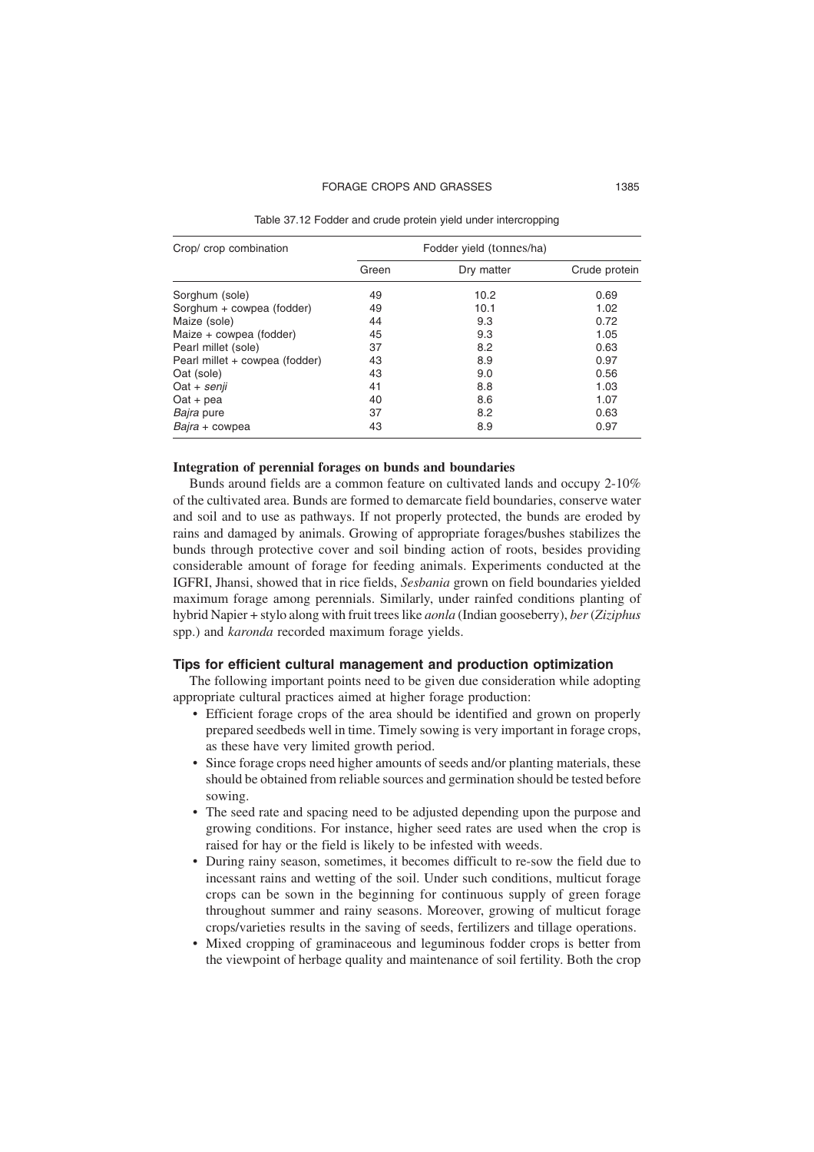#### FORAGE CROPS AND GRASSES 1385

Table 37.12 Fodder and crude protein yield under intercropping

| Crop/ crop combination         |       | Fodder yield (tonnes/ha) |               |
|--------------------------------|-------|--------------------------|---------------|
|                                | Green | Dry matter               | Crude protein |
| Sorghum (sole)                 | 49    | 10.2                     | 0.69          |
| Sorghum + cowpea (fodder)      | 49    | 10.1                     | 1.02          |
| Maize (sole)                   | 44    | 9.3                      | 0.72          |
| Maize + cowpea (fodder)        | 45    | 9.3                      | 1.05          |
| Pearl millet (sole)            | 37    | 8.2                      | 0.63          |
| Pearl millet + cowpea (fodder) | 43    | 8.9                      | 0.97          |
| Oat (sole)                     | 43    | 9.0                      | 0.56          |
| Oat + senji                    | 41    | 8.8                      | 1.03          |
| $Out +$ pea                    | 40    | 8.6                      | 1.07          |
| Bajra pure                     | 37    | 8.2                      | 0.63          |
| Bajra + cowpea                 | 43    | 8.9                      | 0.97          |

#### **Integration of perennial forages on bunds and boundaries**

Bunds around fields are a common feature on cultivated lands and occupy 2-10% of the cultivated area. Bunds are formed to demarcate field boundaries, conserve water and soil and to use as pathways. If not properly protected, the bunds are eroded by rains and damaged by animals. Growing of appropriate forages/bushes stabilizes the bunds through protective cover and soil binding action of roots, besides providing considerable amount of forage for feeding animals. Experiments conducted at the IGFRI, Jhansi, showed that in rice fields, *Sesbania* grown on field boundaries yielded maximum forage among perennials. Similarly, under rainfed conditions planting of hybrid Napier + stylo along with fruit trees like *aonla* (Indian gooseberry), *ber* (*Ziziphus* spp.) and *karonda* recorded maximum forage yields.

#### **Tips for efficient cultural management and production optimization**

The following important points need to be given due consideration while adopting appropriate cultural practices aimed at higher forage production:

- Efficient forage crops of the area should be identified and grown on properly prepared seedbeds well in time. Timely sowing is very important in forage crops, as these have very limited growth period.
- Since forage crops need higher amounts of seeds and/or planting materials, these should be obtained from reliable sources and germination should be tested before sowing.
- The seed rate and spacing need to be adjusted depending upon the purpose and growing conditions. For instance, higher seed rates are used when the crop is raised for hay or the field is likely to be infested with weeds.
- During rainy season, sometimes, it becomes difficult to re-sow the field due to incessant rains and wetting of the soil. Under such conditions, multicut forage crops can be sown in the beginning for continuous supply of green forage throughout summer and rainy seasons. Moreover, growing of multicut forage crops/varieties results in the saving of seeds, fertilizers and tillage operations.
- Mixed cropping of graminaceous and leguminous fodder crops is better from the viewpoint of herbage quality and maintenance of soil fertility. Both the crop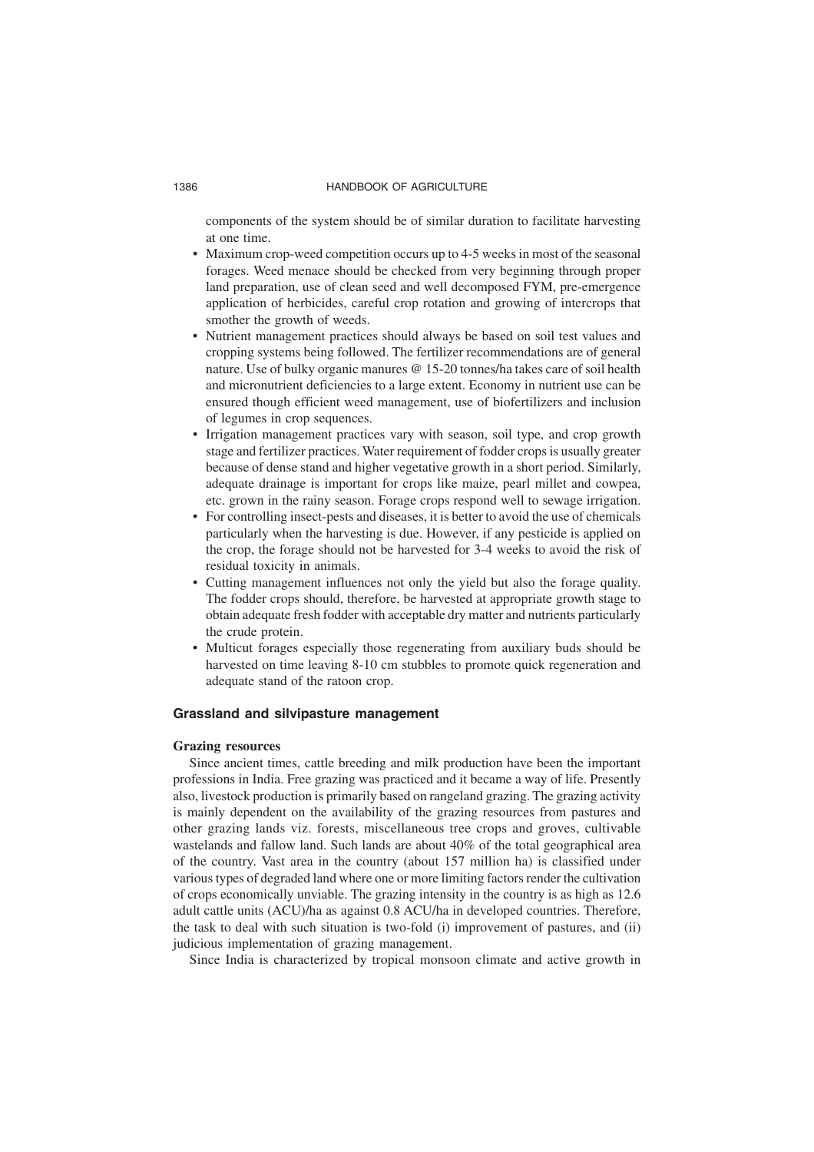components of the system should be of similar duration to facilitate harvesting at one time.

- Maximum crop-weed competition occurs up to 4-5 weeks in most of the seasonal forages. Weed menace should be checked from very beginning through proper land preparation, use of clean seed and well decomposed FYM, pre-emergence application of herbicides, careful crop rotation and growing of intercrops that smother the growth of weeds.
- Nutrient management practices should always be based on soil test values and cropping systems being followed. The fertilizer recommendations are of general nature. Use of bulky organic manures @ 15-20 tonnes/ha takes care of soil health and micronutrient deficiencies to a large extent. Economy in nutrient use can be ensured though efficient weed management, use of biofertilizers and inclusion of legumes in crop sequences.
- Irrigation management practices vary with season, soil type, and crop growth stage and fertilizer practices. Water requirement of fodder crops is usually greater because of dense stand and higher vegetative growth in a short period. Similarly, adequate drainage is important for crops like maize, pearl millet and cowpea, etc. grown in the rainy season. Forage crops respond well to sewage irrigation.
- For controlling insect-pests and diseases, it is better to avoid the use of chemicals particularly when the harvesting is due. However, if any pesticide is applied on the crop, the forage should not be harvested for 3-4 weeks to avoid the risk of residual toxicity in animals.
- Cutting management influences not only the yield but also the forage quality. The fodder crops should, therefore, be harvested at appropriate growth stage to obtain adequate fresh fodder with acceptable dry matter and nutrients particularly the crude protein.
- Multicut forages especially those regenerating from auxiliary buds should be harvested on time leaving 8-10 cm stubbles to promote quick regeneration and adequate stand of the ratoon crop.

#### **Grassland and silvipasture management**

#### **Grazing resources**

Since ancient times, cattle breeding and milk production have been the important professions in India. Free grazing was practiced and it became a way of life. Presently also, livestock production is primarily based on rangeland grazing. The grazing activity is mainly dependent on the availability of the grazing resources from pastures and other grazing lands viz. forests, miscellaneous tree crops and groves, cultivable wastelands and fallow land. Such lands are about 40% of the total geographical area of the country. Vast area in the country (about 157 million ha) is classified under various types of degraded land where one or more limiting factors render the cultivation of crops economically unviable. The grazing intensity in the country is as high as 12.6 adult cattle units (ACU)/ha as against 0.8 ACU/ha in developed countries. Therefore, the task to deal with such situation is two-fold (i) improvement of pastures, and (ii) judicious implementation of grazing management.

Since India is characterized by tropical monsoon climate and active growth in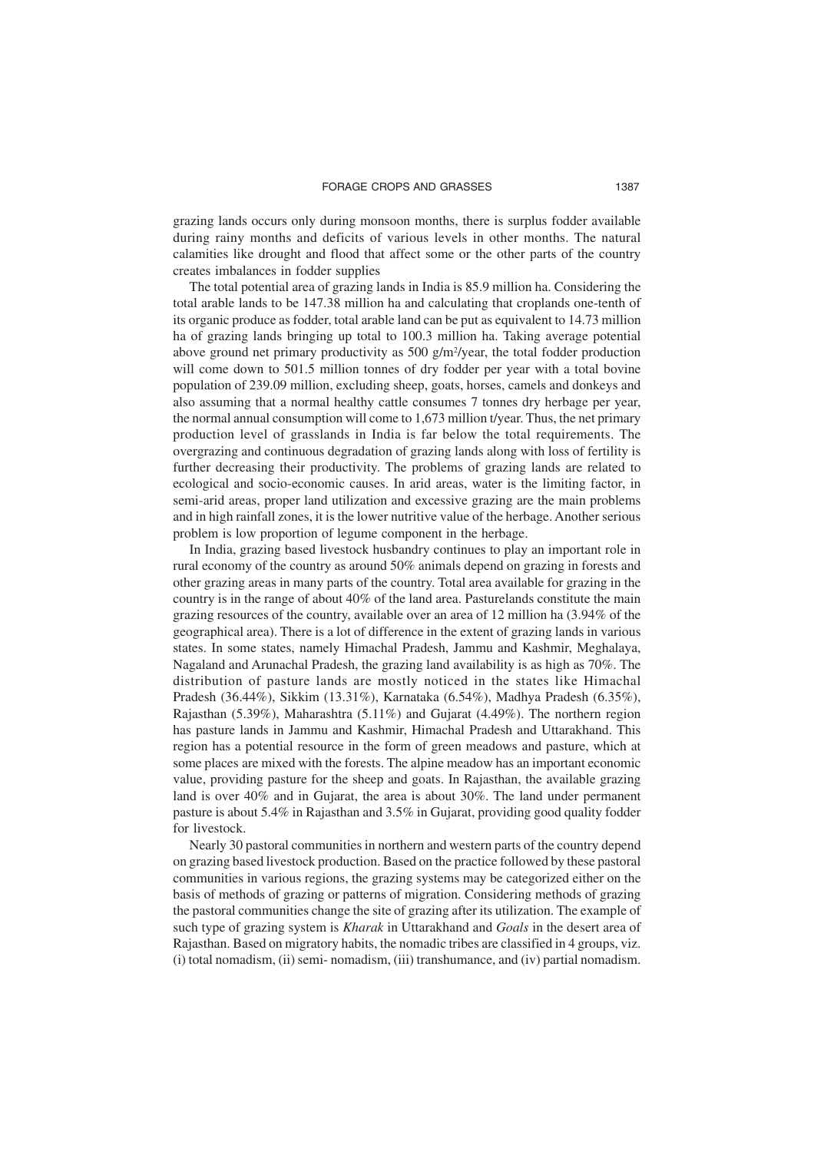grazing lands occurs only during monsoon months, there is surplus fodder available during rainy months and deficits of various levels in other months. The natural calamities like drought and flood that affect some or the other parts of the country creates imbalances in fodder supplies

The total potential area of grazing lands in India is 85.9 million ha. Considering the total arable lands to be 147.38 million ha and calculating that croplands one-tenth of its organic produce as fodder, total arable land can be put as equivalent to 14.73 million ha of grazing lands bringing up total to 100.3 million ha. Taking average potential above ground net primary productivity as  $500 \frac{\text{g}}{\text{m}^2/\text{year}}$ , the total fodder production will come down to 501.5 million tonnes of dry fodder per year with a total bovine population of 239.09 million, excluding sheep, goats, horses, camels and donkeys and also assuming that a normal healthy cattle consumes 7 tonnes dry herbage per year, the normal annual consumption will come to 1,673 million t/year. Thus, the net primary production level of grasslands in India is far below the total requirements. The overgrazing and continuous degradation of grazing lands along with loss of fertility is further decreasing their productivity. The problems of grazing lands are related to ecological and socio-economic causes. In arid areas, water is the limiting factor, in semi-arid areas, proper land utilization and excessive grazing are the main problems and in high rainfall zones, it is the lower nutritive value of the herbage. Another serious problem is low proportion of legume component in the herbage.

In India, grazing based livestock husbandry continues to play an important role in rural economy of the country as around 50% animals depend on grazing in forests and other grazing areas in many parts of the country. Total area available for grazing in the country is in the range of about 40% of the land area. Pasturelands constitute the main grazing resources of the country, available over an area of 12 million ha (3.94% of the geographical area). There is a lot of difference in the extent of grazing lands in various states. In some states, namely Himachal Pradesh, Jammu and Kashmir, Meghalaya, Nagaland and Arunachal Pradesh, the grazing land availability is as high as 70%. The distribution of pasture lands are mostly noticed in the states like Himachal Pradesh (36.44%), Sikkim (13.31%), Karnataka (6.54%), Madhya Pradesh (6.35%), Rajasthan (5.39%), Maharashtra (5.11%) and Gujarat (4.49%). The northern region has pasture lands in Jammu and Kashmir, Himachal Pradesh and Uttarakhand. This region has a potential resource in the form of green meadows and pasture, which at some places are mixed with the forests. The alpine meadow has an important economic value, providing pasture for the sheep and goats. In Rajasthan, the available grazing land is over 40% and in Gujarat, the area is about 30%. The land under permanent pasture is about 5.4% in Rajasthan and 3.5% in Gujarat, providing good quality fodder for livestock.

Nearly 30 pastoral communities in northern and western parts of the country depend on grazing based livestock production. Based on the practice followed by these pastoral communities in various regions, the grazing systems may be categorized either on the basis of methods of grazing or patterns of migration. Considering methods of grazing the pastoral communities change the site of grazing after its utilization. The example of such type of grazing system is *Kharak* in Uttarakhand and *Goals* in the desert area of Rajasthan. Based on migratory habits, the nomadic tribes are classified in 4 groups, viz. (i) total nomadism, (ii) semi- nomadism, (iii) transhumance, and (iv) partial nomadism.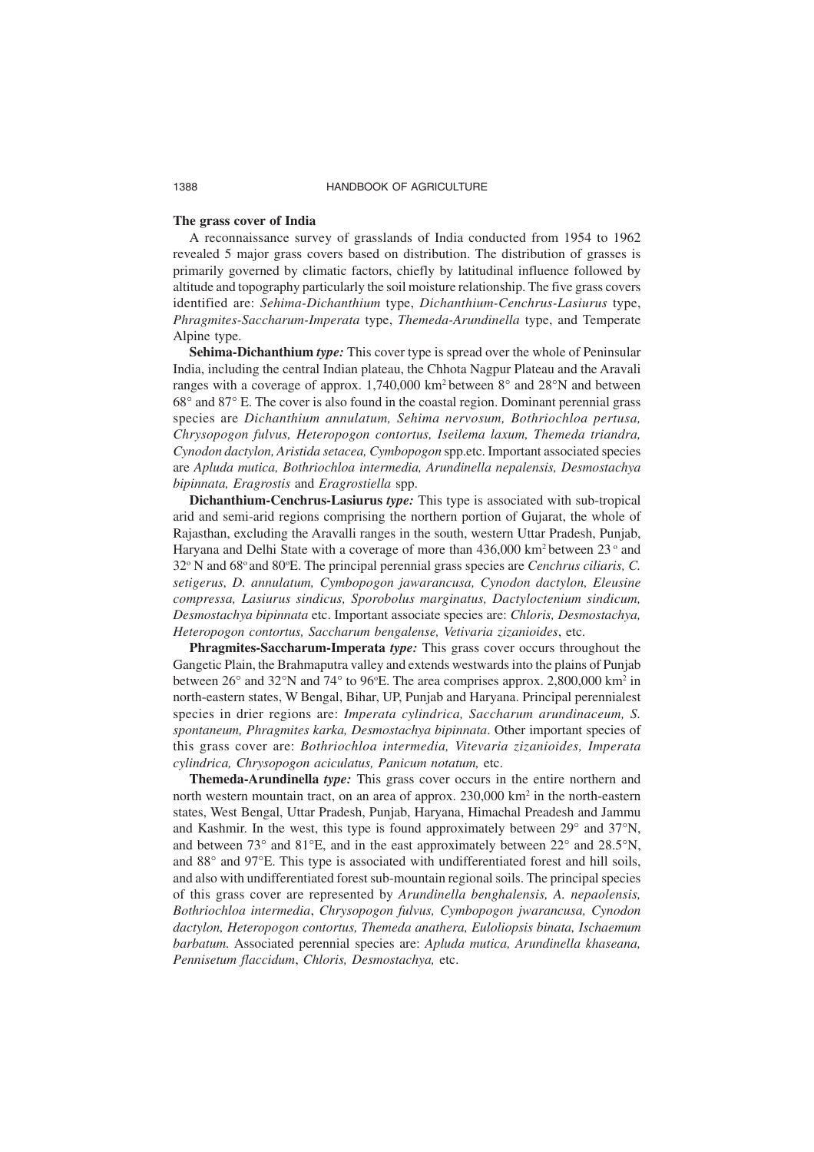#### **The grass cover of India**

A reconnaissance survey of grasslands of India conducted from 1954 to 1962 revealed 5 major grass covers based on distribution. The distribution of grasses is primarily governed by climatic factors, chiefly by latitudinal influence followed by altitude and topography particularly the soil moisture relationship. The five grass covers identified are: *Sehima-Dichanthium* type, *Dichanthium-Cenchrus-Lasiurus* type, *Phragmites-Saccharum-Imperata* type, *Themeda-Arundinella* type, and Temperate Alpine type.

**Sehima-Dichanthium** *type:* This cover type is spread over the whole of Peninsular India, including the central Indian plateau, the Chhota Nagpur Plateau and the Aravali ranges with a coverage of approx.  $1,740,000 \text{ km}^2$  between  $8^\circ$  and  $28^\circ$ N and between 68° and 87° E. The cover is also found in the coastal region. Dominant perennial grass species are *Dichanthium annulatum, Sehima nervosum, Bothriochloa pertusa, Chrysopogon fulvus, Heteropogon contortus, Iseilema laxum, Themeda triandra, Cynodon dactylon, Aristida setacea, Cymbopogon* spp.etc. Important associated species are *Apluda mutica, Bothriochloa intermedia, Arundinella nepalensis, Desmostachya bipinnata, Eragrostis* and *Eragrostiella* spp.

**Dichanthium-Cenchrus-Lasiurus** *type:* This type is associated with sub-tropical arid and semi-arid regions comprising the northern portion of Gujarat, the whole of Rajasthan, excluding the Aravalli ranges in the south, western Uttar Pradesh, Punjab, Haryana and Delhi State with a coverage of more than  $436,000 \text{ km}^2$  between  $23^\circ$  and 32° N and 68° and 80°E. The principal perennial grass species are *Cenchrus ciliaris*, C. *setigerus, D. annulatum, Cymbopogon jawarancusa, Cynodon dactylon, Eleusine compressa, Lasiurus sindicus, Sporobolus marginatus, Dactyloctenium sindicum, Desmostachya bipinnata* etc. Important associate species are: *Chloris, Desmostachya, Heteropogon contortus, Saccharum bengalense, Vetivaria zizanioides*, etc.

**Phragmites-Saccharum-Imperata** *type:* This grass cover occurs throughout the Gangetic Plain, the Brahmaputra valley and extends westwards into the plains of Punjab between  $26^{\circ}$  and  $32^{\circ}$ N and  $74^{\circ}$  to 96°E. The area comprises approx. 2,800,000 km<sup>2</sup> in north-eastern states, W Bengal, Bihar, UP, Punjab and Haryana. Principal perennialest species in drier regions are: *Imperata cylindrica, Saccharum arundinaceum, S. spontaneum, Phragmites karka, Desmostachya bipinnata*. Other important species of this grass cover are: *Bothriochloa intermedia, Vitevaria zizanioides, Imperata cylindrica, Chrysopogon aciculatus, Panicum notatum,* etc.

**Themeda-Arundinella** *type:* This grass cover occurs in the entire northern and north western mountain tract, on an area of approx. 230,000 km<sup>2</sup> in the north-eastern states, West Bengal, Uttar Pradesh, Punjab, Haryana, Himachal Preadesh and Jammu and Kashmir. In the west, this type is found approximately between 29° and 37°N, and between 73° and 81°E, and in the east approximately between 22° and 28.5°N, and 88° and 97°E. This type is associated with undifferentiated forest and hill soils, and also with undifferentiated forest sub-mountain regional soils. The principal species of this grass cover are represented by *Arundinella benghalensis, A. nepaolensis, Bothriochloa intermedia*, *Chrysopogon fulvus, Cymbopogon jwarancusa, Cynodon dactylon, Heteropogon contortus, Themeda anathera, Euloliopsis binata, Ischaemum barbatum.* Associated perennial species are: *Apluda mutica, Arundinella khaseana, Pennisetum flaccidum*, *Chloris, Desmostachya,* etc.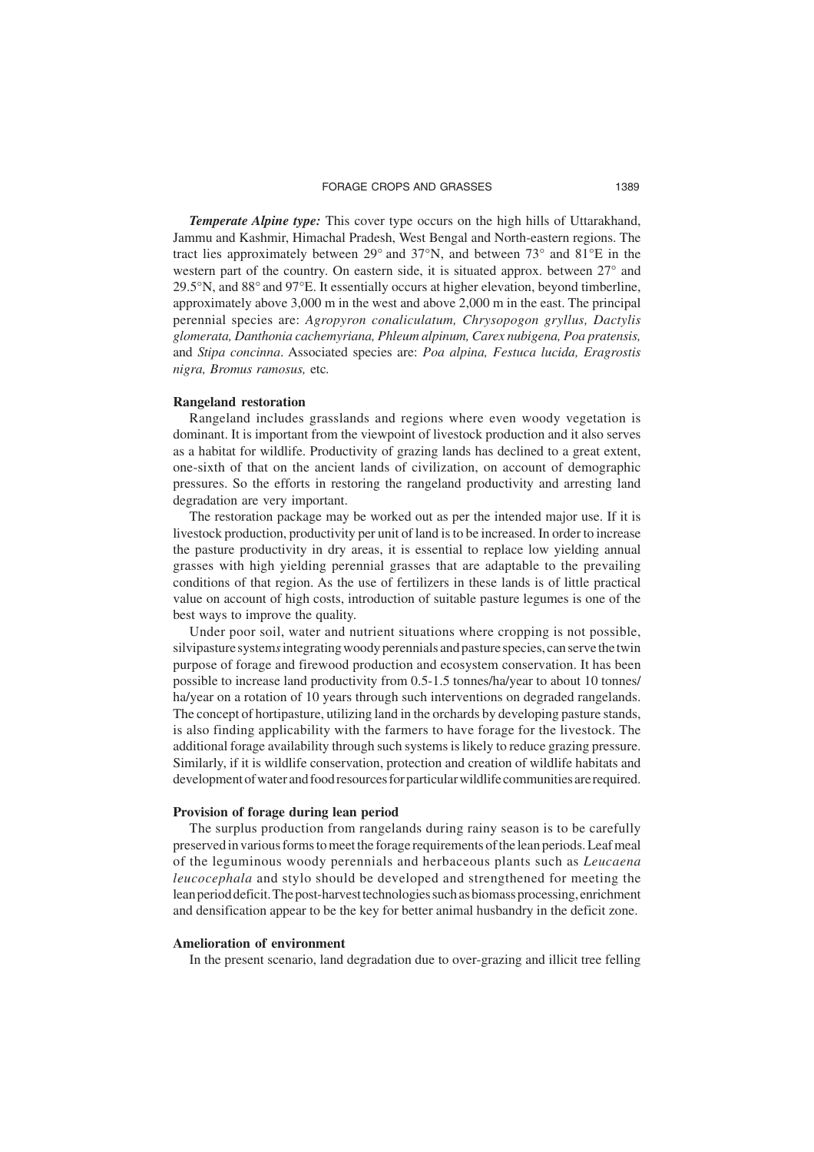**Temperate Alpine type:** This cover type occurs on the high hills of Uttarakhand, Jammu and Kashmir, Himachal Pradesh, West Bengal and North-eastern regions. The tract lies approximately between 29° and 37°N, and between 73° and 81°E in the western part of the country. On eastern side, it is situated approx. between 27° and 29.5°N, and 88° and 97°E. It essentially occurs at higher elevation, beyond timberline, approximately above 3,000 m in the west and above 2,000 m in the east. The principal perennial species are: *Agropyron conaliculatum, Chrysopogon gryllus, Dactylis glomerata, Danthonia cachemyriana, Phleum alpinum, Carex nubigena, Poa pratensis,* and *Stipa concinna*. Associated species are: *Poa alpina, Festuca lucida, Eragrostis nigra, Bromus ramosus,* etc*.*

#### **Rangeland restoration**

Rangeland includes grasslands and regions where even woody vegetation is dominant. It is important from the viewpoint of livestock production and it also serves as a habitat for wildlife. Productivity of grazing lands has declined to a great extent, one-sixth of that on the ancient lands of civilization, on account of demographic pressures. So the efforts in restoring the rangeland productivity and arresting land degradation are very important.

The restoration package may be worked out as per the intended major use. If it is livestock production, productivity per unit of land is to be increased. In order to increase the pasture productivity in dry areas, it is essential to replace low yielding annual grasses with high yielding perennial grasses that are adaptable to the prevailing conditions of that region. As the use of fertilizers in these lands is of little practical value on account of high costs, introduction of suitable pasture legumes is one of the best ways to improve the quality.

Under poor soil, water and nutrient situations where cropping is not possible, silvipasture system*s* integrating woody perennials and pasture species, can serve the twin purpose of forage and firewood production and ecosystem conservation. It has been possible to increase land productivity from 0.5-1.5 tonnes/ha/year to about 10 tonnes/ ha/year on a rotation of 10 years through such interventions on degraded rangelands. The concept of hortipasture, utilizing land in the orchards by developing pasture stands, is also finding applicability with the farmers to have forage for the livestock. The additional forage availability through such systems is likely to reduce grazing pressure. Similarly, if it is wildlife conservation, protection and creation of wildlife habitats and development of water and food resources for particular wildlife communities are required.

#### **Provision of forage during lean period**

The surplus production from rangelands during rainy season is to be carefully preserved in various forms to meet the forage requirements of the lean periods. Leaf meal of the leguminous woody perennials and herbaceous plants such as *Leucaena leucocephala* and stylo should be developed and strengthened for meeting the lean period deficit. The post-harvest technologies such as biomass processing, enrichment and densification appear to be the key for better animal husbandry in the deficit zone.

#### **Amelioration of environment**

In the present scenario, land degradation due to over-grazing and illicit tree felling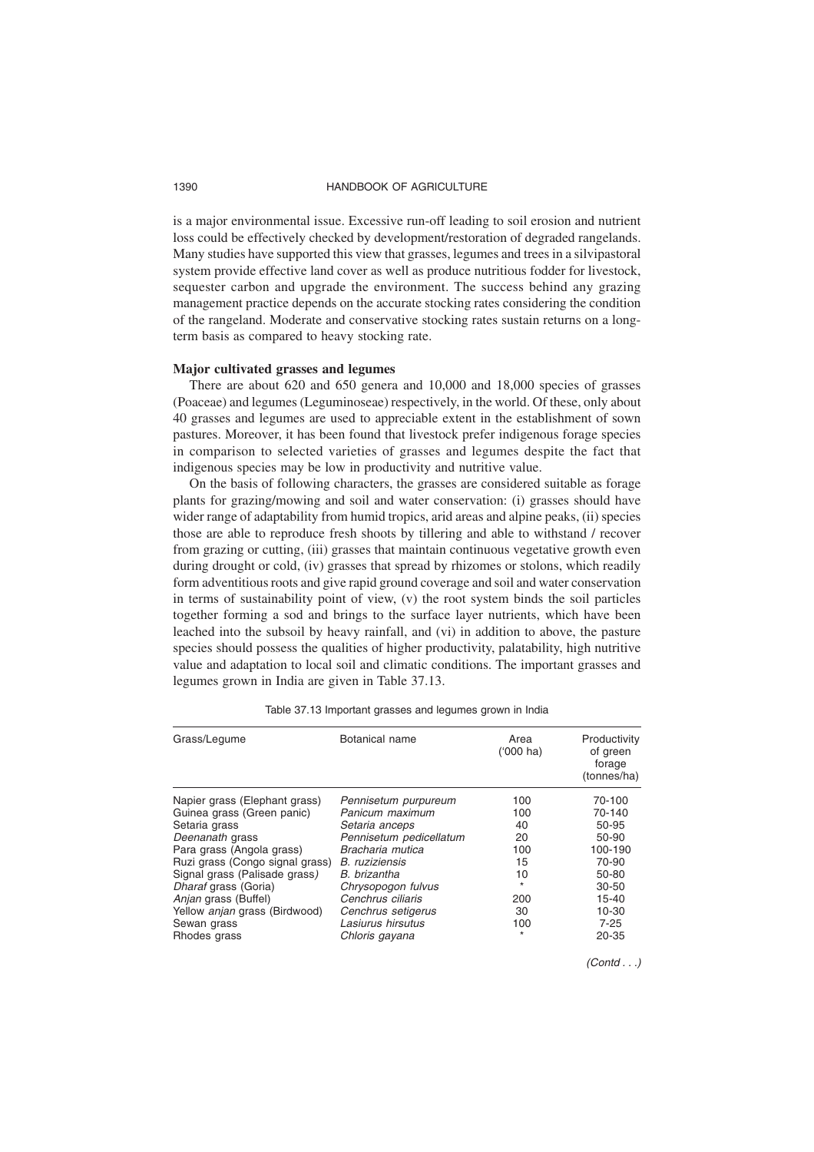is a major environmental issue. Excessive run-off leading to soil erosion and nutrient loss could be effectively checked by development/restoration of degraded rangelands. Many studies have supported this view that grasses, legumes and trees in a silvipastoral system provide effective land cover as well as produce nutritious fodder for livestock, sequester carbon and upgrade the environment. The success behind any grazing management practice depends on the accurate stocking rates considering the condition of the rangeland. Moderate and conservative stocking rates sustain returns on a longterm basis as compared to heavy stocking rate.

#### **Major cultivated grasses and legumes**

There are about 620 and 650 genera and 10,000 and 18,000 species of grasses (Poaceae) and legumes (Leguminoseae) respectively, in the world. Of these, only about 40 grasses and legumes are used to appreciable extent in the establishment of sown pastures. Moreover, it has been found that livestock prefer indigenous forage species in comparison to selected varieties of grasses and legumes despite the fact that indigenous species may be low in productivity and nutritive value.

On the basis of following characters, the grasses are considered suitable as forage plants for grazing/mowing and soil and water conservation: (i) grasses should have wider range of adaptability from humid tropics, arid areas and alpine peaks, (ii) species those are able to reproduce fresh shoots by tillering and able to withstand / recover from grazing or cutting, (iii) grasses that maintain continuous vegetative growth even during drought or cold, (iv) grasses that spread by rhizomes or stolons, which readily form adventitious roots and give rapid ground coverage and soil and water conservation in terms of sustainability point of view,  $(v)$  the root system binds the soil particles together forming a sod and brings to the surface layer nutrients, which have been leached into the subsoil by heavy rainfall, and (vi) in addition to above, the pasture species should possess the qualities of higher productivity, palatability, high nutritive value and adaptation to local soil and climatic conditions. The important grasses and legumes grown in India are given in Table 37.13.

| Grass/Legume                    | Botanical name          | Area<br>$(000)$ ha) | Productivity<br>of green<br>forage<br>(tonnes/ha) |
|---------------------------------|-------------------------|---------------------|---------------------------------------------------|
| Napier grass (Elephant grass)   | Pennisetum purpureum    | 100                 | 70-100                                            |
| Guinea grass (Green panic)      | Panicum maximum         | 100                 | 70-140                                            |
| Setaria grass                   | Setaria anceps          | 40                  | 50-95                                             |
| Deenanath grass                 | Pennisetum pedicellatum | 20                  | 50-90                                             |
| Para grass (Angola grass)       | Bracharia mutica        | 100                 | 100-190                                           |
| Ruzi grass (Congo signal grass) | <b>B.</b> ruziziensis   | 15                  | 70-90                                             |
| Signal grass (Palisade grass)   | B. brizantha            | 10                  | 50-80                                             |
| Dharaf grass (Goria)            | Chrysopogon fulvus      | $\star$             | $30 - 50$                                         |
| Anjan grass (Buffel)            | Cenchrus ciliaris       | 200                 | $15 - 40$                                         |
| Yellow anjan grass (Birdwood)   | Cenchrus setigerus      | 30                  | 10-30                                             |
| Sewan grass                     | Lasiurus hirsutus       | 100                 | $7 - 25$                                          |
| Rhodes grass                    | Chloris gayana          | $\star$             | $20 - 35$                                         |

Table 37.13 Important grasses and legumes grown in India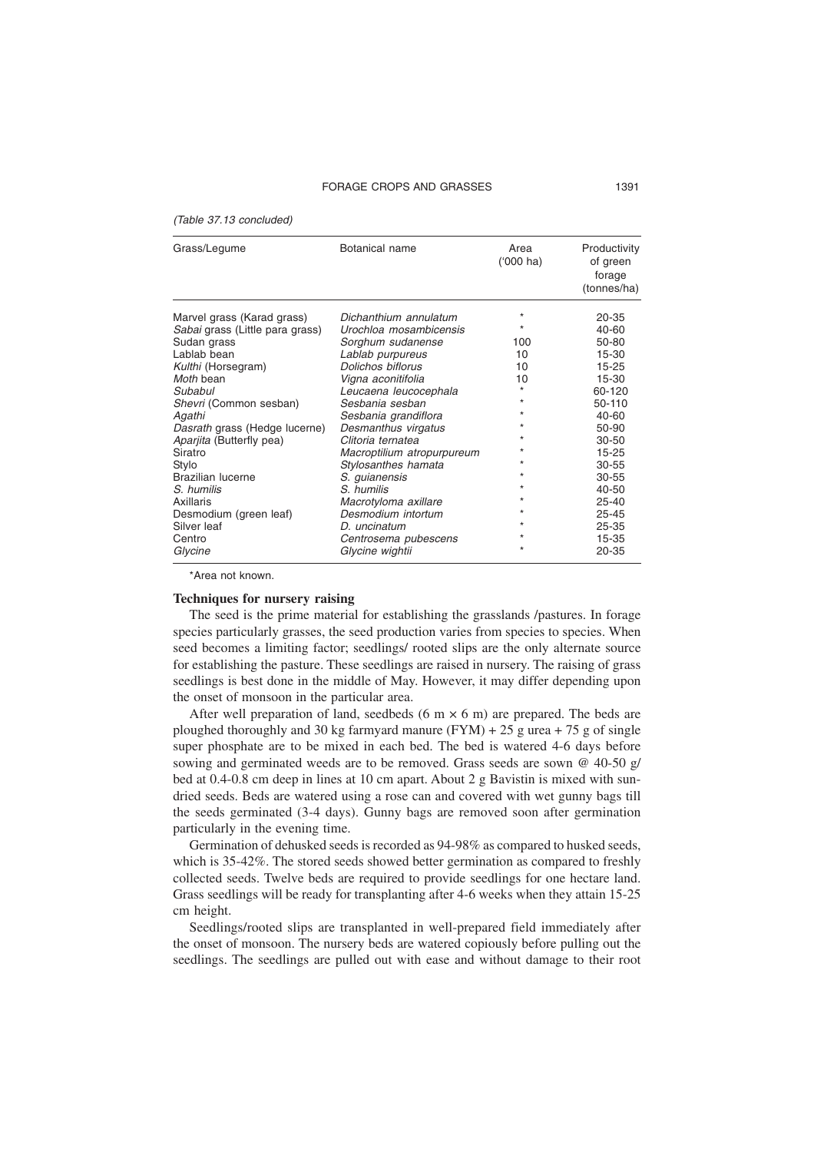#### FORAGE CROPS AND GRASSES 1391

(Table 37.13 concluded)

| Grass/Legume                    | Botanical name             | Area<br>$(000)$ ha) | Productivity<br>of green<br>forage<br>(tonnes/ha) |
|---------------------------------|----------------------------|---------------------|---------------------------------------------------|
| Marvel grass (Karad grass)      | Dichanthium annulatum      | $\star$             | 20-35                                             |
| Sabai grass (Little para grass) | Urochloa mosambicensis     |                     | 40-60                                             |
| Sudan grass                     | Sorghum sudanense          | 100                 | 50-80                                             |
| Lablab bean                     | Lablab purpureus           | 10                  | 15-30                                             |
| Kulthi (Horsegram)              | Dolichos biflorus          | 10                  | $15 - 25$                                         |
| Moth bean                       | Vigna aconitifolia         | 10                  | $15 - 30$                                         |
| Subabul                         | Leucaena leucocephala      |                     | 60-120                                            |
| Shevri (Common sesban)          | Sesbania sesban            |                     | 50-110                                            |
| Agathi                          | Sesbania grandiflora       |                     | 40-60                                             |
| Dasrath grass (Hedge lucerne)   | Desmanthus virgatus        |                     | 50-90                                             |
| Aparjita (Butterfly pea)        | Clitoria ternatea          |                     | $30 - 50$                                         |
| Siratro                         | Macroptilium atropurpureum |                     | $15 - 25$                                         |
| Stylo                           | Stylosanthes hamata        |                     | $30 - 55$                                         |
| <b>Brazilian lucerne</b>        | S. quianensis              |                     | $30 - 55$                                         |
| S. humilis                      | S. humilis                 |                     | 40-50                                             |
| Axillaris                       | Macrotyloma axillare       |                     | $25 - 40$                                         |
| Desmodium (green leaf)          | Desmodium intortum         |                     | $25 - 45$                                         |
| Silver leaf                     | $D.$ uncinatum             |                     | 25-35                                             |
| Centro                          | Centrosema pubescens       |                     | 15-35                                             |
| Glycine                         | Glycine wightii            |                     | 20-35                                             |

\*Area not known.

#### **Techniques for nursery raising**

The seed is the prime material for establishing the grasslands /pastures. In forage species particularly grasses, the seed production varies from species to species. When seed becomes a limiting factor; seedlings/ rooted slips are the only alternate source for establishing the pasture. These seedlings are raised in nursery. The raising of grass seedlings is best done in the middle of May. However, it may differ depending upon the onset of monsoon in the particular area.

After well preparation of land, seedbeds (6 m  $\times$  6 m) are prepared. The beds are ploughed thoroughly and 30 kg farmyard manure  $(FYM) + 25$  g urea + 75 g of single super phosphate are to be mixed in each bed. The bed is watered 4-6 days before sowing and germinated weeds are to be removed. Grass seeds are sown @ 40-50 g/ bed at 0.4-0.8 cm deep in lines at 10 cm apart. About 2 g Bavistin is mixed with sundried seeds. Beds are watered using a rose can and covered with wet gunny bags till the seeds germinated (3-4 days). Gunny bags are removed soon after germination particularly in the evening time.

Germination of dehusked seeds is recorded as 94-98% as compared to husked seeds, which is 35-42%. The stored seeds showed better germination as compared to freshly collected seeds. Twelve beds are required to provide seedlings for one hectare land. Grass seedlings will be ready for transplanting after 4-6 weeks when they attain 15-25 cm height.

Seedlings/rooted slips are transplanted in well-prepared field immediately after the onset of monsoon. The nursery beds are watered copiously before pulling out the seedlings. The seedlings are pulled out with ease and without damage to their root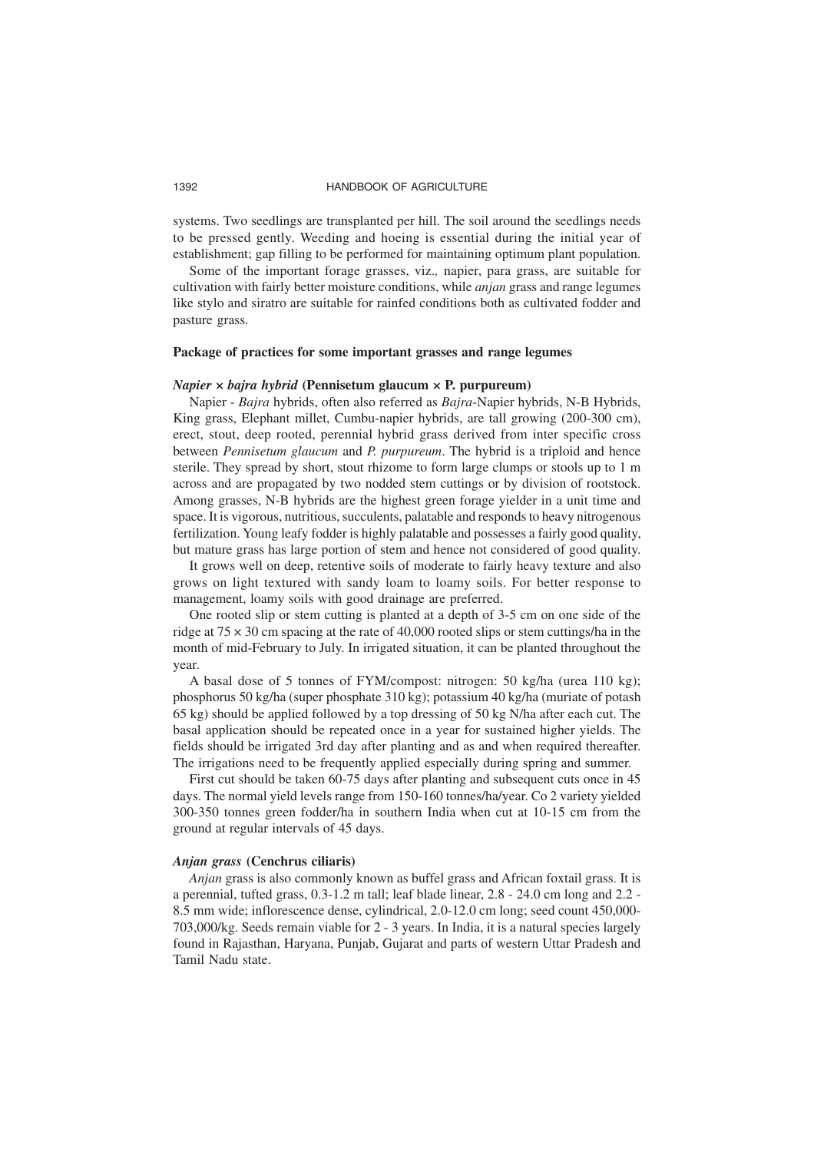systems. Two seedlings are transplanted per hill. The soil around the seedlings needs to be pressed gently. Weeding and hoeing is essential during the initial year of establishment; gap filling to be performed for maintaining optimum plant population.

Some of the important forage grasses, viz.*,* napier, para grass, are suitable for cultivation with fairly better moisture conditions, while *anjan* grass and range legumes like stylo and siratro are suitable for rainfed conditions both as cultivated fodder and pasture grass.

#### **Package of practices for some important grasses and range legumes**

#### *Napier × bajra hybrid* **(Pennisetum glaucum × P. purpureum)**

Napier - *Bajra* hybrids, often also referred as *Bajra*-Napier hybrids, N-B Hybrids, King grass, Elephant millet, Cumbu-napier hybrids, are tall growing (200-300 cm), erect, stout, deep rooted, perennial hybrid grass derived from inter specific cross between *Pennisetum glaucum* and *P. purpureum*. The hybrid is a triploid and hence sterile. They spread by short, stout rhizome to form large clumps or stools up to 1 m across and are propagated by two nodded stem cuttings or by division of rootstock. Among grasses, N-B hybrids are the highest green forage yielder in a unit time and space. It is vigorous, nutritious, succulents, palatable and responds to heavy nitrogenous fertilization. Young leafy fodder is highly palatable and possesses a fairly good quality, but mature grass has large portion of stem and hence not considered of good quality.

It grows well on deep, retentive soils of moderate to fairly heavy texture and also grows on light textured with sandy loam to loamy soils. For better response to management, loamy soils with good drainage are preferred.

One rooted slip or stem cutting is planted at a depth of 3-5 cm on one side of the ridge at  $75 \times 30$  cm spacing at the rate of 40,000 rooted slips or stem cuttings/ha in the month of mid-February to July. In irrigated situation, it can be planted throughout the year.

A basal dose of 5 tonnes of FYM/compost: nitrogen: 50 kg/ha (urea 110 kg); phosphorus 50 kg/ha (super phosphate 310 kg); potassium 40 kg/ha (muriate of potash 65 kg) should be applied followed by a top dressing of 50 kg N/ha after each cut. The basal application should be repeated once in a year for sustained higher yields. The fields should be irrigated 3rd day after planting and as and when required thereafter. The irrigations need to be frequently applied especially during spring and summer.

First cut should be taken 60-75 days after planting and subsequent cuts once in 45 days. The normal yield levels range from 150-160 tonnes/ha/year. Co 2 variety yielded 300-350 tonnes green fodder/ha in southern India when cut at 10-15 cm from the ground at regular intervals of 45 days.

#### *Anjan grass* **(Cenchrus ciliaris)**

*Anjan* grass is also commonly known as buffel grass and African foxtail grass. It is a perennial, tufted grass, 0.3-1.2 m tall; leaf blade linear, 2.8 - 24.0 cm long and 2.2 - 8.5 mm wide; inflorescence dense, cylindrical, 2.0-12.0 cm long; seed count 450,000- 703,000/kg. Seeds remain viable for 2 - 3 years. In India, it is a natural species largely found in Rajasthan, Haryana, Punjab, Gujarat and parts of western Uttar Pradesh and Tamil Nadu state.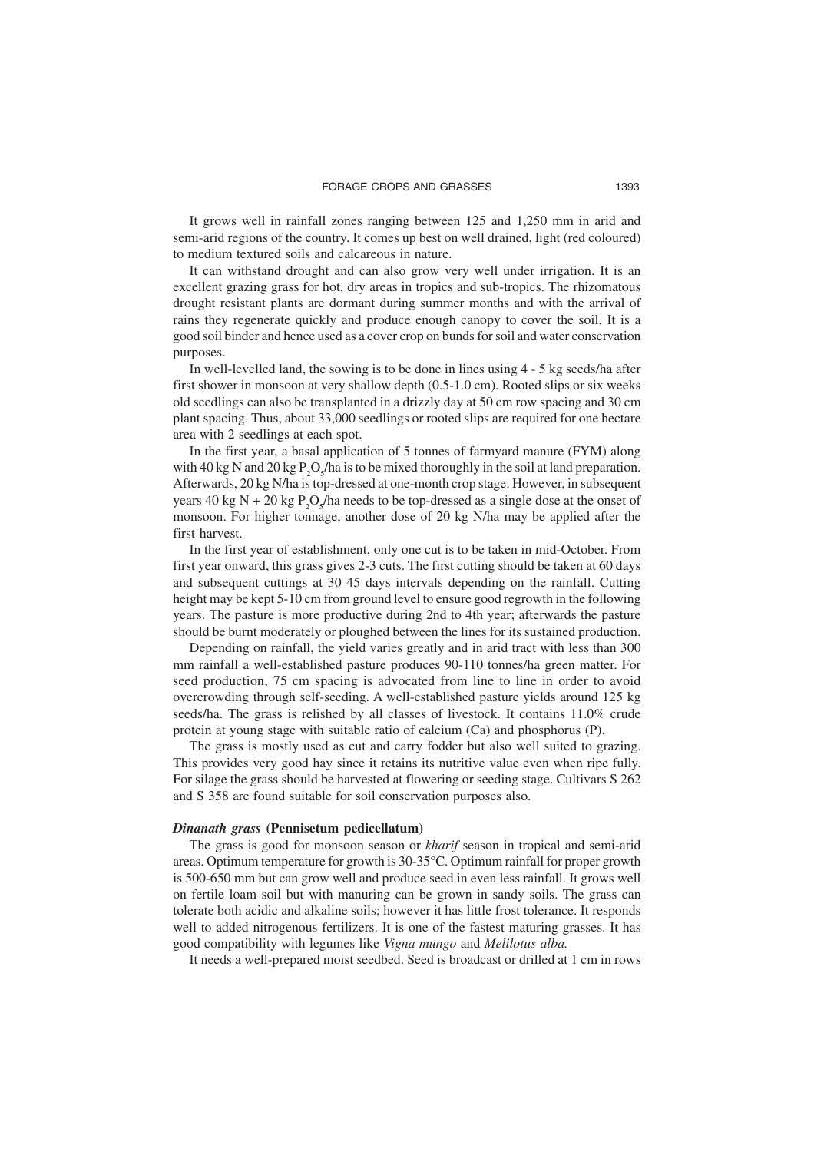It grows well in rainfall zones ranging between 125 and 1,250 mm in arid and semi-arid regions of the country. It comes up best on well drained, light (red coloured) to medium textured soils and calcareous in nature.

It can withstand drought and can also grow very well under irrigation. It is an excellent grazing grass for hot, dry areas in tropics and sub-tropics. The rhizomatous drought resistant plants are dormant during summer months and with the arrival of rains they regenerate quickly and produce enough canopy to cover the soil. It is a good soil binder and hence used as a cover crop on bunds for soil and water conservation purposes.

In well-levelled land, the sowing is to be done in lines using 4 - 5 kg seeds/ha after first shower in monsoon at very shallow depth (0.5-1.0 cm). Rooted slips or six weeks old seedlings can also be transplanted in a drizzly day at 50 cm row spacing and 30 cm plant spacing. Thus, about 33,000 seedlings or rooted slips are required for one hectare area with 2 seedlings at each spot.

In the first year, a basal application of 5 tonnes of farmyard manure (FYM) along with 40 kg N and 20 kg  $P_2O_5/ha$  is to be mixed thoroughly in the soil at land preparation. Afterwards, 20 kg N/ha is top-dressed at one-month crop stage. However, in subsequent years 40 kg N + 20 kg  $P_2O_5/ha$  needs to be top-dressed as a single dose at the onset of monsoon. For higher tonnage, another dose of 20 kg N/ha may be applied after the first harvest.

In the first year of establishment, only one cut is to be taken in mid-October. From first year onward, this grass gives 2-3 cuts. The first cutting should be taken at 60 days and subsequent cuttings at 30 45 days intervals depending on the rainfall. Cutting height may be kept 5-10 cm from ground level to ensure good regrowth in the following years. The pasture is more productive during 2nd to 4th year; afterwards the pasture should be burnt moderately or ploughed between the lines for its sustained production.

Depending on rainfall, the yield varies greatly and in arid tract with less than 300 mm rainfall a well-established pasture produces 90-110 tonnes/ha green matter. For seed production, 75 cm spacing is advocated from line to line in order to avoid overcrowding through self-seeding. A well-established pasture yields around 125 kg seeds/ha. The grass is relished by all classes of livestock. It contains 11.0% crude protein at young stage with suitable ratio of calcium (Ca) and phosphorus (P).

The grass is mostly used as cut and carry fodder but also well suited to grazing. This provides very good hay since it retains its nutritive value even when ripe fully. For silage the grass should be harvested at flowering or seeding stage. Cultivars S 262 and S 358 are found suitable for soil conservation purposes also.

#### *Dinanath grass* **(Pennisetum pedicellatum)**

The grass is good for monsoon season or *kharif* season in tropical and semi-arid areas. Optimum temperature for growth is 30-35°C. Optimum rainfall for proper growth is 500-650 mm but can grow well and produce seed in even less rainfall. It grows well on fertile loam soil but with manuring can be grown in sandy soils. The grass can tolerate both acidic and alkaline soils; however it has little frost tolerance. It responds well to added nitrogenous fertilizers. It is one of the fastest maturing grasses. It has good compatibility with legumes like *Vigna mungo* and *Melilotus alba.*

It needs a well-prepared moist seedbed. Seed is broadcast or drilled at 1 cm in rows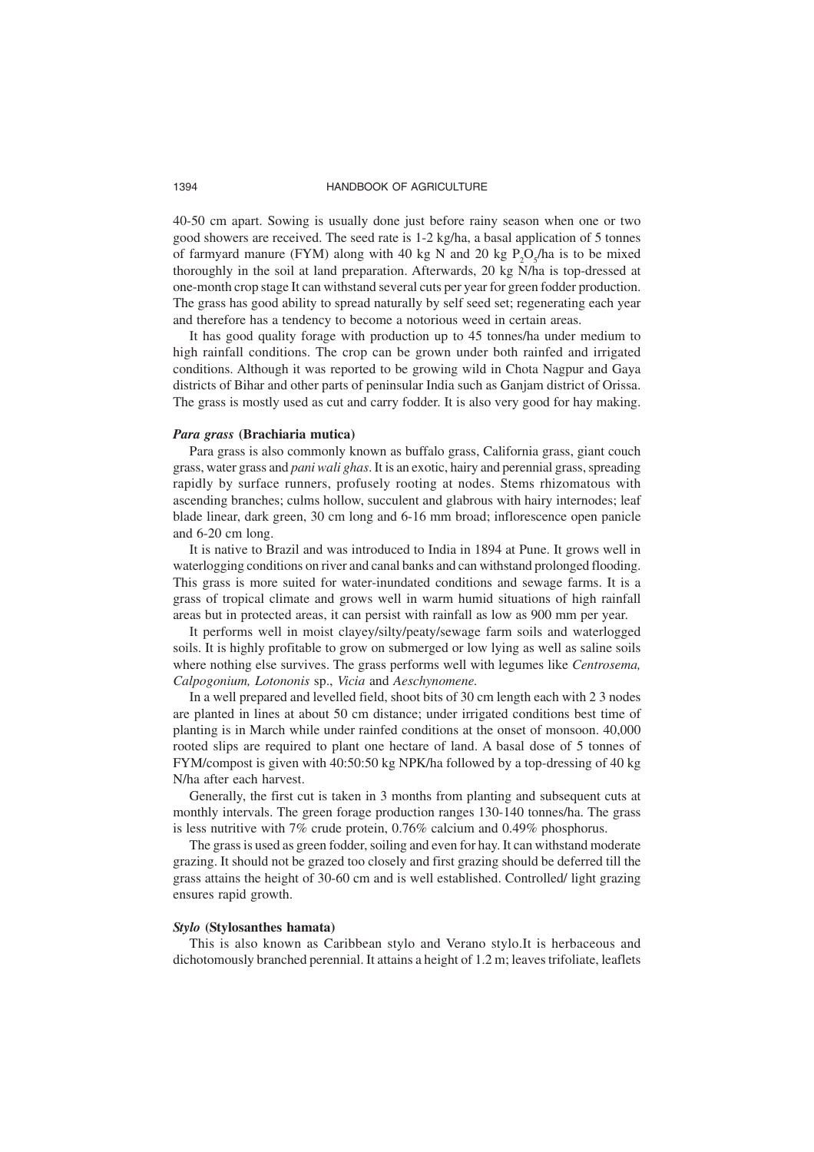40-50 cm apart. Sowing is usually done just before rainy season when one or two good showers are received. The seed rate is 1-2 kg/ha, a basal application of 5 tonnes of farmyard manure (FYM) along with 40 kg N and 20 kg  $P_2O_5/ha$  is to be mixed thoroughly in the soil at land preparation. Afterwards, 20 kg N/ha is top-dressed at one-month crop stage It can withstand several cuts per year for green fodder production. The grass has good ability to spread naturally by self seed set; regenerating each year and therefore has a tendency to become a notorious weed in certain areas.

It has good quality forage with production up to 45 tonnes/ha under medium to high rainfall conditions. The crop can be grown under both rainfed and irrigated conditions. Although it was reported to be growing wild in Chota Nagpur and Gaya districts of Bihar and other parts of peninsular India such as Ganjam district of Orissa. The grass is mostly used as cut and carry fodder. It is also very good for hay making.

# *Para grass* **(Brachiaria mutica)**

Para grass is also commonly known as buffalo grass, California grass, giant couch grass, water grass and *pani wali ghas*. It is an exotic, hairy and perennial grass, spreading rapidly by surface runners, profusely rooting at nodes. Stems rhizomatous with ascending branches; culms hollow, succulent and glabrous with hairy internodes; leaf blade linear, dark green, 30 cm long and 6-16 mm broad; inflorescence open panicle and 6-20 cm long.

It is native to Brazil and was introduced to India in 1894 at Pune. It grows well in waterlogging conditions on river and canal banks and can withstand prolonged flooding. This grass is more suited for water-inundated conditions and sewage farms. It is a grass of tropical climate and grows well in warm humid situations of high rainfall areas but in protected areas, it can persist with rainfall as low as 900 mm per year.

It performs well in moist clayey/silty/peaty/sewage farm soils and waterlogged soils. It is highly profitable to grow on submerged or low lying as well as saline soils where nothing else survives. The grass performs well with legumes like *Centrosema, Calpogonium, Lotononis* sp., *Vicia* and *Aeschynomene.*

In a well prepared and levelled field, shoot bits of 30 cm length each with 2 3 nodes are planted in lines at about 50 cm distance; under irrigated conditions best time of planting is in March while under rainfed conditions at the onset of monsoon. 40,000 rooted slips are required to plant one hectare of land. A basal dose of 5 tonnes of FYM/compost is given with 40:50:50 kg NPK/ha followed by a top-dressing of 40 kg N/ha after each harvest.

Generally, the first cut is taken in 3 months from planting and subsequent cuts at monthly intervals. The green forage production ranges 130-140 tonnes/ha. The grass is less nutritive with 7% crude protein, 0.76% calcium and 0.49% phosphorus.

The grass is used as green fodder, soiling and even for hay. It can withstand moderate grazing. It should not be grazed too closely and first grazing should be deferred till the grass attains the height of 30-60 cm and is well established. Controlled/ light grazing ensures rapid growth.

#### *Stylo* **(Stylosanthes hamata)**

This is also known as Caribbean stylo and Verano stylo.It is herbaceous and dichotomously branched perennial. It attains a height of 1.2 m; leaves trifoliate, leaflets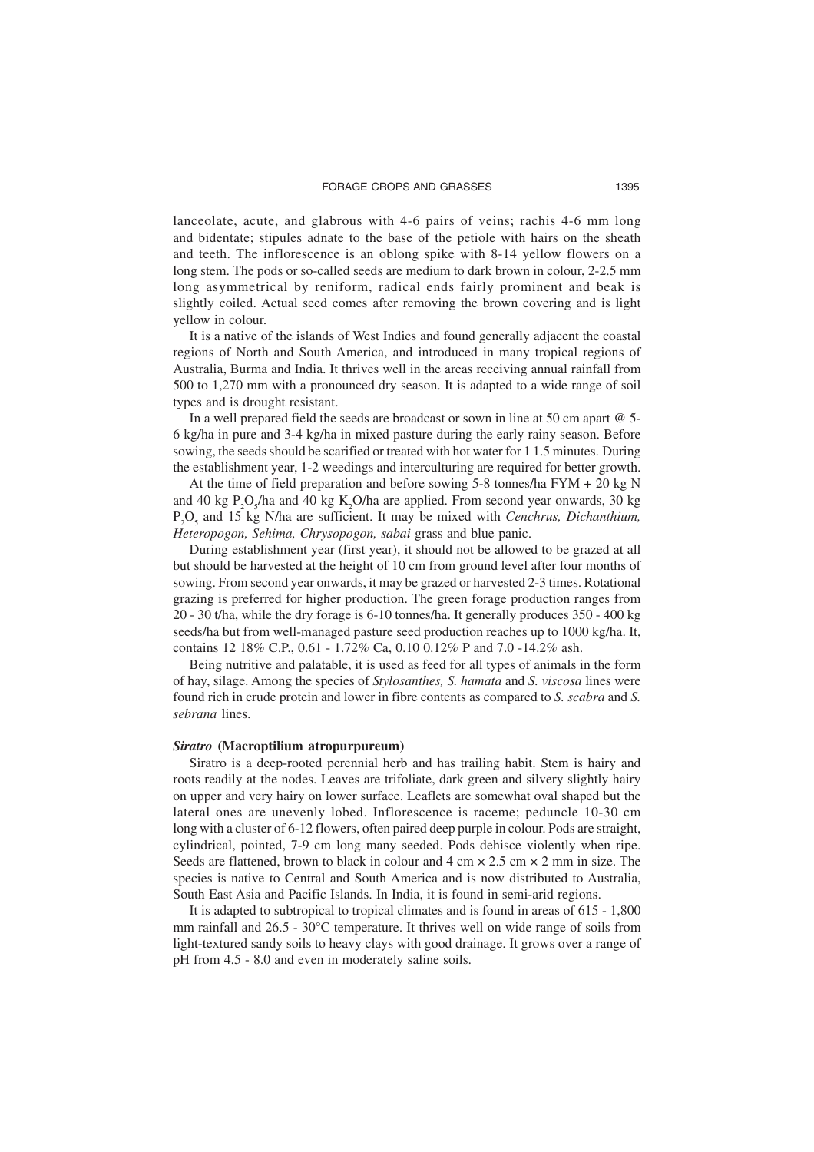lanceolate, acute, and glabrous with 4-6 pairs of veins; rachis 4-6 mm long and bidentate; stipules adnate to the base of the petiole with hairs on the sheath and teeth. The inflorescence is an oblong spike with 8-14 yellow flowers on a long stem. The pods or so-called seeds are medium to dark brown in colour, 2-2.5 mm long asymmetrical by reniform, radical ends fairly prominent and beak is slightly coiled. Actual seed comes after removing the brown covering and is light yellow in colour.

It is a native of the islands of West Indies and found generally adjacent the coastal regions of North and South America, and introduced in many tropical regions of Australia, Burma and India. It thrives well in the areas receiving annual rainfall from 500 to 1,270 mm with a pronounced dry season. It is adapted to a wide range of soil types and is drought resistant.

In a well prepared field the seeds are broadcast or sown in line at 50 cm apart @ 5- 6 kg/ha in pure and 3-4 kg/ha in mixed pasture during the early rainy season. Before sowing, the seeds should be scarified or treated with hot water for 1 1.5 minutes. During the establishment year, 1-2 weedings and interculturing are required for better growth.

At the time of field preparation and before sowing 5-8 tonnes/ha FYM + 20 kg N and 40 kg  $P_2O_5$ /ha and 40 kg K<sub>2</sub>O/ha are applied. From second year onwards, 30 kg P2 O5 and 15 kg N/ha are sufficient. It may be mixed with *Cenchrus, Dichanthium, Heteropogon, Sehima, Chrysopogon, sabai* grass and blue panic.

During establishment year (first year), it should not be allowed to be grazed at all but should be harvested at the height of 10 cm from ground level after four months of sowing. From second year onwards, it may be grazed or harvested 2-3 times. Rotational grazing is preferred for higher production. The green forage production ranges from 20 - 30 t/ha, while the dry forage is 6-10 tonnes/ha. It generally produces 350 - 400 kg seeds/ha but from well-managed pasture seed production reaches up to 1000 kg/ha. It, contains 12 18% C.P., 0.61 - 1.72% Ca, 0.10 0.12% P and 7.0 -14.2% ash.

Being nutritive and palatable, it is used as feed for all types of animals in the form of hay, silage. Among the species of *Stylosanthes, S. hamata* and *S. viscosa* lines were found rich in crude protein and lower in fibre contents as compared to *S. scabra* and *S. sebrana* lines.

#### *Siratro* **(Macroptilium atropurpureum)**

Siratro is a deep-rooted perennial herb and has trailing habit. Stem is hairy and roots readily at the nodes. Leaves are trifoliate, dark green and silvery slightly hairy on upper and very hairy on lower surface. Leaflets are somewhat oval shaped but the lateral ones are unevenly lobed. Inflorescence is raceme; peduncle 10-30 cm long with a cluster of 6-12 flowers, often paired deep purple in colour. Pods are straight, cylindrical, pointed, 7-9 cm long many seeded. Pods dehisce violently when ripe. Seeds are flattened, brown to black in colour and  $4 \text{ cm} \times 2.5 \text{ cm} \times 2 \text{ mm}$  in size. The species is native to Central and South America and is now distributed to Australia, South East Asia and Pacific Islands. In India, it is found in semi-arid regions.

It is adapted to subtropical to tropical climates and is found in areas of 615 - 1,800 mm rainfall and  $26.5 - 30^{\circ}$ C temperature. It thrives well on wide range of soils from light-textured sandy soils to heavy clays with good drainage. It grows over a range of pH from 4.5 - 8.0 and even in moderately saline soils.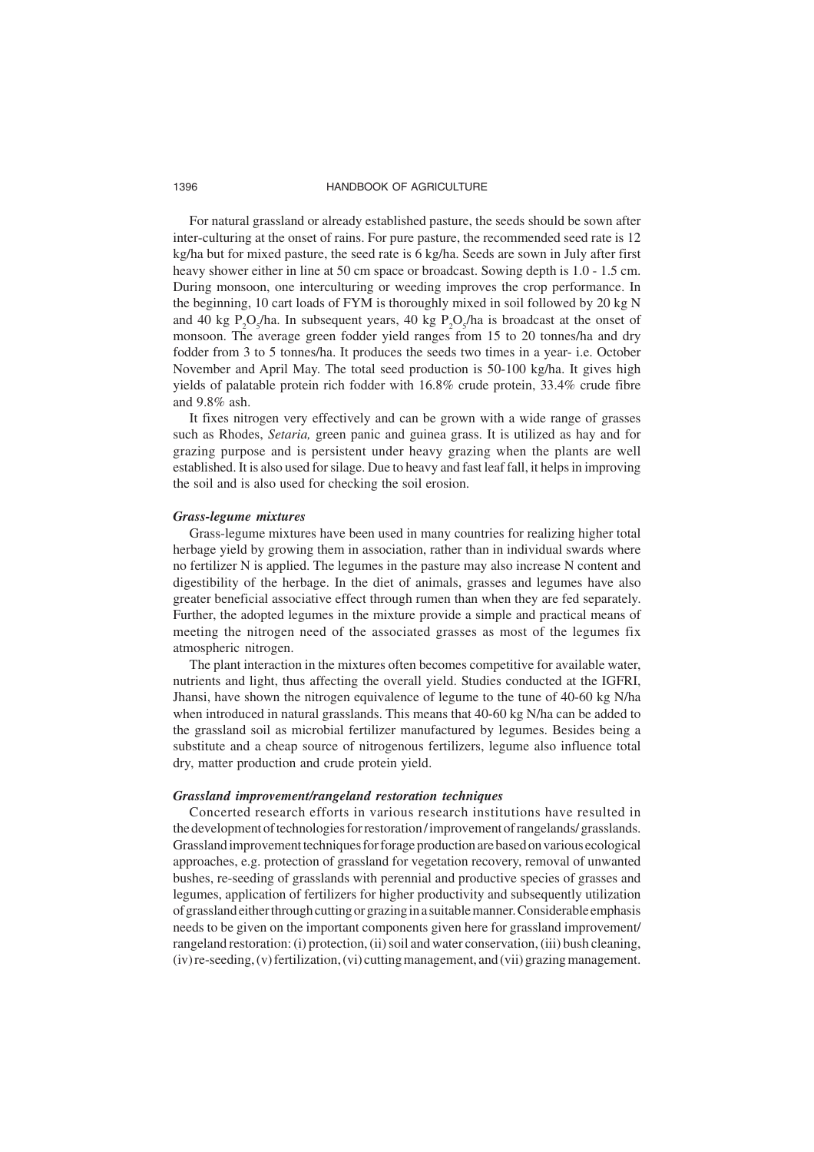For natural grassland or already established pasture, the seeds should be sown after inter-culturing at the onset of rains. For pure pasture, the recommended seed rate is 12 kg/ha but for mixed pasture, the seed rate is 6 kg/ha. Seeds are sown in July after first heavy shower either in line at 50 cm space or broadcast. Sowing depth is 1.0 - 1.5 cm. During monsoon, one interculturing or weeding improves the crop performance. In the beginning, 10 cart loads of FYM is thoroughly mixed in soil followed by 20 kg N and 40 kg  $P_2O_5/ha$ . In subsequent years, 40 kg  $P_2O_5/ha$  is broadcast at the onset of monsoon. The average green fodder yield ranges from 15 to 20 tonnes/ha and dry fodder from 3 to 5 tonnes/ha. It produces the seeds two times in a year- i.e. October November and April May. The total seed production is 50-100 kg/ha. It gives high yields of palatable protein rich fodder with 16.8% crude protein, 33.4% crude fibre and 9.8% ash.

It fixes nitrogen very effectively and can be grown with a wide range of grasses such as Rhodes, *Setaria,* green panic and guinea grass. It is utilized as hay and for grazing purpose and is persistent under heavy grazing when the plants are well established. It is also used for silage. Due to heavy and fast leaf fall, it helps in improving the soil and is also used for checking the soil erosion.

#### *Grass-legume mixtures*

Grass-legume mixtures have been used in many countries for realizing higher total herbage yield by growing them in association, rather than in individual swards where no fertilizer N is applied. The legumes in the pasture may also increase N content and digestibility of the herbage. In the diet of animals, grasses and legumes have also greater beneficial associative effect through rumen than when they are fed separately. Further, the adopted legumes in the mixture provide a simple and practical means of meeting the nitrogen need of the associated grasses as most of the legumes fix atmospheric nitrogen.

The plant interaction in the mixtures often becomes competitive for available water, nutrients and light, thus affecting the overall yield. Studies conducted at the IGFRI, Jhansi, have shown the nitrogen equivalence of legume to the tune of 40-60 kg N/ha when introduced in natural grasslands. This means that 40-60 kg N/ha can be added to the grassland soil as microbial fertilizer manufactured by legumes. Besides being a substitute and a cheap source of nitrogenous fertilizers, legume also influence total dry, matter production and crude protein yield.

#### *Grassland improvement/rangeland restoration techniques*

Concerted research efforts in various research institutions have resulted in the development of technologies for restoration / improvement of rangelands/ grasslands. Grassland improvement techniques for forage production are based on various ecological approaches, e.g. protection of grassland for vegetation recovery, removal of unwanted bushes, re-seeding of grasslands with perennial and productive species of grasses and legumes, application of fertilizers for higher productivity and subsequently utilization of grassland either through cutting or grazing in a suitable manner. Considerable emphasis needs to be given on the important components given here for grassland improvement/ rangeland restoration: (i) protection, (ii) soil and water conservation, (iii) bush cleaning, (iv) re-seeding, (v) fertilization, (vi) cutting management, and (vii) grazing management.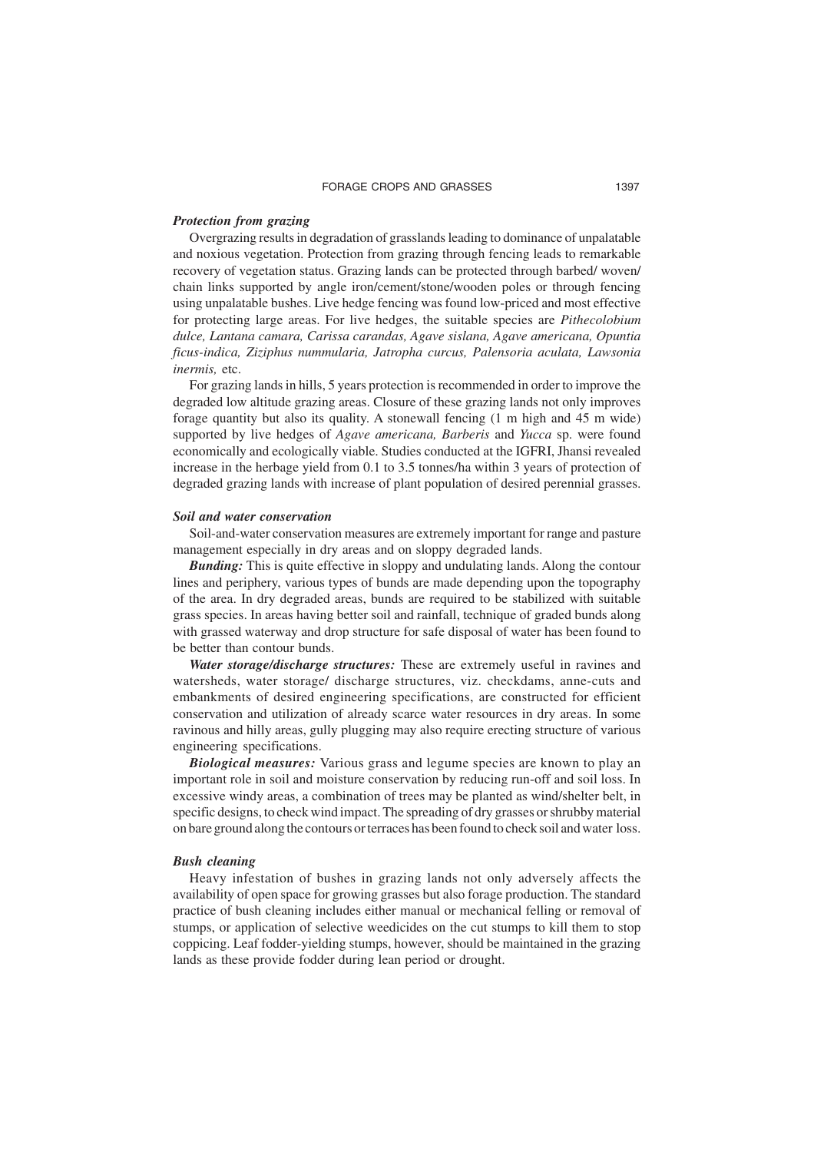#### *Protection from grazing*

Overgrazing results in degradation of grasslands leading to dominance of unpalatable and noxious vegetation. Protection from grazing through fencing leads to remarkable recovery of vegetation status. Grazing lands can be protected through barbed/ woven/ chain links supported by angle iron/cement/stone/wooden poles or through fencing using unpalatable bushes. Live hedge fencing was found low-priced and most effective for protecting large areas. For live hedges, the suitable species are *Pithecolobium dulce, Lantana camara, Carissa carandas, Agave sislana, Agave americana, Opuntia ficus-indica, Ziziphus nummularia, Jatropha curcus, Palensoria aculata, Lawsonia inermis,* etc.

For grazing lands in hills, 5 years protection is recommended in order to improve the degraded low altitude grazing areas. Closure of these grazing lands not only improves forage quantity but also its quality. A stonewall fencing (1 m high and 45 m wide) supported by live hedges of *Agave americana, Barberis* and *Yucca* sp. were found economically and ecologically viable. Studies conducted at the IGFRI, Jhansi revealed increase in the herbage yield from 0.1 to 3.5 tonnes/ha within 3 years of protection of degraded grazing lands with increase of plant population of desired perennial grasses.

#### *Soil and water conservation*

Soil-and-water conservation measures are extremely important for range and pasture management especially in dry areas and on sloppy degraded lands.

*Bunding:* This is quite effective in sloppy and undulating lands. Along the contour lines and periphery, various types of bunds are made depending upon the topography of the area. In dry degraded areas, bunds are required to be stabilized with suitable grass species. In areas having better soil and rainfall, technique of graded bunds along with grassed waterway and drop structure for safe disposal of water has been found to be better than contour bunds.

*Water storage/discharge structures:* These are extremely useful in ravines and watersheds, water storage/ discharge structures, viz. checkdams, anne-cuts and embankments of desired engineering specifications, are constructed for efficient conservation and utilization of already scarce water resources in dry areas. In some ravinous and hilly areas, gully plugging may also require erecting structure of various engineering specifications.

*Biological measures:* Various grass and legume species are known to play an important role in soil and moisture conservation by reducing run-off and soil loss. In excessive windy areas, a combination of trees may be planted as wind/shelter belt, in specific designs, to check wind impact. The spreading of dry grasses or shrubby material on bare ground along the contours or terraces has been found to check soil and water loss.

#### *Bush cleaning*

Heavy infestation of bushes in grazing lands not only adversely affects the availability of open space for growing grasses but also forage production. The standard practice of bush cleaning includes either manual or mechanical felling or removal of stumps, or application of selective weedicides on the cut stumps to kill them to stop coppicing. Leaf fodder-yielding stumps, however, should be maintained in the grazing lands as these provide fodder during lean period or drought.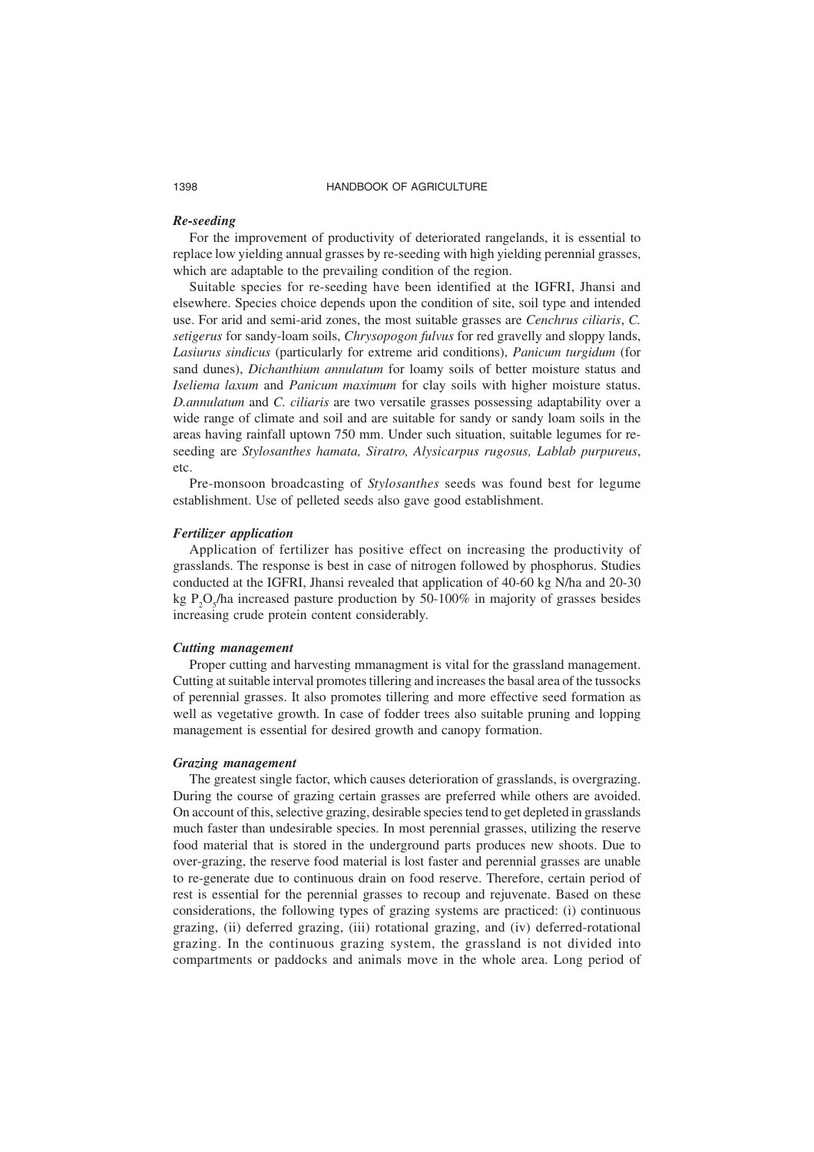#### *Re-seeding*

For the improvement of productivity of deteriorated rangelands, it is essential to replace low yielding annual grasses by re-seeding with high yielding perennial grasses, which are adaptable to the prevailing condition of the region.

Suitable species for re-seeding have been identified at the IGFRI, Jhansi and elsewhere. Species choice depends upon the condition of site, soil type and intended use. For arid and semi-arid zones, the most suitable grasses are *Cenchrus ciliaris*, *C. setigerus* for sandy-loam soils, *Chrysopogon fulvus* for red gravelly and sloppy lands, *Lasiurus sindicus* (particularly for extreme arid conditions), *Panicum turgidum* (for sand dunes), *Dichanthium annulatum* for loamy soils of better moisture status and *Iseliema laxum* and *Panicum maximum* for clay soils with higher moisture status. *D.annulatum* and *C. ciliaris* are two versatile grasses possessing adaptability over a wide range of climate and soil and are suitable for sandy or sandy loam soils in the areas having rainfall uptown 750 mm. Under such situation, suitable legumes for reseeding are *Stylosanthes hamata, Siratro, Alysicarpus rugosus, Lablab purpureus*, etc.

Pre-monsoon broadcasting of *Stylosanthes* seeds was found best for legume establishment. Use of pelleted seeds also gave good establishment.

#### *Fertilizer application*

Application of fertilizer has positive effect on increasing the productivity of grasslands. The response is best in case of nitrogen followed by phosphorus. Studies conducted at the IGFRI, Jhansi revealed that application of 40-60 kg N/ha and 20-30 kg  $P_2O_5$ /ha increased pasture production by 50-100% in majority of grasses besides increasing crude protein content considerably.

#### *Cutting management*

Proper cutting and harvesting mmanagment is vital for the grassland management. Cutting at suitable interval promotes tillering and increases the basal area of the tussocks of perennial grasses. It also promotes tillering and more effective seed formation as well as vegetative growth. In case of fodder trees also suitable pruning and lopping management is essential for desired growth and canopy formation.

#### *Grazing management*

The greatest single factor, which causes deterioration of grasslands, is overgrazing. During the course of grazing certain grasses are preferred while others are avoided. On account of this, selective grazing, desirable species tend to get depleted in grasslands much faster than undesirable species. In most perennial grasses, utilizing the reserve food material that is stored in the underground parts produces new shoots. Due to over-grazing, the reserve food material is lost faster and perennial grasses are unable to re-generate due to continuous drain on food reserve. Therefore, certain period of rest is essential for the perennial grasses to recoup and rejuvenate. Based on these considerations, the following types of grazing systems are practiced: (i) continuous grazing, (ii) deferred grazing, (iii) rotational grazing, and (iv) deferred-rotational grazing. In the continuous grazing system, the grassland is not divided into compartments or paddocks and animals move in the whole area. Long period of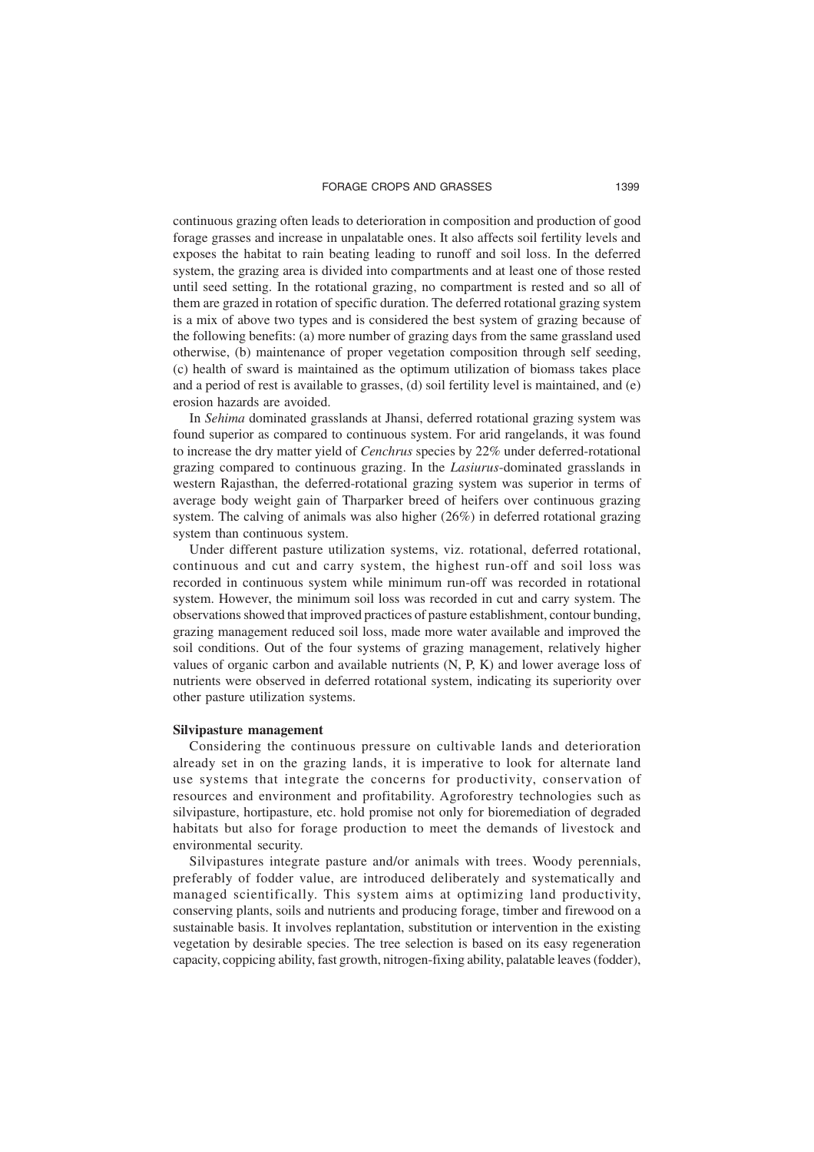continuous grazing often leads to deterioration in composition and production of good forage grasses and increase in unpalatable ones. It also affects soil fertility levels and exposes the habitat to rain beating leading to runoff and soil loss. In the deferred system, the grazing area is divided into compartments and at least one of those rested until seed setting. In the rotational grazing, no compartment is rested and so all of them are grazed in rotation of specific duration. The deferred rotational grazing system is a mix of above two types and is considered the best system of grazing because of the following benefits: (a) more number of grazing days from the same grassland used otherwise, (b) maintenance of proper vegetation composition through self seeding, (c) health of sward is maintained as the optimum utilization of biomass takes place and a period of rest is available to grasses, (d) soil fertility level is maintained, and (e) erosion hazards are avoided.

In *Sehima* dominated grasslands at Jhansi, deferred rotational grazing system was found superior as compared to continuous system. For arid rangelands, it was found to increase the dry matter yield of *Cenchrus* species by 22% under deferred-rotational grazing compared to continuous grazing. In the *Lasiurus*-dominated grasslands in western Rajasthan, the deferred-rotational grazing system was superior in terms of average body weight gain of Tharparker breed of heifers over continuous grazing system. The calving of animals was also higher (26%) in deferred rotational grazing system than continuous system.

Under different pasture utilization systems, viz. rotational, deferred rotational, continuous and cut and carry system, the highest run-off and soil loss was recorded in continuous system while minimum run-off was recorded in rotational system. However, the minimum soil loss was recorded in cut and carry system. The observations showed that improved practices of pasture establishment, contour bunding, grazing management reduced soil loss, made more water available and improved the soil conditions. Out of the four systems of grazing management, relatively higher values of organic carbon and available nutrients (N, P, K) and lower average loss of nutrients were observed in deferred rotational system, indicating its superiority over other pasture utilization systems.

#### **Silvipasture management**

Considering the continuous pressure on cultivable lands and deterioration already set in on the grazing lands, it is imperative to look for alternate land use systems that integrate the concerns for productivity, conservation of resources and environment and profitability. Agroforestry technologies such as silvipasture, hortipasture, etc. hold promise not only for bioremediation of degraded habitats but also for forage production to meet the demands of livestock and environmental security.

Silvipastures integrate pasture and/or animals with trees. Woody perennials, preferably of fodder value, are introduced deliberately and systematically and managed scientifically. This system aims at optimizing land productivity, conserving plants, soils and nutrients and producing forage, timber and firewood on a sustainable basis. It involves replantation, substitution or intervention in the existing vegetation by desirable species. The tree selection is based on its easy regeneration capacity, coppicing ability, fast growth, nitrogen-fixing ability, palatable leaves (fodder),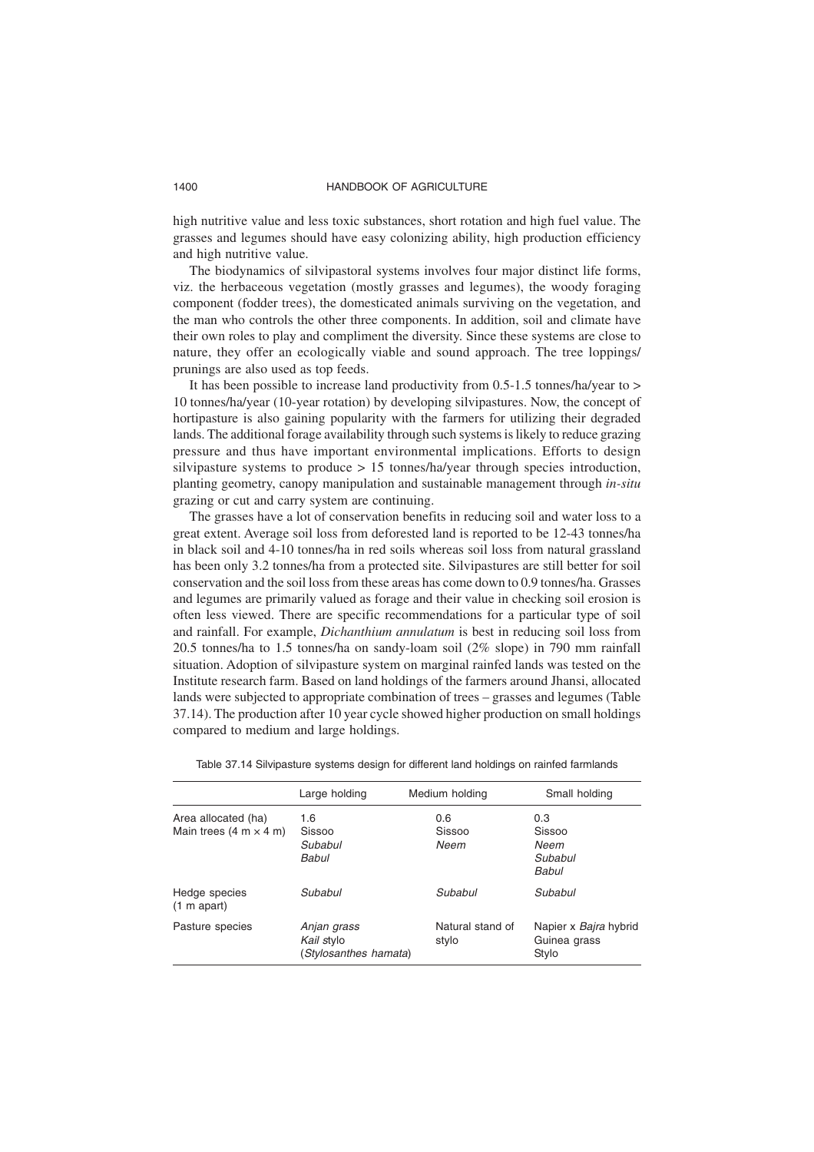high nutritive value and less toxic substances, short rotation and high fuel value. The grasses and legumes should have easy colonizing ability, high production efficiency and high nutritive value.

The biodynamics of silvipastoral systems involves four major distinct life forms, viz. the herbaceous vegetation (mostly grasses and legumes), the woody foraging component (fodder trees), the domesticated animals surviving on the vegetation, and the man who controls the other three components. In addition, soil and climate have their own roles to play and compliment the diversity. Since these systems are close to nature, they offer an ecologically viable and sound approach. The tree loppings/ prunings are also used as top feeds.

It has been possible to increase land productivity from 0.5-1.5 tonnes/ha/year to > 10 tonnes/ha/year (10-year rotation) by developing silvipastures. Now, the concept of hortipasture is also gaining popularity with the farmers for utilizing their degraded lands. The additional forage availability through such systems is likely to reduce grazing pressure and thus have important environmental implications. Efforts to design silvipasture systems to produce > 15 tonnes/ha/year through species introduction, planting geometry, canopy manipulation and sustainable management through *in-situ* grazing or cut and carry system are continuing.

The grasses have a lot of conservation benefits in reducing soil and water loss to a great extent. Average soil loss from deforested land is reported to be 12-43 tonnes/ha in black soil and 4-10 tonnes/ha in red soils whereas soil loss from natural grassland has been only 3.2 tonnes/ha from a protected site. Silvipastures are still better for soil conservation and the soil loss from these areas has come down to 0.9 tonnes/ha. Grasses and legumes are primarily valued as forage and their value in checking soil erosion is often less viewed. There are specific recommendations for a particular type of soil and rainfall. For example, *Dichanthium annulatum* is best in reducing soil loss from 20.5 tonnes/ha to 1.5 tonnes/ha on sandy-loam soil (2% slope) in 790 mm rainfall situation. Adoption of silvipasture system on marginal rainfed lands was tested on the Institute research farm. Based on land holdings of the farmers around Jhansi, allocated lands were subjected to appropriate combination of trees – grasses and legumes (Table 37.14). The production after 10 year cycle showed higher production on small holdings compared to medium and large holdings.

|                                                                      | Large holding                                      | Medium holding            | Small holding                                         |
|----------------------------------------------------------------------|----------------------------------------------------|---------------------------|-------------------------------------------------------|
| Area allocated (ha)<br>Main trees $(4 \text{ m} \times 4 \text{ m})$ | 1.6<br>Sissoo<br>Subabul<br>Babul                  | 0.6<br>Sissoo<br>Neem     | 0.3<br><b>Sissoo</b><br>Neem<br>Subabul<br>Babul      |
| Hedge species<br>$(1 m$ apart)                                       | Subabul                                            | Subabul                   | Subabul                                               |
| Pasture species                                                      | Anjan grass<br>Kail stylo<br>(Stylosanthes hamata) | Natural stand of<br>stylo | Napier x <i>Bajra</i> hybrid<br>Guinea grass<br>Stylo |

Table 37.14 Silvipasture systems design for different land holdings on rainfed farmlands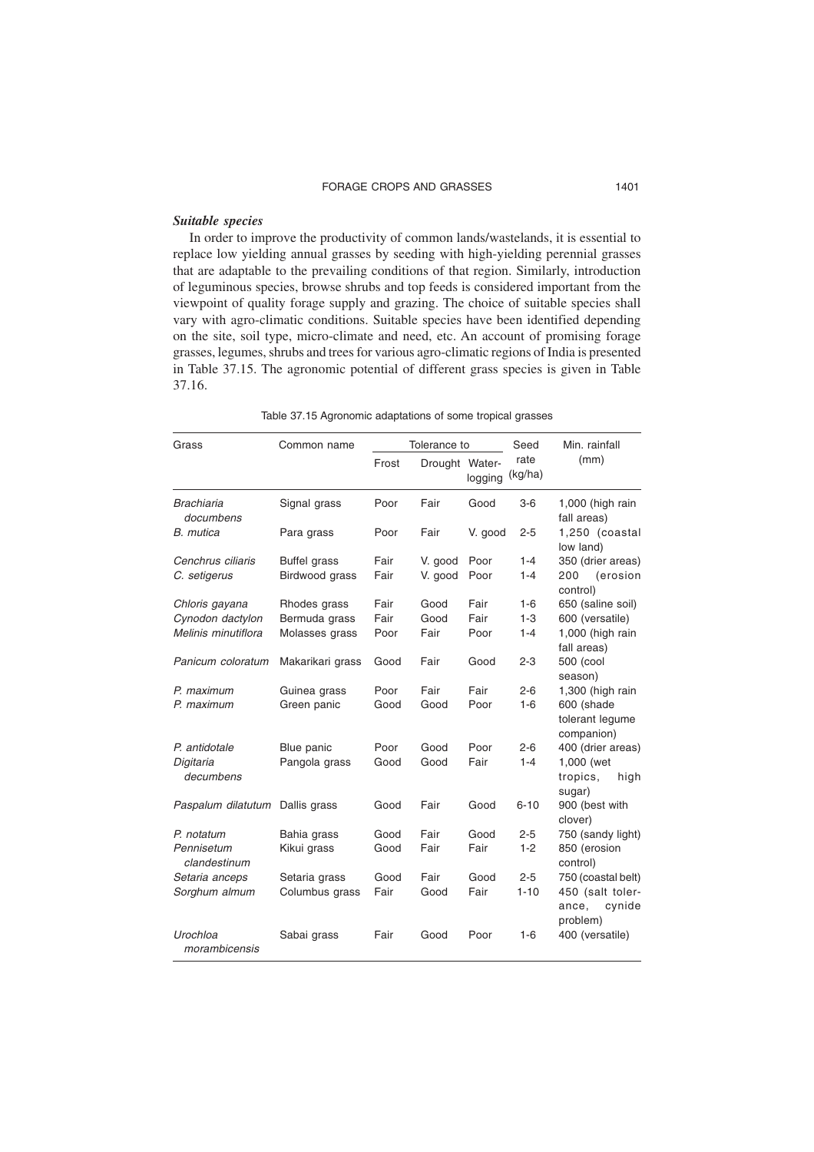#### *Suitable species*

In order to improve the productivity of common lands/wastelands, it is essential to replace low yielding annual grasses by seeding with high-yielding perennial grasses that are adaptable to the prevailing conditions of that region. Similarly, introduction of leguminous species, browse shrubs and top feeds is considered important from the viewpoint of quality forage supply and grazing. The choice of suitable species shall vary with agro-climatic conditions. Suitable species have been identified depending on the site, soil type, micro-climate and need, etc. An account of promising forage grasses, legumes, shrubs and trees for various agro-climatic regions of India is presented in Table 37.15. The agronomic potential of different grass species is given in Table 37.16.

|  | Table 37.15 Agronomic adaptations of some tropical grasses |  |  |
|--|------------------------------------------------------------|--|--|
|  |                                                            |  |  |

| Grass                          | Common name         |       | Tolerance to   |         | Seed            | Min. rainfall                                   |
|--------------------------------|---------------------|-------|----------------|---------|-----------------|-------------------------------------------------|
|                                |                     | Frost | Drought Water- | logging | rate<br>(kg/ha) | (mm)                                            |
| <b>Brachiaria</b><br>documbens | Signal grass        | Poor  | Fair           | Good    | $3-6$           | 1,000 (high rain<br>fall areas)                 |
| B. mutica                      | Para grass          | Poor  | Fair           | V. good | $2 - 5$         | 1,250 (coastal<br>low land)                     |
| Cenchrus ciliaris              | <b>Buffel grass</b> | Fair  | V. good        | Poor    | $1 - 4$         | 350 (drier areas)                               |
| C. setigerus                   | Birdwood grass      | Fair  | V. good        | Poor    | $1 - 4$         | (erosion<br>200<br>control)                     |
| Chloris gayana                 | Rhodes grass        | Fair  | Good           | Fair    | $1-6$           | 650 (saline soil)                               |
| Cynodon dactylon               | Bermuda grass       | Fair  | Good           | Fair    | $1 - 3$         | 600 (versatile)                                 |
| Melinis minutiflora            | Molasses grass      | Poor  | Fair           | Poor    | $1 - 4$         | 1,000 (high rain<br>fall areas)                 |
| Panicum coloratum              | Makarikari grass    | Good  | Fair           | Good    | $2 - 3$         | 500 (cool<br>season)                            |
| P. maximum                     | Guinea grass        | Poor  | Fair           | Fair    | $2 - 6$         | 1,300 (high rain                                |
| P. maximum                     | Green panic         | Good  | Good           | Poor    | $1 - 6$         | 600 (shade<br>tolerant lequme<br>companion)     |
| P. antidotale                  | Blue panic          | Poor  | Good           | Poor    | $2 - 6$         | 400 (drier areas)                               |
| Digitaria<br>decumbens         | Pangola grass       | Good  | Good           | Fair    | $1 - 4$         | 1,000 (wet<br>tropics.<br>high<br>sugar)        |
| Paspalum dilatutum             | Dallis grass        | Good  | Fair           | Good    | $6 - 10$        | 900 (best with<br>clover)                       |
| P. notatum                     | Bahia grass         | Good  | Fair           | Good    | $2 - 5$         | 750 (sandy light)                               |
| Pennisetum<br>clandestinum     | Kikui grass         | Good  | Fair           | Fair    | $1 - 2$         | 850 (erosion<br>control)                        |
| Setaria anceps                 | Setaria grass       | Good  | Fair           | Good    | $2 - 5$         | 750 (coastal belt)                              |
| Sorghum almum                  | Columbus grass      | Fair  | Good           | Fair    | $1 - 10$        | 450 (salt toler-<br>ance,<br>cynide<br>problem) |
| Urochloa<br>morambicensis      | Sabai grass         | Fair  | Good           | Poor    | $1 - 6$         | 400 (versatile)                                 |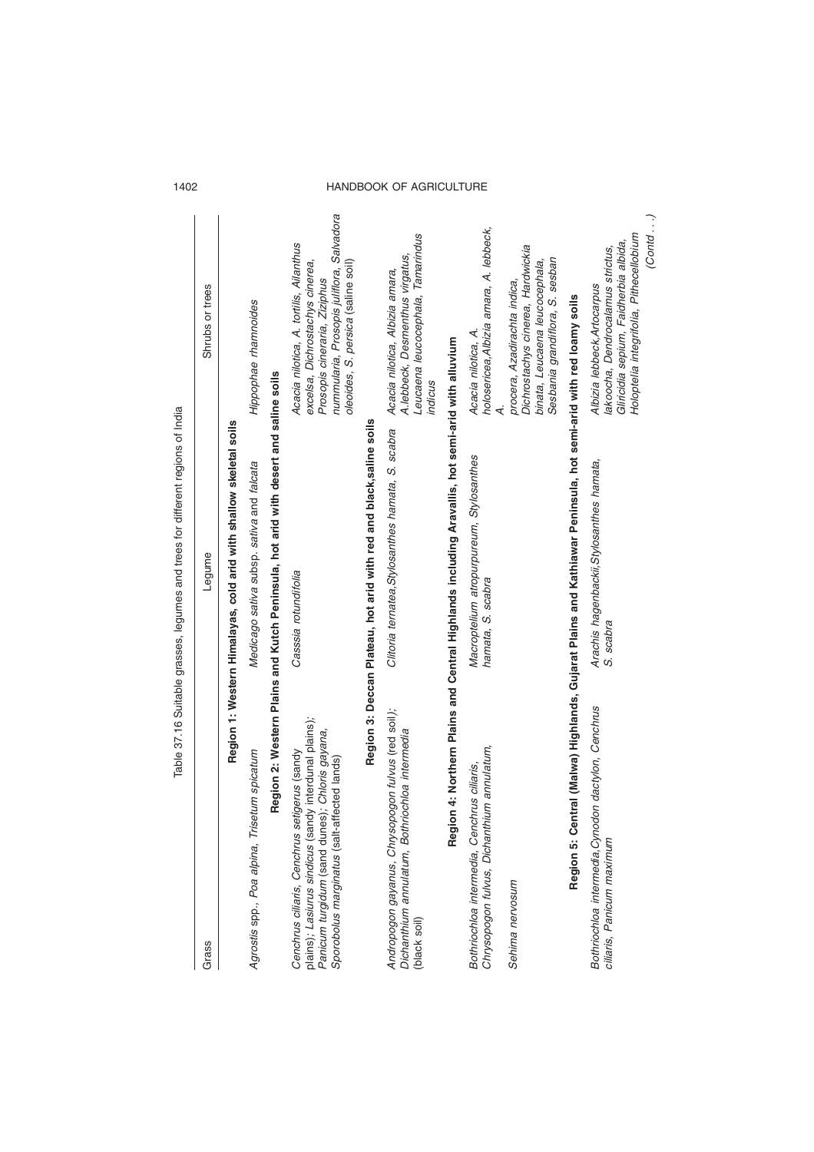|                                                                                                                                                                                                        | Table 37.16 Suitable grasses, legumes and trees for different regions of India                                  |                                                                                                                                                                                               |
|--------------------------------------------------------------------------------------------------------------------------------------------------------------------------------------------------------|-----------------------------------------------------------------------------------------------------------------|-----------------------------------------------------------------------------------------------------------------------------------------------------------------------------------------------|
| Grass                                                                                                                                                                                                  | Legume                                                                                                          | Shrubs or trees                                                                                                                                                                               |
|                                                                                                                                                                                                        | Region 1: Western Himalayas, cold arid with shallow skeletal soils                                              |                                                                                                                                                                                               |
| etum spicatum<br>Agrostis spp., Poa alpina, Tris                                                                                                                                                       | Medicago sativa subsp. sativa and falcata                                                                       | Hippophae rhamnoides                                                                                                                                                                          |
|                                                                                                                                                                                                        | Region 2: Western Plains and Kutch Peninsula, hot arid with desert and saline soils                             |                                                                                                                                                                                               |
| plains); Lasiurus sindicus (sandy interdunal plains);<br>Panicum turgidum (sand dunes); Chloris gayana,<br>Cenchrus ciliaris, Cenchrus setigerus (sandy<br>Sporobolus marginatus (salt-affected lands) | Casssia rotundifolia                                                                                            | nummularia, Prosopis juliflora, Salvadora<br>Acacia nilotica, A. tortilis, Ailanthus<br>excelsa, Dichrostachys cinerea,<br>oleoides, S. persica (saline soil)<br>Prosopis cineraria, Ziziphus |
|                                                                                                                                                                                                        | Region 3: Deccan Plateau, hot arid with red and black, saline soils                                             |                                                                                                                                                                                               |
| Andropogon gayanus, Chrysopogon fulvus (red soil);<br>Dichanthium annulatum, Bothriochloa intermedia<br>(black soil)                                                                                   | Clitoria ternatea, Stylosanthes hamata, S. scabra                                                               | Leucaena leucocephala, Tamarindus<br>A.lebbeck, Desmenthus virgatus,<br>Acacia nilotica, Albizia amara,<br>indicus                                                                            |
|                                                                                                                                                                                                        | Region 4: Northern Plains and Central Highlands including Aravallis, hot semi-arid with alluvium                |                                                                                                                                                                                               |
| Chrysopogon fulvus, Dichanthium annulatum,<br>Bothriochloa intermedia, Cenchrus ciliaris,                                                                                                              | Macroptelium atropurpureum, Stylosanthes<br>hamata, S. scabra                                                   | holosericea, Albizia amara, A. lebbeck,<br>Acacia nilotica, A.                                                                                                                                |
| Sehima nervosum                                                                                                                                                                                        |                                                                                                                 | Dichrostachys cinerea, Hardwickia<br>Sesbania grandiflora, S. sesban<br>binata, Leucaena leucocephala,<br>procera, Azadirachta indica,                                                        |
|                                                                                                                                                                                                        | Region 5: Central (Malwa) Highlands, Gujarat Plains and Kathiawar Peninsula, hot semi-arid with red loamy soils |                                                                                                                                                                                               |
| Bothriochloa intermedia, Cynodon dactylon, Cenchrus<br>ciliaris, Panicum maximum                                                                                                                       | Arachis hagenbackii, Stylosanthes hamata,<br>S. scabra                                                          | (Cont al. )<br>Holoptelia integrifolia, Pithecellobium<br>Gliricidia sepium, Faidherbia albida,<br>lakoocha, Dendrocalamus strictus,<br>Albizia lebbeck, Artocarpus                           |

1402 HANDBOOK OF AGRICULTURE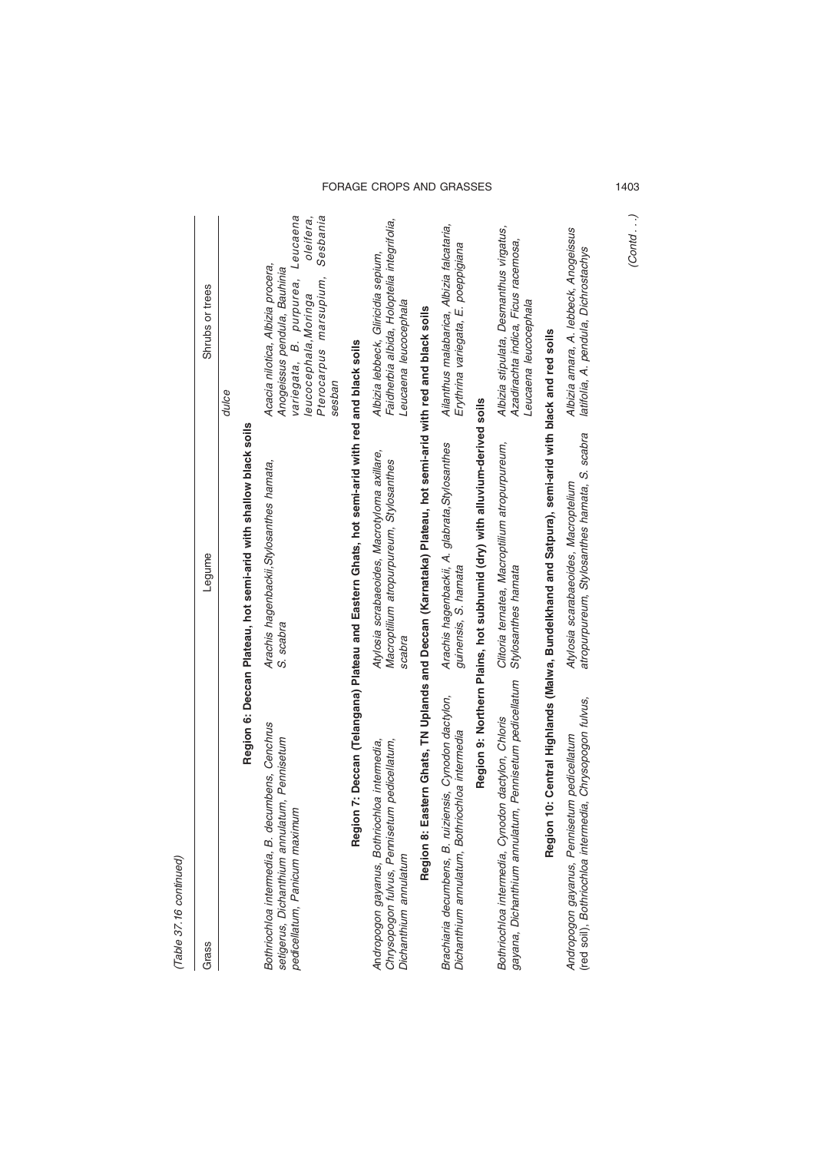(Table 37.16 continued) (Table 37.16 continued)

 $\overline{\phantom{a}}$ 

| Grass                                                                                                                            | Legume                                                                                                     | Shrubs or trees                                                                                                                                                                                |
|----------------------------------------------------------------------------------------------------------------------------------|------------------------------------------------------------------------------------------------------------|------------------------------------------------------------------------------------------------------------------------------------------------------------------------------------------------|
|                                                                                                                                  |                                                                                                            | dulce                                                                                                                                                                                          |
|                                                                                                                                  | Region 6: Deccan Plateau, hot semi-arid with shallow black soils                                           |                                                                                                                                                                                                |
| Bothriochloa intermedia, B. decumbens, Cenchrus<br>setigerus, Dichanthium annulatum, Pennisetum<br>pedicellatum, Panicum maximum | Arachis hagenbackii, Stylosanthes hamata,<br>S. scabra                                                     | Leucaena<br>Sesbania<br>oleifera,<br>Acacia nilotica, Albizia procera,<br>Anogeissus pendula, Bauhinia<br>variegata, B. purpurea,<br>Pterocarpus marsupium,<br>leucocephala, Moringa<br>sesban |
|                                                                                                                                  | Region 7: Deccan (Telangana) Plateau and Eastern Ghats, hot semi-arid with red and black soils             |                                                                                                                                                                                                |
| Chrysopogon fulvus, Pennisetum pedicellatum,<br>Andropogon gayanus, Bothriochloa intermedia,<br>Dichanthium annulatum            | Atylosia scrabaeoides, Macrotyloma axillare,<br>Macroptilium atropurpureum, Stylosanthes<br>scabra         | Faidherbia albida, Holoptelia integrifolia,<br>Albizia lebbeck, Gliricidia sepium,<br>Leucaena leucocephala                                                                                    |
|                                                                                                                                  | Region 8: Eastern Ghats, TN Uplands and Deccan (Karnataka) Plateau, hot semi-arid with red and black soils |                                                                                                                                                                                                |
| Brachiaria decumbens, B. ruiziensis, Cynodon dactylon,<br>Dichanthium annulatum, Bothriochloa intermedia                         | Arachis hagenbackii, A. glabrata, Stylosanthes<br>guinensis, S. hamata                                     | Ailanthus malabarica, Albizia falcataria,<br>Erythrina variegata, E. poeppigiana                                                                                                               |
|                                                                                                                                  | Region 9: Northern Plains, hot subhumid (dry) with alluvium-derived soils                                  |                                                                                                                                                                                                |
| gayana, Dichanthium annulatum, Pennisetum pedicellatum<br>Bothriochloa intermedia, Cynodon dactylon, Chloris                     | Clitoria ternatea, Macroptilium atropurpureum,<br>Stylosanthes hamata                                      | Albizia stipulata, Desmanthus virgatus,<br>Azadirachta indica, Ficus racemosa,<br>Leucaena leucocephala                                                                                        |
| Region                                                                                                                           | 10: Central Highlands (Malwa, Bundelkhand and Satpura), semi-arid with black and red soils                 |                                                                                                                                                                                                |
| (red soil), Bothriochloa intermedia, Chrysopogon fulvus,<br>Andropogon gayanus, Pennisetum pedicellatum                          | atropurpureum, Stylosanthes hamata, S. scabra<br>Atylosia scarabaeoides, Macroptelium                      | Albizia amara, A. lebbeck, Anogeissus<br>latifolia, A. pendula, Dichrostachys                                                                                                                  |

# FORAGE CROPS AND GRASSES 1403

(Contd . . .)

 $(Cond...)$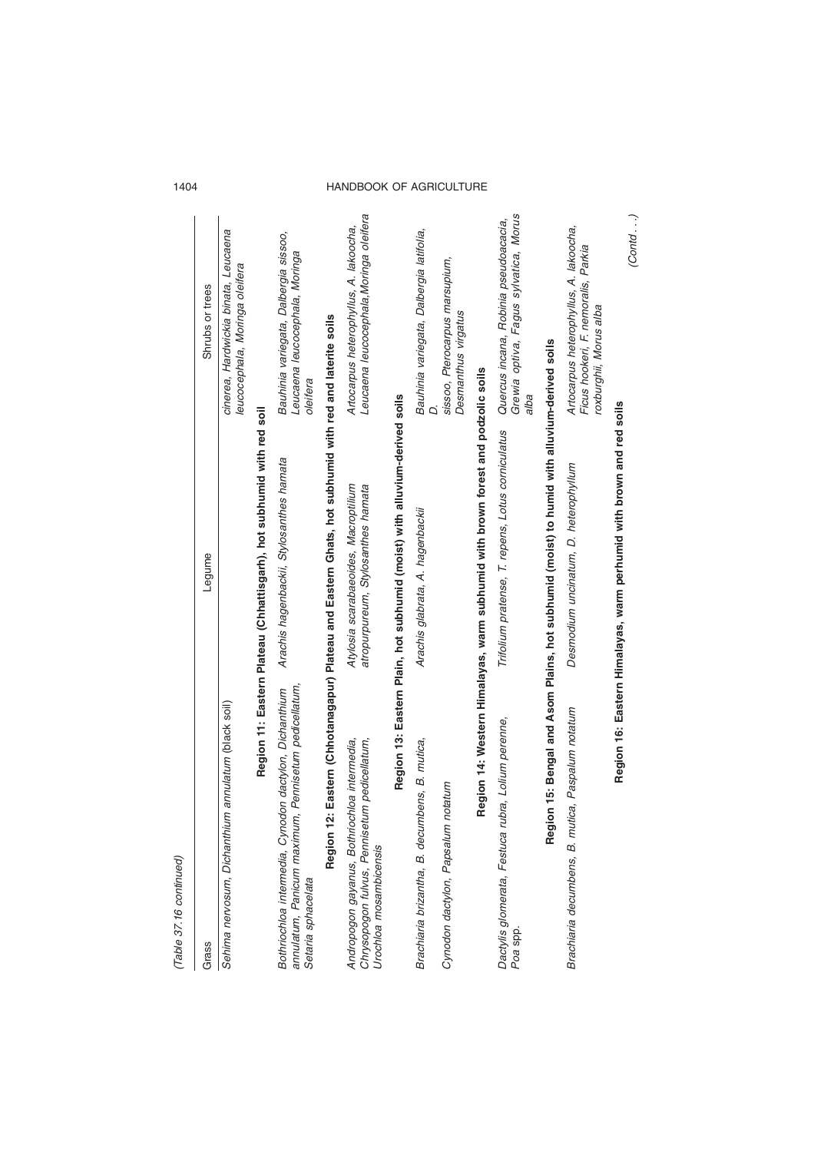| ۰ |
|---|
|   |
|   |
|   |
| í |
|   |
|   |
|   |

| (Table 37.16 continued)                                                                                                              |                                                                                                        |                                                                                        |
|--------------------------------------------------------------------------------------------------------------------------------------|--------------------------------------------------------------------------------------------------------|----------------------------------------------------------------------------------------|
| Grass                                                                                                                                | Legume                                                                                                 | Shrubs or trees                                                                        |
| Sehima nervosum, Dichanthium annulatum (black soil)                                                                                  |                                                                                                        | cinerea, Hardwickia binata, Leucaena<br>leucocephala, Moringa oleifera                 |
|                                                                                                                                      | Region 11: Eastern Plateau (Chhattisgarh), hot subhumid with red soil                                  |                                                                                        |
| annulatum, Panicum maximum, Pennisetum pedicellatum,<br>Bothriochloa intermedia, Cynodon dactylon, Dichanthium<br>Setaria sphacelata | Arachis hagenbackii, Stylosanthes hamata                                                               | Bauhinia variegata, Dalbergia sissoo,<br>Leucaena leucocephala, Moringa<br>oleifera    |
|                                                                                                                                      | Region 12: Eastern (Chhotanagapur) Plateau and Eastern Ghats, hot subhumid with red and laterite soils |                                                                                        |
| Andropogon gayanus, Bothriochloa intermedia,<br>Chrysopogon fulvus, Pennisetum pedicellatum,<br>Urochloa mosambicensis               | Atylosia scarabaeoides, Macroptilium<br>atropurpureum, Stylosanthes hamata                             | Leucaena leucocephala, Moringa oleifera<br>Artocarpus heterophyllus, A. lakoocha,      |
|                                                                                                                                      | Region 13: Eastern Plain, hot subhumid (moist) with alluvium-derived soils                             |                                                                                        |
| Brachiaria brizantha, B. decumbens, B. mutica,                                                                                       | Arachis glabrata, A. hagenbackii                                                                       | Bauhinia variegata, Dalbergia latifolia,                                               |
| Cynodon dactylon, Papsalum notatum                                                                                                   |                                                                                                        | sissoo, Pterocarpus marsupium,<br>Desmanthus virgatus                                  |
|                                                                                                                                      | Region 14: Western Himalayas, warm subhumid with brown forest and podzolic soils                       |                                                                                        |
| rubra, Lolium perenne,<br>Dactylis glomerata, Festuca<br>Poa spp.                                                                    | Trifolium pratense, T. repens, Lotus corniculatus                                                      | Grewia optiva, Fagus sylvatica, Morus<br>Quercus incana, Robinia pseudoacacia,<br>alba |

# Brachiaria decumbens, B. mutica, Paspalum notatum Desmodium uncinatum, D. heterophyllum Artocarpus heterophyllus, A. lakoocha, Desmodium uncinatum, D. heterophyllum Brachiaria decumbens, B. mutica, Paspalum notatum

**Region 15: Bengal and Asom Plains, hot subhumid (moist) to humid with alluvium-derived soils**

Region 15: Bengal and Asom Plains, hot subhumid (moist) to humid with alluvium-derived soils

Artocarpus heterophyllus, A. lakoocha,<br>Ficus hookeri, F. nemoralis, Parkia<br>roxburghii, Morus alba Ficus hookeri, F. nemoralis, Parkia roxburghii, Morus alba

Region 16: Eastern Himalayas, warm perhumid with brown and red soils **Region 16: Eastern Himalayas, warm perhumid with brown and red soils**

 $(Cond...)$ (Contd . . .)

# 1404 HANDBOOK OF AGRICULTURE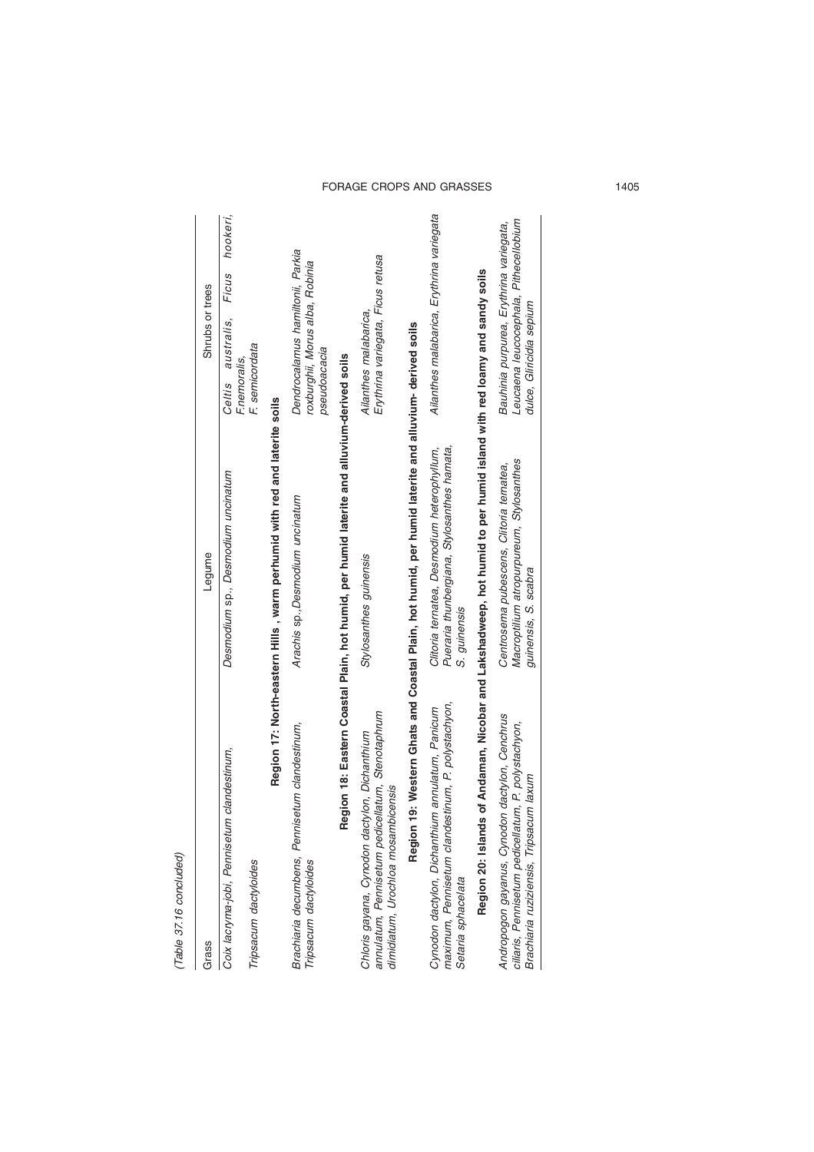| ť |
|---|
|   |
|   |
|   |
|   |
|   |
|   |
|   |

| Grass                                                                                                                                            | Legume                                                                                                       | Shrubs or trees                                                                                              |
|--------------------------------------------------------------------------------------------------------------------------------------------------|--------------------------------------------------------------------------------------------------------------|--------------------------------------------------------------------------------------------------------------|
| clandestinum,<br>Coix lacryma-jobi, Pennisetum                                                                                                   | Desmodium sp., Desmodium uncinatum                                                                           | hookeri,<br>Ficus<br>australis,<br>F.nemoralis,<br>Celtis                                                    |
| Tripsacum dactyloides                                                                                                                            |                                                                                                              | F. semicordata                                                                                               |
|                                                                                                                                                  | Region 17: North-eastern Hills, warm perhumid with red and laterite soils                                    |                                                                                                              |
| Brachiaria decumbens, Pennisetum clandestinum,<br>Tripsacum dactyloides                                                                          | Arachis sp., Desmodium uncinatum                                                                             | Dendrocalamus hamiltonii, Parkia<br>roxburghii, Morus alba, Robinia<br>pseudoacacia                          |
|                                                                                                                                                  | Region 18: Eastern Coastal Plain, hot humid, per humid laterite and alluvium-derived soils                   |                                                                                                              |
| annulatum, Pennisetum pedicellatum, Stenotaphrum<br>Chloris gayana, Cynodon dactylon, Dichanthium<br>dimidiatum, Urochloa mosambicensis          | Stylosanthes guinensis                                                                                       | Erythrina variegata, Ficus retusa<br>Ailanthes malabarica,                                                   |
| Region 1                                                                                                                                         | 9: Western Ghats and Coastal Plain, hot humid, per humid laterite and alluvium- derived soils                |                                                                                                              |
| maximum, Pennisetum clandestinum, P. polystachyon,<br>Cynodon dactylon, Dichanthium annulatum, Panicum<br>Setaria sphacelata                     | Pueraria thunbergiana, Stylosanthes hamata,<br>Clitoria ternatea, Desmodium heterophyllum,<br>S. guinensis   | Ailanthes malabarica, Erythrina variegata                                                                    |
| Region 20: Islands                                                                                                                               | of Andaman, Nicobar and Lakshadweep, hot humid to per humid island with red loamy and sandy soils            |                                                                                                              |
| Andropogon gayanus, Cynodon dactylon, Cenchrus<br>ciliaris, Pennisetum pedicellatum, P. polystachyon,<br>Brachiaria ruziziensis, Tripsacum laxum | Macroptilium atropurpureum, Stylosanthes<br>Centrosema pubescens, Clitoria ternatea,<br>guinensis, S. scabra | Leucaena leucocephala, Pithecellobium<br>Bauhinia purpurea, Erythrina variegata,<br>dulce, Gliricidia sepium |

# FORAGE CROPS AND GRASSES 1405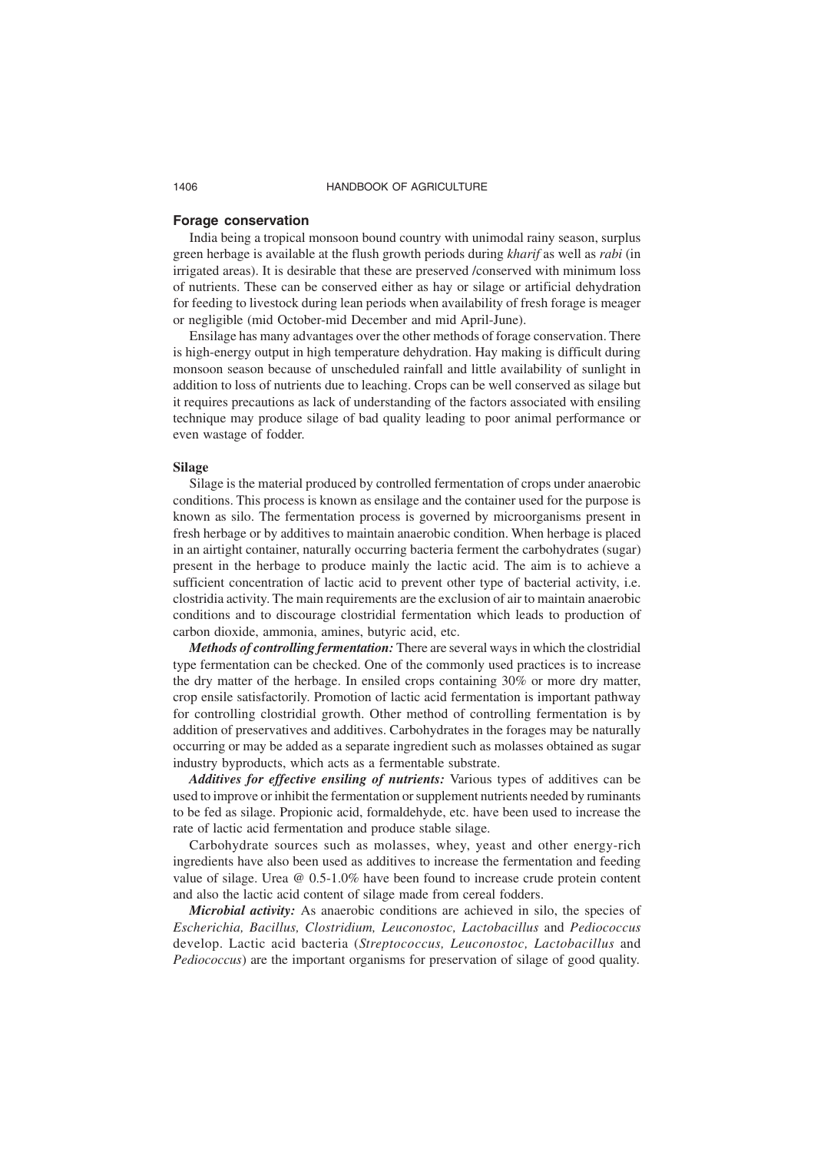#### **Forage conservation**

India being a tropical monsoon bound country with unimodal rainy season, surplus green herbage is available at the flush growth periods during *kharif* as well as *rabi* (in irrigated areas). It is desirable that these are preserved /conserved with minimum loss of nutrients. These can be conserved either as hay or silage or artificial dehydration for feeding to livestock during lean periods when availability of fresh forage is meager or negligible (mid October-mid December and mid April-June).

Ensilage has many advantages over the other methods of forage conservation. There is high-energy output in high temperature dehydration. Hay making is difficult during monsoon season because of unscheduled rainfall and little availability of sunlight in addition to loss of nutrients due to leaching. Crops can be well conserved as silage but it requires precautions as lack of understanding of the factors associated with ensiling technique may produce silage of bad quality leading to poor animal performance or even wastage of fodder.

#### **Silage**

Silage is the material produced by controlled fermentation of crops under anaerobic conditions. This process is known as ensilage and the container used for the purpose is known as silo. The fermentation process is governed by microorganisms present in fresh herbage or by additives to maintain anaerobic condition. When herbage is placed in an airtight container, naturally occurring bacteria ferment the carbohydrates (sugar) present in the herbage to produce mainly the lactic acid. The aim is to achieve a sufficient concentration of lactic acid to prevent other type of bacterial activity, i.e. clostridia activity. The main requirements are the exclusion of air to maintain anaerobic conditions and to discourage clostridial fermentation which leads to production of carbon dioxide, ammonia, amines, butyric acid, etc.

*Methods of controlling fermentation:* There are several ways in which the clostridial type fermentation can be checked. One of the commonly used practices is to increase the dry matter of the herbage. In ensiled crops containing 30% or more dry matter, crop ensile satisfactorily. Promotion of lactic acid fermentation is important pathway for controlling clostridial growth. Other method of controlling fermentation is by addition of preservatives and additives. Carbohydrates in the forages may be naturally occurring or may be added as a separate ingredient such as molasses obtained as sugar industry byproducts, which acts as a fermentable substrate.

*Additives for effective ensiling of nutrients:* Various types of additives can be used to improve or inhibit the fermentation or supplement nutrients needed by ruminants to be fed as silage. Propionic acid, formaldehyde, etc. have been used to increase the rate of lactic acid fermentation and produce stable silage.

Carbohydrate sources such as molasses, whey, yeast and other energy-rich ingredients have also been used as additives to increase the fermentation and feeding value of silage. Urea @ 0.5-1.0% have been found to increase crude protein content and also the lactic acid content of silage made from cereal fodders.

*Microbial activity:* As anaerobic conditions are achieved in silo, the species of *Escherichia, Bacillus, Clostridium, Leuconostoc, Lactobacillus* and *Pediococcus* develop. Lactic acid bacteria (*Streptococcus, Leuconostoc, Lactobacillus* and *Pediococcus*) are the important organisms for preservation of silage of good quality.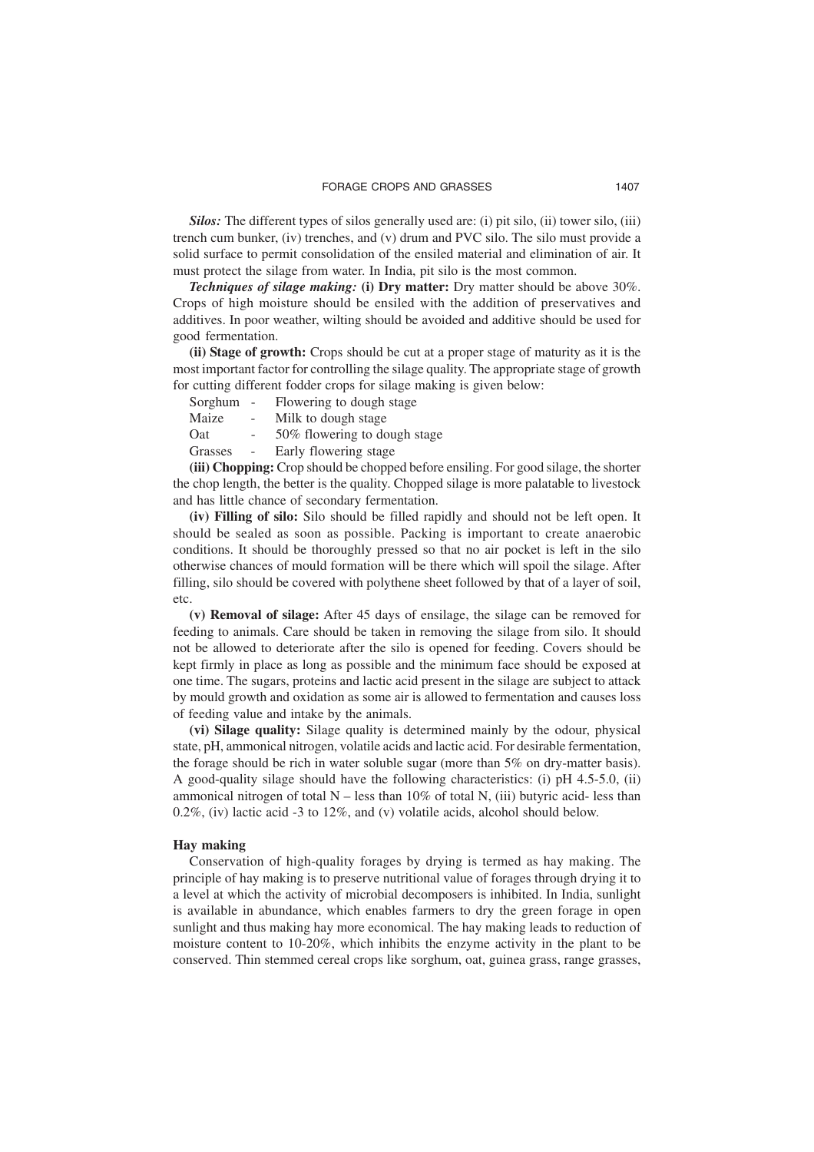*Silos:* The different types of silos generally used are: (i) pit silo, (ii) tower silo, (iii) trench cum bunker, (iv) trenches, and (v) drum and PVC silo. The silo must provide a solid surface to permit consolidation of the ensiled material and elimination of air. It must protect the silage from water. In India, pit silo is the most common.

*Techniques of silage making:* **(i) Dry matter:** Dry matter should be above 30%. Crops of high moisture should be ensiled with the addition of preservatives and additives. In poor weather, wilting should be avoided and additive should be used for good fermentation.

**(ii) Stage of growth:** Crops should be cut at a proper stage of maturity as it is the most important factor for controlling the silage quality. The appropriate stage of growth for cutting different fodder crops for silage making is given below:

| Sorghum     | $\sim$ | Flowering to dough stage     |
|-------------|--------|------------------------------|
| Maize       | Ξ.     | Milk to dough stage          |
| <b>O</b> at | $\sim$ | 50% flowering to dough stage |
| Grasses     | $\sim$ | Early flowering stage        |
|             |        |                              |

**(iii) Chopping:** Crop should be chopped before ensiling. For good silage, the shorter the chop length, the better is the quality. Chopped silage is more palatable to livestock and has little chance of secondary fermentation.

**(iv) Filling of silo:** Silo should be filled rapidly and should not be left open. It should be sealed as soon as possible. Packing is important to create anaerobic conditions. It should be thoroughly pressed so that no air pocket is left in the silo otherwise chances of mould formation will be there which will spoil the silage. After filling, silo should be covered with polythene sheet followed by that of a layer of soil, etc.

**(v) Removal of silage:** After 45 days of ensilage, the silage can be removed for feeding to animals. Care should be taken in removing the silage from silo. It should not be allowed to deteriorate after the silo is opened for feeding. Covers should be kept firmly in place as long as possible and the minimum face should be exposed at one time. The sugars, proteins and lactic acid present in the silage are subject to attack by mould growth and oxidation as some air is allowed to fermentation and causes loss of feeding value and intake by the animals.

**(vi) Silage quality:** Silage quality is determined mainly by the odour, physical state, pH, ammonical nitrogen, volatile acids and lactic acid. For desirable fermentation, the forage should be rich in water soluble sugar (more than 5% on dry-matter basis). A good-quality silage should have the following characteristics: (i) pH 4.5-5.0, (ii) ammonical nitrogen of total  $N -$  less than 10% of total N, (iii) butyric acid- less than 0.2%, (iv) lactic acid -3 to 12%, and (v) volatile acids, alcohol should below.

#### **Hay making**

Conservation of high-quality forages by drying is termed as hay making. The principle of hay making is to preserve nutritional value of forages through drying it to a level at which the activity of microbial decomposers is inhibited. In India, sunlight is available in abundance, which enables farmers to dry the green forage in open sunlight and thus making hay more economical. The hay making leads to reduction of moisture content to 10-20%, which inhibits the enzyme activity in the plant to be conserved. Thin stemmed cereal crops like sorghum, oat, guinea grass, range grasses,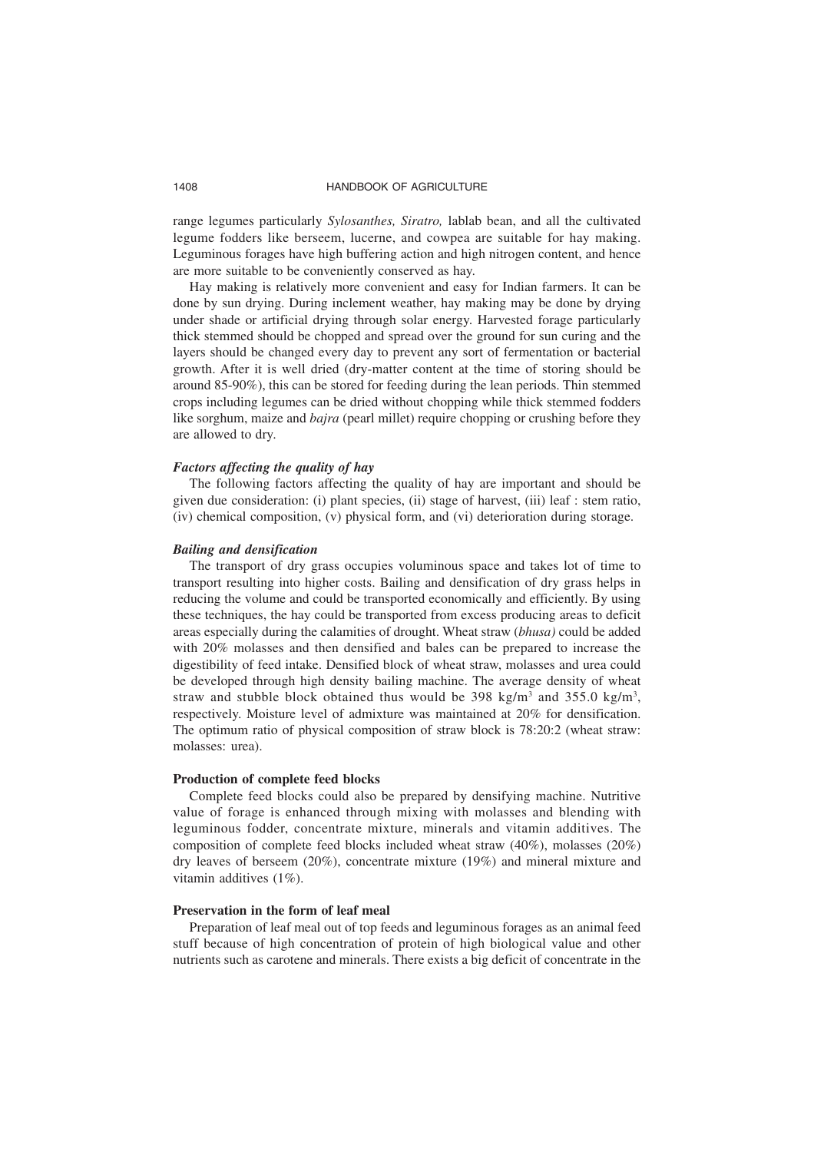range legumes particularly *Sylosanthes, Siratro,* lablab bean, and all the cultivated legume fodders like berseem, lucerne, and cowpea are suitable for hay making. Leguminous forages have high buffering action and high nitrogen content, and hence are more suitable to be conveniently conserved as hay.

Hay making is relatively more convenient and easy for Indian farmers. It can be done by sun drying. During inclement weather, hay making may be done by drying under shade or artificial drying through solar energy. Harvested forage particularly thick stemmed should be chopped and spread over the ground for sun curing and the layers should be changed every day to prevent any sort of fermentation or bacterial growth. After it is well dried (dry-matter content at the time of storing should be around 85-90%), this can be stored for feeding during the lean periods. Thin stemmed crops including legumes can be dried without chopping while thick stemmed fodders like sorghum, maize and *bajra* (pearl millet) require chopping or crushing before they are allowed to dry.

#### *Factors affecting the quality of hay*

The following factors affecting the quality of hay are important and should be given due consideration: (i) plant species, (ii) stage of harvest, (iii) leaf : stem ratio, (iv) chemical composition, (v) physical form, and (vi) deterioration during storage.

#### *Bailing and densification*

The transport of dry grass occupies voluminous space and takes lot of time to transport resulting into higher costs. Bailing and densification of dry grass helps in reducing the volume and could be transported economically and efficiently. By using these techniques, the hay could be transported from excess producing areas to deficit areas especially during the calamities of drought. Wheat straw (*bhusa)* could be added with 20% molasses and then densified and bales can be prepared to increase the digestibility of feed intake. Densified block of wheat straw, molasses and urea could be developed through high density bailing machine. The average density of wheat straw and stubble block obtained thus would be 398 kg/m<sup>3</sup> and 355.0 kg/m<sup>3</sup>, respectively. Moisture level of admixture was maintained at 20% for densification. The optimum ratio of physical composition of straw block is 78:20:2 (wheat straw: molasses: urea).

#### **Production of complete feed blocks**

Complete feed blocks could also be prepared by densifying machine. Nutritive value of forage is enhanced through mixing with molasses and blending with leguminous fodder, concentrate mixture, minerals and vitamin additives. The composition of complete feed blocks included wheat straw (40%), molasses (20%) dry leaves of berseem (20%), concentrate mixture (19%) and mineral mixture and vitamin additives (1%).

#### **Preservation in the form of leaf meal**

Preparation of leaf meal out of top feeds and leguminous forages as an animal feed stuff because of high concentration of protein of high biological value and other nutrients such as carotene and minerals. There exists a big deficit of concentrate in the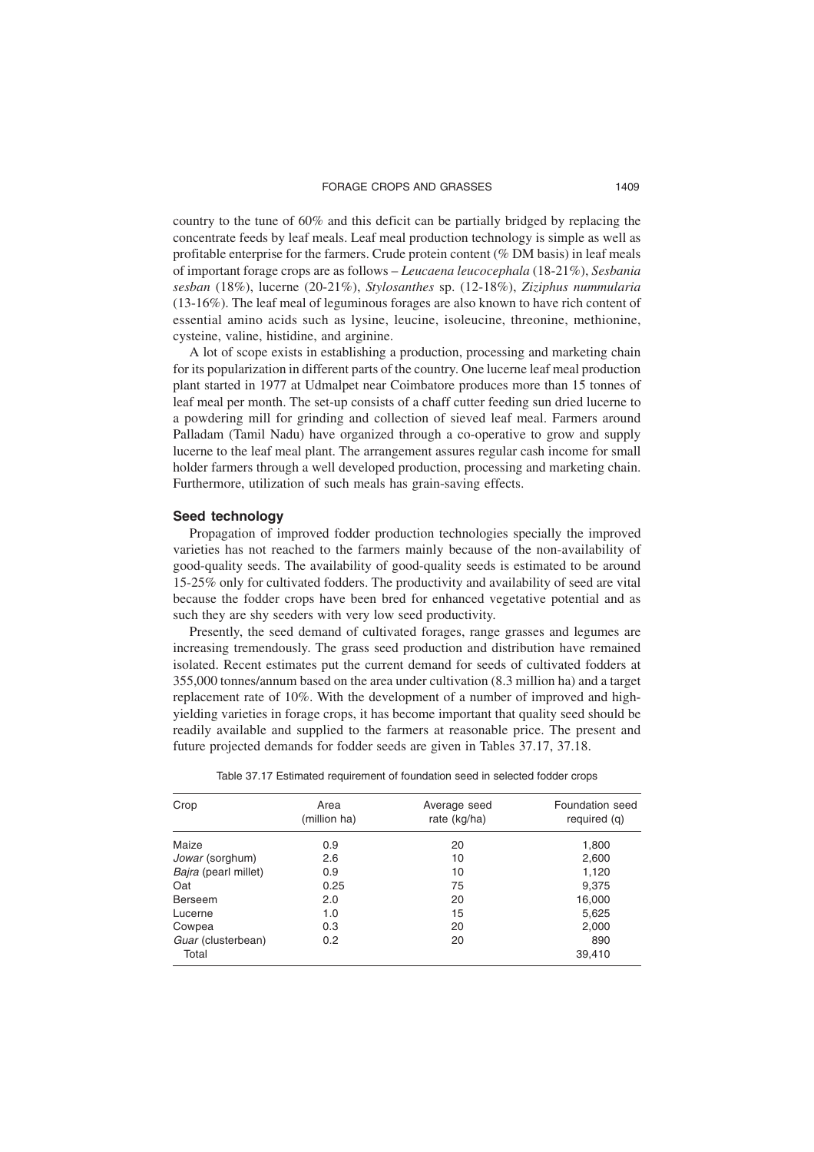country to the tune of 60% and this deficit can be partially bridged by replacing the concentrate feeds by leaf meals. Leaf meal production technology is simple as well as profitable enterprise for the farmers. Crude protein content (% DM basis) in leaf meals of important forage crops are as follows – *Leucaena leucocephala* (18-21%), *Sesbania sesban* (18%), lucerne (20-21%), *Stylosanthes* sp. (12-18%), *Ziziphus nummularia* (13-16%). The leaf meal of leguminous forages are also known to have rich content of essential amino acids such as lysine, leucine, isoleucine, threonine, methionine, cysteine, valine, histidine, and arginine.

A lot of scope exists in establishing a production, processing and marketing chain for its popularization in different parts of the country. One lucerne leaf meal production plant started in 1977 at Udmalpet near Coimbatore produces more than 15 tonnes of leaf meal per month. The set-up consists of a chaff cutter feeding sun dried lucerne to a powdering mill for grinding and collection of sieved leaf meal. Farmers around Palladam (Tamil Nadu) have organized through a co-operative to grow and supply lucerne to the leaf meal plant. The arrangement assures regular cash income for small holder farmers through a well developed production, processing and marketing chain. Furthermore, utilization of such meals has grain-saving effects.

#### **Seed technology**

Propagation of improved fodder production technologies specially the improved varieties has not reached to the farmers mainly because of the non-availability of good-quality seeds. The availability of good-quality seeds is estimated to be around 15-25% only for cultivated fodders. The productivity and availability of seed are vital because the fodder crops have been bred for enhanced vegetative potential and as such they are shy seeders with very low seed productivity.

Presently, the seed demand of cultivated forages, range grasses and legumes are increasing tremendously. The grass seed production and distribution have remained isolated. Recent estimates put the current demand for seeds of cultivated fodders at 355,000 tonnes/annum based on the area under cultivation (8.3 million ha) and a target replacement rate of 10%. With the development of a number of improved and highyielding varieties in forage crops, it has become important that quality seed should be readily available and supplied to the farmers at reasonable price. The present and future projected demands for fodder seeds are given in Tables 37.17, 37.18.

| Crop                   | Area<br>(million ha) | Average seed<br>rate (kg/ha) | Foundation seed<br>required (q) |
|------------------------|----------------------|------------------------------|---------------------------------|
| Maize                  | 0.9                  | 20                           | 1,800                           |
| <i>Jowar</i> (sorghum) | 2.6                  | 10                           | 2,600                           |
| Bajra (pearl millet)   | 0.9                  | 10                           | 1,120                           |
| Oat                    | 0.25                 | 75                           | 9,375                           |
| <b>Berseem</b>         | 2.0                  | 20                           | 16,000                          |
| Lucerne                | 1.0                  | 15                           | 5,625                           |
| Cowpea                 | 0.3                  | 20                           | 2,000                           |
| Guar (clusterbean)     | 0.2                  | 20                           | 890                             |
| Total                  |                      |                              | 39,410                          |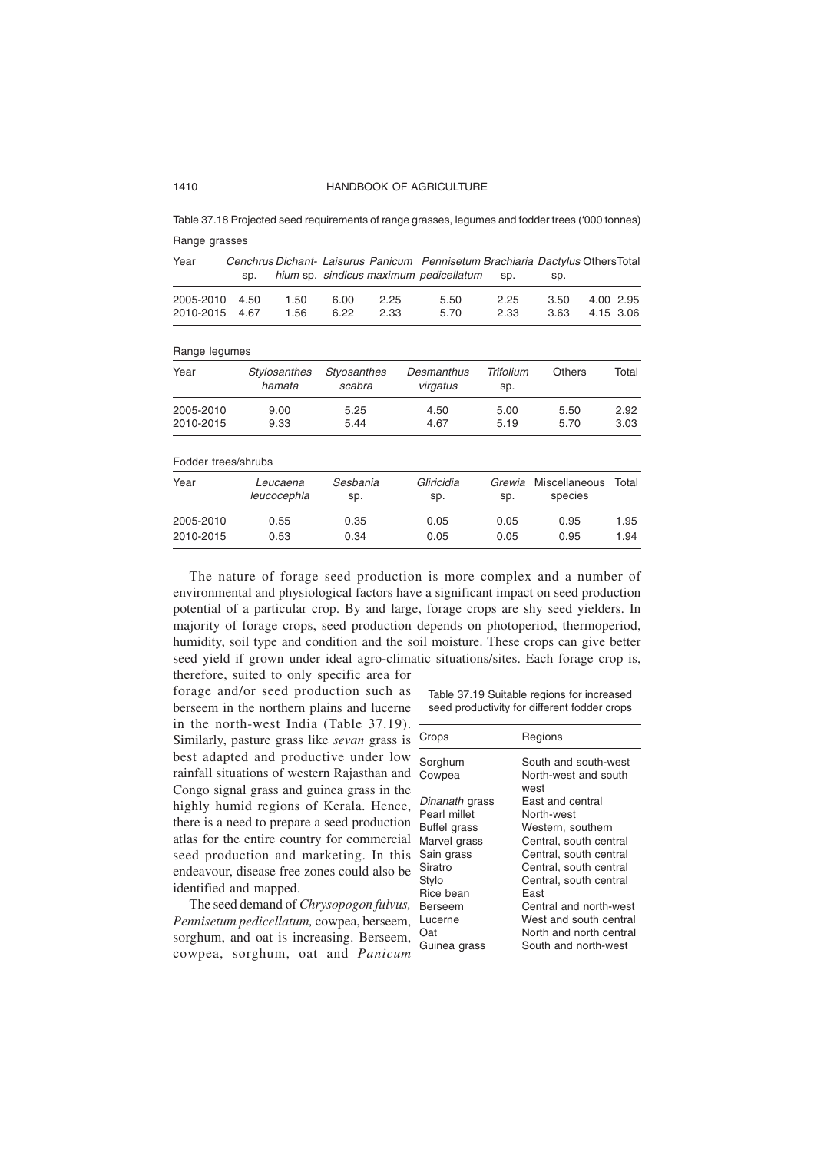Table 37.18 Projected seed requirements of range grasses, legumes and fodder trees ('000 tonnes) Range grasses

| Year                   | sp.          |                         |                       |              | Cenchrus Dichant- Laisurus Panicum Pennisetum Brachiaria Dactylus OthersTotal<br>hium sp. sindicus maximum pedicellatum | sp.                     | sp.                             |                              |
|------------------------|--------------|-------------------------|-----------------------|--------------|-------------------------------------------------------------------------------------------------------------------------|-------------------------|---------------------------------|------------------------------|
| 2005-2010<br>2010-2015 | 4.50<br>4.67 | 1.50<br>1.56            | 6.00<br>6.22          | 2.25<br>2.33 | 5.50<br>5.70                                                                                                            | 2.25<br>2.33            | 3.50<br>3.63                    | 2.95<br>4.00<br>4.15<br>3.06 |
|                        |              |                         |                       |              |                                                                                                                         |                         |                                 |                              |
| Range legumes          |              |                         |                       |              |                                                                                                                         |                         |                                 |                              |
| Year                   |              | Stylosanthes<br>hamata  | Styosanthes<br>scabra |              | Desmanthus<br>virgatus                                                                                                  | <b>Trifolium</b><br>sp. | <b>Others</b>                   | Total                        |
| 2005-2010              |              | 9.00                    | 5.25                  |              | 4.50                                                                                                                    | 5.00                    | 5.50                            | 2.92                         |
| 2010-2015              | 9.33         |                         | 5.44                  |              | 4.67                                                                                                                    | 5.19                    | 5.70                            | 3.03                         |
| Fodder trees/shrubs    |              |                         |                       |              |                                                                                                                         |                         |                                 |                              |
| Year                   |              | Leucaena<br>leucocephla | Sesbania<br>sp.       |              | Gliricidia<br>sp.                                                                                                       | Grewia<br>sp.           | <b>Miscellaneous</b><br>species | Total                        |
| 2005-2010              |              | 0.55                    | 0.35                  |              | 0.05                                                                                                                    | 0.05                    | 0.95                            | 1.95                         |
| 2010-2015              |              | 0.53                    | 0.34                  |              | 0.05                                                                                                                    | 0.05                    | 0.95                            | 1.94                         |

The nature of forage seed production is more complex and a number of environmental and physiological factors have a significant impact on seed production potential of a particular crop. By and large, forage crops are shy seed yielders. In majority of forage crops, seed production depends on photoperiod, thermoperiod, humidity, soil type and condition and the soil moisture. These crops can give better seed yield if grown under ideal agro-climatic situations/sites. Each forage crop is,

therefore, suited to only specific area for forage and/or seed production such as berseem in the northern plains and lucerne in the north-west India (Table 37.19). Similarly, pasture grass like *sevan* grass is best adapted and productive under low rainfall situations of western Rajasthan and Congo signal grass and guinea grass in the highly humid regions of Kerala. Hence, there is a need to prepare a seed production atlas for the entire country for commercial seed production and marketing. In this endeavour, disease free zones could also be identified and mapped.

The seed demand of *Chrysopogon fulvus, Pennisetum pedicellatum,* cowpea, berseem, sorghum, and oat is increasing. Berseem, cowpea, sorghum, oat and *Panicum*

Table 37.19 Suitable regions for increased seed productivity for different fodder crops

| Crops          | Regions                      |
|----------------|------------------------------|
| Sorghum        | South and south-west         |
| Cowpea         | North-west and south<br>west |
| Dinanath grass | East and central             |
| Pearl millet   | North-west                   |
| Buffel grass   | Western, southern            |
| Marvel grass   | Central, south central       |
| Sain grass     | Central, south central       |
| Siratro        | Central, south central       |
| Stylo          | Central, south central       |
| Rice bean      | East                         |
| Berseem        | Central and north-west       |
| Lucerne        | West and south central       |
| Oat            | North and north central      |
| Guinea grass   | South and north-west         |
|                |                              |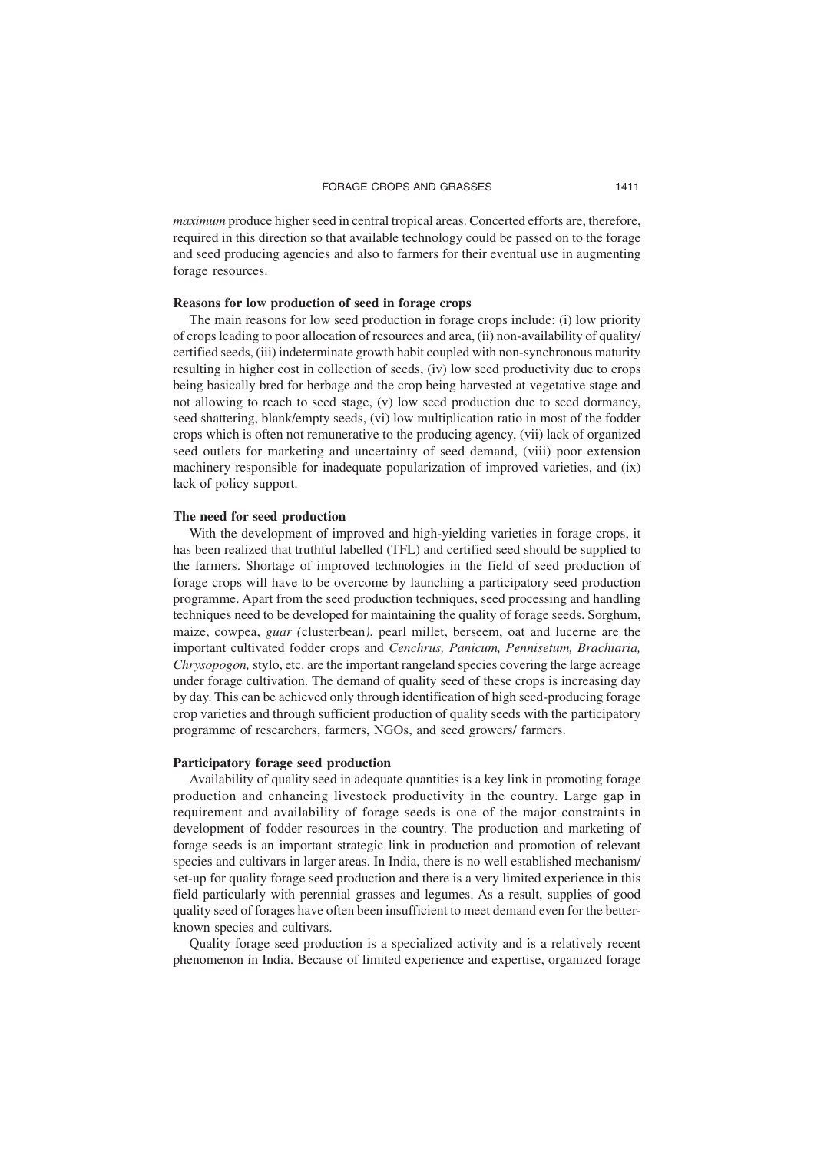*maximum* produce higher seed in central tropical areas. Concerted efforts are, therefore, required in this direction so that available technology could be passed on to the forage and seed producing agencies and also to farmers for their eventual use in augmenting forage resources.

#### **Reasons for low production of seed in forage crops**

The main reasons for low seed production in forage crops include: (i) low priority of crops leading to poor allocation of resources and area, (ii) non-availability of quality/ certified seeds, (iii) indeterminate growth habit coupled with non-synchronous maturity resulting in higher cost in collection of seeds, (iv) low seed productivity due to crops being basically bred for herbage and the crop being harvested at vegetative stage and not allowing to reach to seed stage, (v) low seed production due to seed dormancy, seed shattering, blank/empty seeds, (vi) low multiplication ratio in most of the fodder crops which is often not remunerative to the producing agency, (vii) lack of organized seed outlets for marketing and uncertainty of seed demand, (viii) poor extension machinery responsible for inadequate popularization of improved varieties, and (ix) lack of policy support.

#### **The need for seed production**

With the development of improved and high-yielding varieties in forage crops, it has been realized that truthful labelled (TFL) and certified seed should be supplied to the farmers. Shortage of improved technologies in the field of seed production of forage crops will have to be overcome by launching a participatory seed production programme. Apart from the seed production techniques, seed processing and handling techniques need to be developed for maintaining the quality of forage seeds. Sorghum, maize, cowpea, *guar (*clusterbean*)*, pearl millet, berseem, oat and lucerne are the important cultivated fodder crops and *Cenchrus, Panicum, Pennisetum, Brachiaria, Chrysopogon,* stylo, etc. are the important rangeland species covering the large acreage under forage cultivation. The demand of quality seed of these crops is increasing day by day. This can be achieved only through identification of high seed-producing forage crop varieties and through sufficient production of quality seeds with the participatory programme of researchers, farmers, NGOs, and seed growers/ farmers.

#### **Participatory forage seed production**

Availability of quality seed in adequate quantities is a key link in promoting forage production and enhancing livestock productivity in the country. Large gap in requirement and availability of forage seeds is one of the major constraints in development of fodder resources in the country. The production and marketing of forage seeds is an important strategic link in production and promotion of relevant species and cultivars in larger areas. In India, there is no well established mechanism/ set-up for quality forage seed production and there is a very limited experience in this field particularly with perennial grasses and legumes. As a result, supplies of good quality seed of forages have often been insufficient to meet demand even for the betterknown species and cultivars.

Quality forage seed production is a specialized activity and is a relatively recent phenomenon in India. Because of limited experience and expertise, organized forage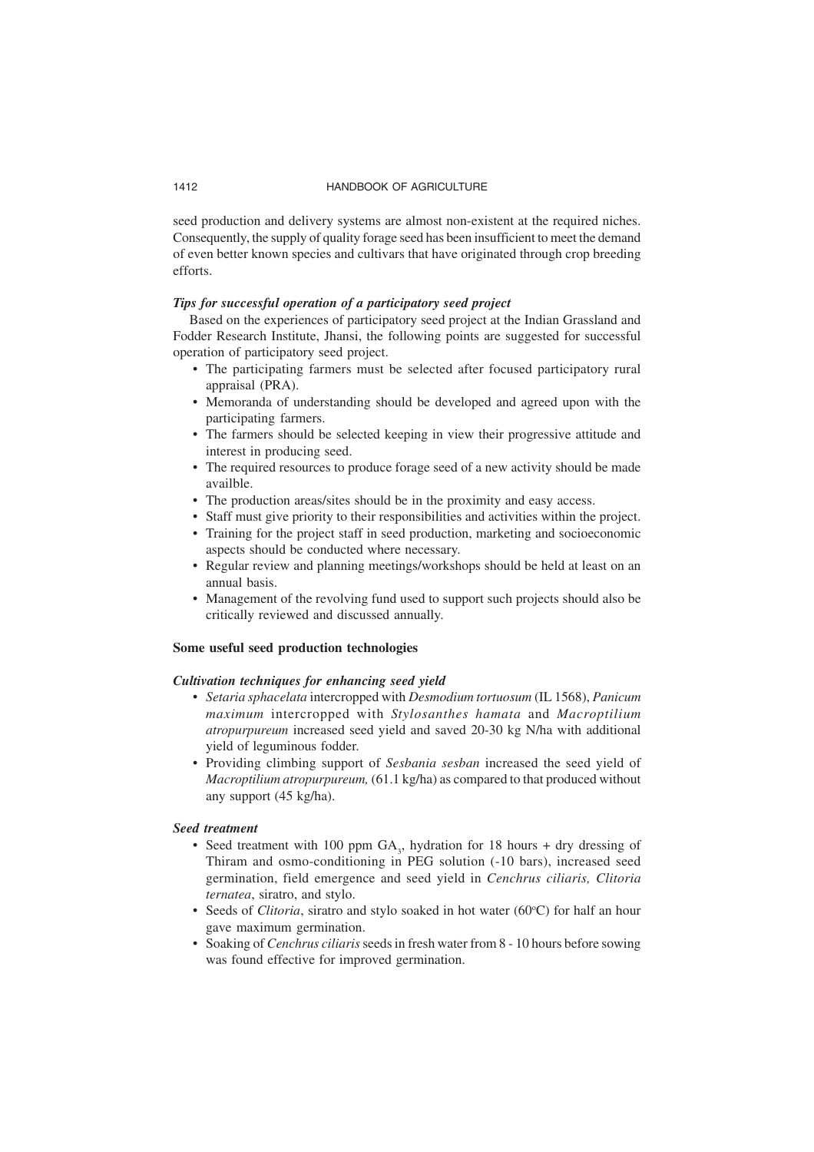seed production and delivery systems are almost non-existent at the required niches. Consequently, the supply of quality forage seed has been insufficient to meet the demand of even better known species and cultivars that have originated through crop breeding efforts.

#### *Tips for successful operation of a participatory seed project*

Based on the experiences of participatory seed project at the Indian Grassland and Fodder Research Institute, Jhansi, the following points are suggested for successful operation of participatory seed project.

- The participating farmers must be selected after focused participatory rural appraisal (PRA).
- Memoranda of understanding should be developed and agreed upon with the participating farmers.
- The farmers should be selected keeping in view their progressive attitude and interest in producing seed.
- The required resources to produce forage seed of a new activity should be made availble.
- The production areas/sites should be in the proximity and easy access.
- Staff must give priority to their responsibilities and activities within the project.
- Training for the project staff in seed production, marketing and socioeconomic aspects should be conducted where necessary.
- Regular review and planning meetings/workshops should be held at least on an annual basis.
- Management of the revolving fund used to support such projects should also be critically reviewed and discussed annually.

#### **Some useful seed production technologies**

# *Cultivation techniques for enhancing seed yield*

- *Setaria sphacelata* intercropped with *Desmodium tortuosum* (IL 1568), *Panicum maximum* intercropped with *Stylosanthes hamata* and *Macroptilium atropurpureum* increased seed yield and saved 20-30 kg N/ha with additional yield of leguminous fodder.
- Providing climbing support of *Sesbania sesban* increased the seed yield of *Macroptilium atropurpureum,* (61.1 kg/ha) as compared to that produced without any support (45 kg/ha).

#### *Seed treatment*

- Seed treatment with 100 ppm  $GA_3$ , hydration for 18 hours + dry dressing of Thiram and osmo-conditioning in PEG solution (-10 bars), increased seed germination, field emergence and seed yield in *Cenchrus ciliaris, Clitoria ternatea*, siratro, and stylo.
- Seeds of *Clitoria*, siratro and stylo soaked in hot water (60°C) for half an hour gave maximum germination.
- Soaking of *Cenchrus ciliaris* seeds in fresh water from 8 10 hours before sowing was found effective for improved germination.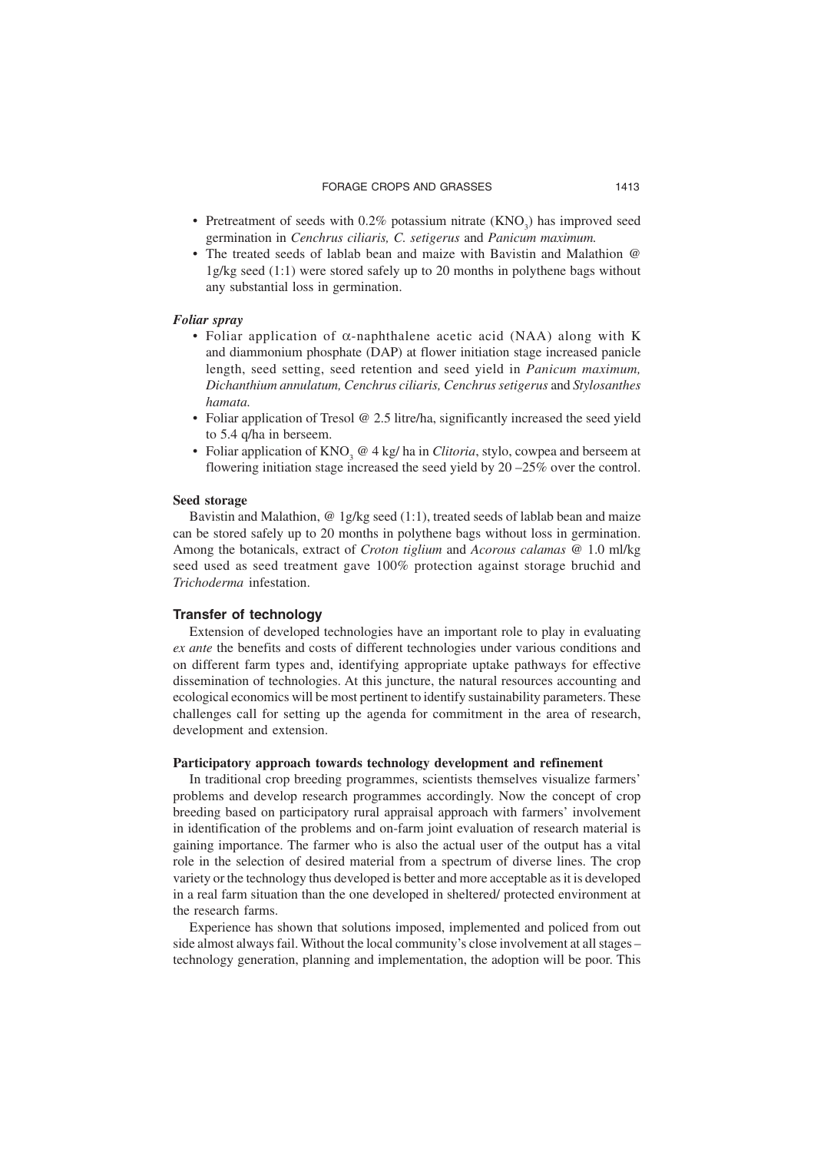- Pretreatment of seeds with  $0.2\%$  potassium nitrate  $(KNO<sub>3</sub>)$  has improved seed germination in *Cenchrus ciliaris, C. setigerus* and *Panicum maximum.*
- The treated seeds of lablab bean and maize with Bavistin and Malathion @ 1g/kg seed (1:1) were stored safely up to 20 months in polythene bags without any substantial loss in germination.

#### *Foliar spray*

- Foliar application of α-naphthalene acetic acid (NAA) along with K and diammonium phosphate (DAP) at flower initiation stage increased panicle length, seed setting, seed retention and seed yield in *Panicum maximum, Dichanthium annulatum, Cenchrus ciliaris, Cenchrus setigerus* and *Stylosanthes hamata.*
- Foliar application of Tresol @ 2.5 litre/ha, significantly increased the seed yield to 5.4 q/ha in berseem.
- Foliar application of  $KNO_3 \tQ 4$  kg/ ha in *Clitoria*, stylo, cowpea and berseem at flowering initiation stage increased the seed yield by 20 –25% over the control.

# **Seed storage**

Bavistin and Malathion, @ 1g/kg seed (1:1), treated seeds of lablab bean and maize can be stored safely up to 20 months in polythene bags without loss in germination. Among the botanicals, extract of *Croton tiglium* and *Acorous calamas* @ 1.0 ml/kg seed used as seed treatment gave 100% protection against storage bruchid and *Trichoderma* infestation.

#### **Transfer of technology**

Extension of developed technologies have an important role to play in evaluating *ex ante* the benefits and costs of different technologies under various conditions and on different farm types and, identifying appropriate uptake pathways for effective dissemination of technologies. At this juncture, the natural resources accounting and ecological economics will be most pertinent to identify sustainability parameters. These challenges call for setting up the agenda for commitment in the area of research, development and extension.

#### **Participatory approach towards technology development and refinement**

In traditional crop breeding programmes, scientists themselves visualize farmers' problems and develop research programmes accordingly. Now the concept of crop breeding based on participatory rural appraisal approach with farmers' involvement in identification of the problems and on-farm joint evaluation of research material is gaining importance. The farmer who is also the actual user of the output has a vital role in the selection of desired material from a spectrum of diverse lines. The crop variety or the technology thus developed is better and more acceptable as it is developed in a real farm situation than the one developed in sheltered/ protected environment at the research farms.

Experience has shown that solutions imposed, implemented and policed from out side almost always fail. Without the local community's close involvement at all stages – technology generation, planning and implementation, the adoption will be poor. This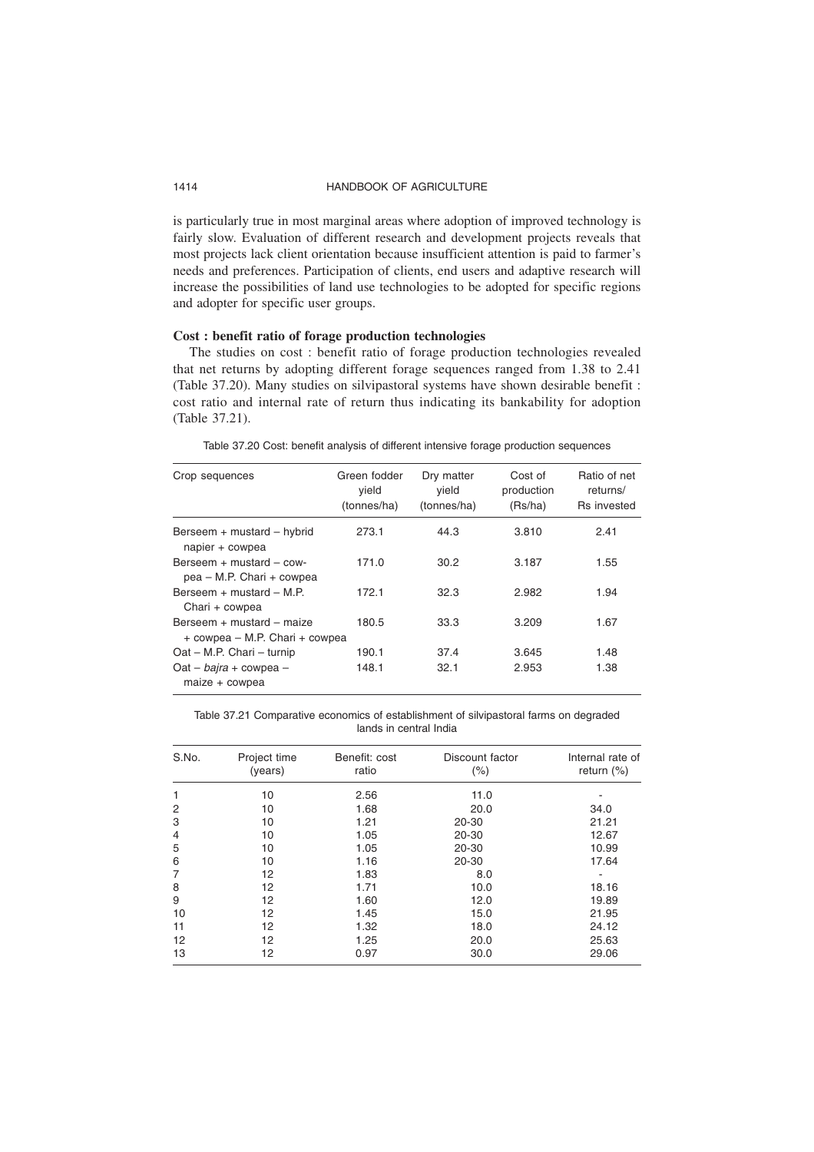is particularly true in most marginal areas where adoption of improved technology is fairly slow. Evaluation of different research and development projects reveals that most projects lack client orientation because insufficient attention is paid to farmer's needs and preferences. Participation of clients, end users and adaptive research will increase the possibilities of land use technologies to be adopted for specific regions and adopter for specific user groups.

# **Cost : benefit ratio of forage production technologies**

The studies on cost : benefit ratio of forage production technologies revealed that net returns by adopting different forage sequences ranged from 1.38 to 2.41 (Table 37.20). Many studies on silvipastoral systems have shown desirable benefit : cost ratio and internal rate of return thus indicating its bankability for adoption (Table 37.21).

Table 37.20 Cost: benefit analysis of different intensive forage production sequences

| Crop sequences                                              | Green fodder<br>vield<br>(tonnes/ha) | Dry matter<br>vield<br>(tonnes/ha) | Cost of<br>production<br>(Rs/ha) | Ratio of net<br>returns/<br><b>Rs</b> invested |
|-------------------------------------------------------------|--------------------------------------|------------------------------------|----------------------------------|------------------------------------------------|
| Berseem + mustard - hybrid<br>napier + cowpea               | 273.1                                | 44.3                               | 3.810                            | 2.41                                           |
| Berseem $+$ mustard $-$ cow-<br>pea – M.P. Chari + cowpea   | 171.0                                | 30.2                               | 3.187                            | 1.55                                           |
| Berseem $+$ mustard $-$ M.P.<br>Chari + cowpea              | 172.1                                | 32.3                               | 2.982                            | 1.94                                           |
| Berseem + mustard - maize<br>+ cowpea – M.P. Chari + cowpea | 180.5                                | 33.3                               | 3.209                            | 1.67                                           |
| Oat - M.P. Chari - turnip                                   | 190.1                                | 37.4                               | 3.645                            | 1.48                                           |
| Oat – bajra + cowpea –<br>$maize + cowpea$                  | 148.1                                | 32.1                               | 2.953                            | 1.38                                           |

Table 37.21 Comparative economics of establishment of silvipastoral farms on degraded lands in central India

| S.No. | Project time<br>(years) | Benefit: cost<br>ratio | Discount factor<br>$(\% )$ | Internal rate of<br>return $(\%)$ |
|-------|-------------------------|------------------------|----------------------------|-----------------------------------|
|       | 10                      | 2.56                   | 11.0                       |                                   |
| 2     | 10                      | 1.68                   | 20.0                       | 34.0                              |
| 3     | 10                      | 1.21                   | 20-30                      | 21.21                             |
| 4     | 10                      | 1.05                   | 20-30                      | 12.67                             |
| 5     | 10                      | 1.05                   | 20-30                      | 10.99                             |
| 6     | 10                      | 1.16                   | 20-30                      | 17.64                             |
| 7     | 12                      | 1.83                   | 8.0                        |                                   |
| 8     | 12                      | 1.71                   | 10.0                       | 18.16                             |
| 9     | 12                      | 1.60                   | 12.0                       | 19.89                             |
| 10    | 12                      | 1.45                   | 15.0                       | 21.95                             |
| 11    | 12                      | 1.32                   | 18.0                       | 24.12                             |
| 12    | 12                      | 1.25                   | 20.0                       | 25.63                             |
| 13    | 12                      | 0.97                   | 30.0                       | 29.06                             |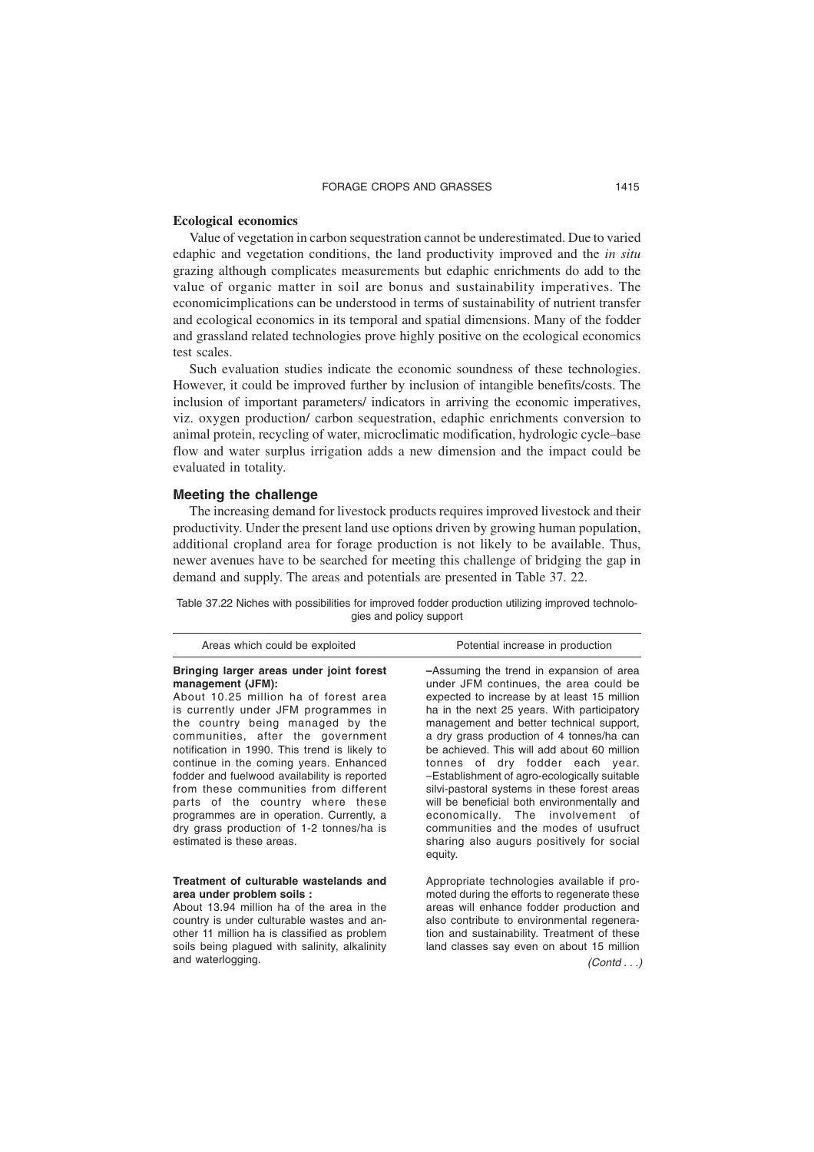#### **Ecological economics**

Value of vegetation in carbon sequestration cannot be underestimated. Due to varied edaphic and vegetation conditions, the land productivity improved and the *in situ* grazing although complicates measurements but edaphic enrichments do add to the value of organic matter in soil are bonus and sustainability imperatives. The economicimplications can be understood in terms of sustainability of nutrient transfer and ecological economics in its temporal and spatial dimensions. Many of the fodder and grassland related technologies prove highly positive on the ecological economics test scales.

Such evaluation studies indicate the economic soundness of these technologies. However, it could be improved further by inclusion of intangible benefits/costs. The inclusion of important parameters/ indicators in arriving the economic imperatives, viz. oxygen production/ carbon sequestration, edaphic enrichments conversion to animal protein, recycling of water, microclimatic modification, hydrologic cycle–base flow and water surplus irrigation adds a new dimension and the impact could be evaluated in totality.

#### **Meeting the challenge**

and waterlogging.

The increasing demand for livestock products requires improved livestock and their productivity. Under the present land use options driven by growing human population, additional cropland area for forage production is not likely to be available. Thus, newer avenues have to be searched for meeting this challenge of bridging the gap in demand and supply. The areas and potentials are presented in Table 37. 22.

Table 37.22 Niches with possibilities for improved fodder production utilizing improved technologies and policy support

| Areas which could be exploited                                                                                                                                                                                                                                                                                                                                                                                                                                                                                                                                        | Potential increase in production                                                                                                                                                                                                                                                                                                                                                                                                                                                                                                                                                                                                                |
|-----------------------------------------------------------------------------------------------------------------------------------------------------------------------------------------------------------------------------------------------------------------------------------------------------------------------------------------------------------------------------------------------------------------------------------------------------------------------------------------------------------------------------------------------------------------------|-------------------------------------------------------------------------------------------------------------------------------------------------------------------------------------------------------------------------------------------------------------------------------------------------------------------------------------------------------------------------------------------------------------------------------------------------------------------------------------------------------------------------------------------------------------------------------------------------------------------------------------------------|
| Bringing larger areas under joint forest<br>management (JFM):<br>About 10.25 million ha of forest area<br>is currently under JFM programmes in<br>the country being managed by the<br>communities, after the government<br>notification in 1990. This trend is likely to<br>continue in the coming years. Enhanced<br>fodder and fuelwood availability is reported<br>from these communities from different<br>parts of the country where these<br>programmes are in operation. Currently, a<br>dry grass production of 1-2 tonnes/ha is<br>estimated is these areas. | -Assuming the trend in expansion of area<br>under JFM continues, the area could be<br>expected to increase by at least 15 million<br>ha in the next 25 years. With participatory<br>management and better technical support,<br>a dry grass production of 4 tonnes/ha can<br>be achieved. This will add about 60 million<br>tonnes of dry fodder each year.<br>-Establishment of agro-ecologically suitable<br>silvi-pastoral systems in these forest areas<br>will be beneficial both environmentally and<br>economically. The involvement of<br>communities and the modes of usufruct<br>sharing also augurs positively for social<br>equity. |
| Treatment of culturable wastelands and<br>area under problem soils :<br>About 13.94 million ha of the area in the<br>country is under culturable wastes and an-<br>other 11 million ha is classified as problem<br>soils being plagued with salinity, alkalinity                                                                                                                                                                                                                                                                                                      | Appropriate technologies available if pro-<br>moted during the efforts to regenerate these<br>areas will enhance fodder production and<br>also contribute to environmental regenera-<br>tion and sustainability. Treatment of these<br>land classes say even on about 15 million                                                                                                                                                                                                                                                                                                                                                                |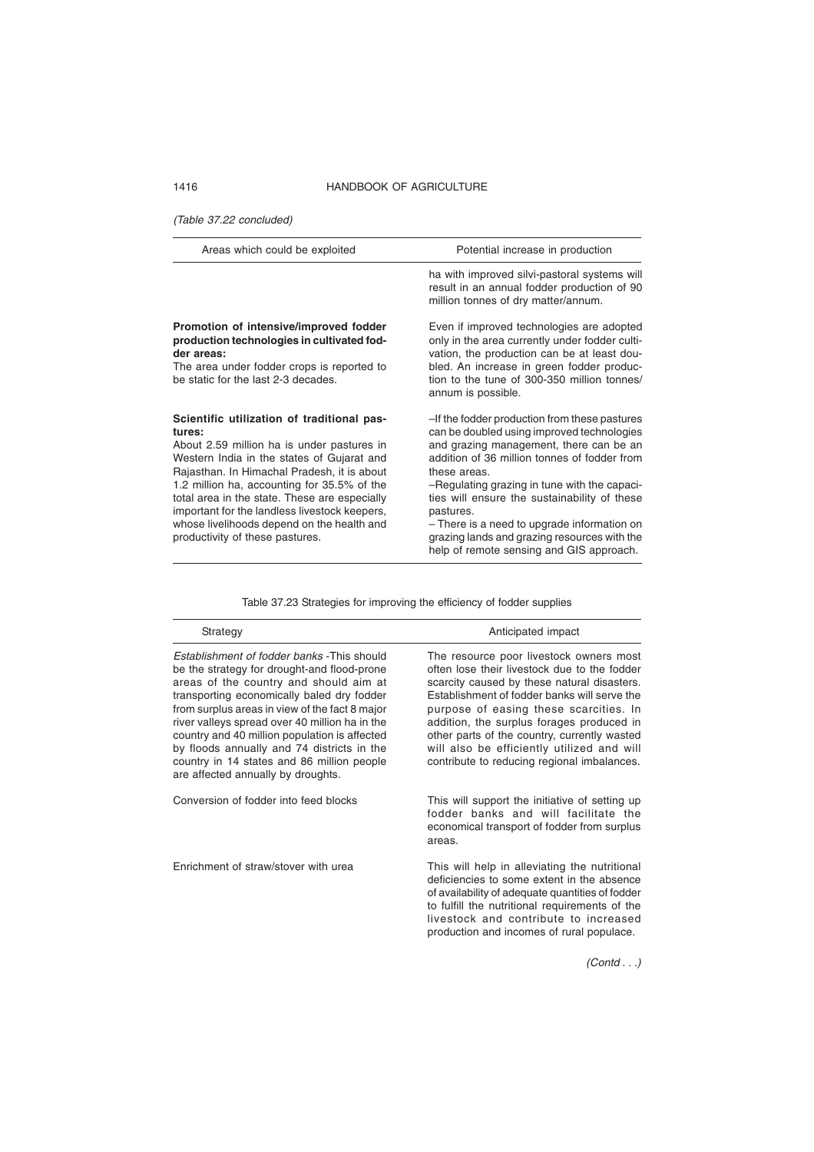(Table 37.22 concluded)

| Areas which could be exploited                                                                                                                                                                                                                                                                                                                                                                                                    | Potential increase in production                                                                                                                                                                                                                                                                                                                                                                                                                               |
|-----------------------------------------------------------------------------------------------------------------------------------------------------------------------------------------------------------------------------------------------------------------------------------------------------------------------------------------------------------------------------------------------------------------------------------|----------------------------------------------------------------------------------------------------------------------------------------------------------------------------------------------------------------------------------------------------------------------------------------------------------------------------------------------------------------------------------------------------------------------------------------------------------------|
|                                                                                                                                                                                                                                                                                                                                                                                                                                   | ha with improved silvi-pastoral systems will<br>result in an annual fodder production of 90<br>million tonnes of dry matter/annum.                                                                                                                                                                                                                                                                                                                             |
| Promotion of intensive/improved fodder<br>production technologies in cultivated fod-<br>der areas:<br>The area under fodder crops is reported to<br>be static for the last 2-3 decades.                                                                                                                                                                                                                                           | Even if improved technologies are adopted<br>only in the area currently under fodder culti-<br>vation, the production can be at least dou-<br>bled. An increase in green fodder produc-<br>tion to the tune of 300-350 million tonnes/<br>annum is possible.                                                                                                                                                                                                   |
| Scientific utilization of traditional pas-<br>tures:<br>About 2.59 million ha is under pastures in<br>Western India in the states of Gujarat and<br>Rajasthan. In Himachal Pradesh, it is about<br>1.2 million ha, accounting for 35.5% of the<br>total area in the state. These are especially<br>important for the landless livestock keepers,<br>whose livelihoods depend on the health and<br>productivity of these pastures. | -If the fodder production from these pastures<br>can be doubled using improved technologies<br>and grazing management, there can be an<br>addition of 36 million tonnes of fodder from<br>these areas.<br>-Regulating grazing in tune with the capaci-<br>ties will ensure the sustainability of these<br>pastures.<br>- There is a need to upgrade information on<br>grazing lands and grazing resources with the<br>help of remote sensing and GIS approach. |

Table 37.23 Strategies for improving the efficiency of fodder supplies

| Strategy                                                                                                                                                                                                                                                                                                                                                                                                                                                                  | Anticipated impact                                                                                                                                                                                                                                                                                                                                                                                                         |
|---------------------------------------------------------------------------------------------------------------------------------------------------------------------------------------------------------------------------------------------------------------------------------------------------------------------------------------------------------------------------------------------------------------------------------------------------------------------------|----------------------------------------------------------------------------------------------------------------------------------------------------------------------------------------------------------------------------------------------------------------------------------------------------------------------------------------------------------------------------------------------------------------------------|
| Establishment of fodder banks - This should<br>be the strategy for drought-and flood-prone<br>areas of the country and should aim at<br>transporting economically baled dry fodder<br>from surplus areas in view of the fact 8 major<br>river valleys spread over 40 million ha in the<br>country and 40 million population is affected<br>by floods annually and 74 districts in the<br>country in 14 states and 86 million people<br>are affected annually by droughts. | The resource poor livestock owners most<br>often lose their livestock due to the fodder<br>scarcity caused by these natural disasters.<br>Establishment of fodder banks will serve the<br>purpose of easing these scarcities. In<br>addition, the surplus forages produced in<br>other parts of the country, currently wasted<br>will also be efficiently utilized and will<br>contribute to reducing regional imbalances. |
| Conversion of fodder into feed blocks                                                                                                                                                                                                                                                                                                                                                                                                                                     | This will support the initiative of setting up<br>fodder banks and will facilitate the<br>economical transport of fodder from surplus<br>areas.                                                                                                                                                                                                                                                                            |
| Enrichment of straw/stover with urea                                                                                                                                                                                                                                                                                                                                                                                                                                      | This will help in alleviating the nutritional<br>deficiencies to some extent in the absence<br>of availability of adequate quantities of fodder<br>to fulfill the nutritional requirements of the<br>livestock and contribute to increased<br>production and incomes of rural populace.                                                                                                                                    |